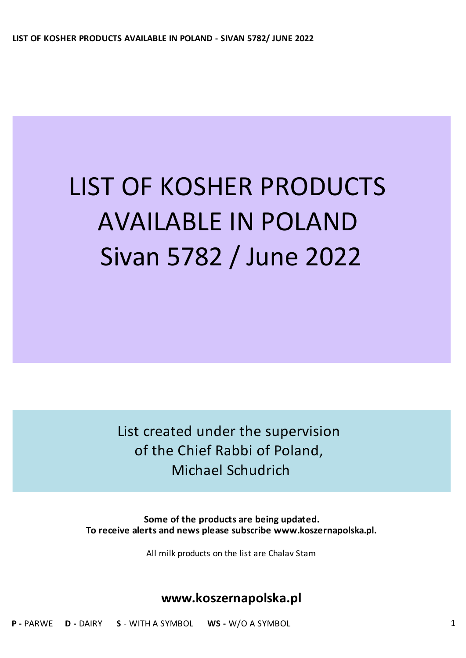# LIST OF KOSHER PRODUCTS AVAILABLE IN POLAND Sivan 5782 / June 2022

List created under the supervision of the Chief Rabbi of Poland, Michael Schudrich

**Some of the products are being updated. To receive alerts and news please subscribe www.koszernapolska.pl.**

All milk products on the list are Chalav Stam

### **www.koszernapolska.pl**

**P -** PARWE **D -** DAIRY **S** - WITH A SYMBOL **WS -** W/O A SYMBOL 1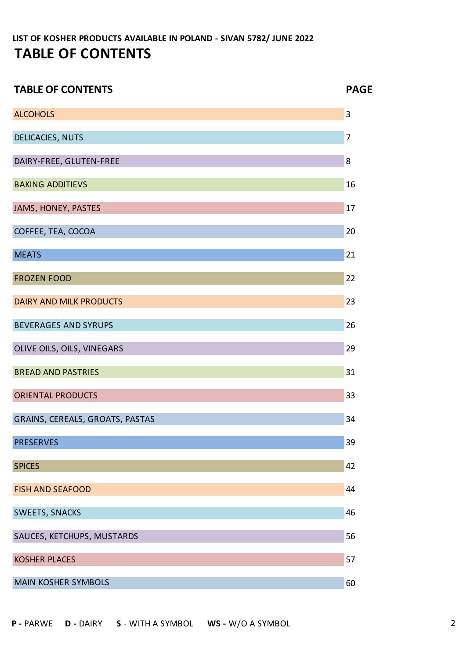| <b>TABLE OF CONTENTS</b>        | <b>PAGE</b>    |
|---------------------------------|----------------|
| <b>ALCOHOLS</b>                 | 3              |
| DELICACIES, NUTS                | $\overline{7}$ |
| DAIRY-FREE, GLUTEN-FREE         | 8              |
| <b>BAKING ADDITIEVS</b>         | 16             |
| JAMS, HONEY, PASTES             | 17             |
| COFFEE, TEA, COCOA              | 20             |
| <b>MEATS</b>                    | 21             |
| <b>FROZEN FOOD</b>              | 22             |
| <b>DAIRY AND MILK PRODUCTS</b>  | 23             |
| <b>BEVERAGES AND SYRUPS</b>     | 26             |
| OLIVE OILS, OILS, VINEGARS      | 29             |
| <b>BREAD AND PASTRIES</b>       | 31             |
| <b>ORIENTAL PRODUCTS</b>        | 33             |
| GRAINS, CEREALS, GROATS, PASTAS | 34             |
| <b>PRESERVES</b>                | 39             |
| <b>SPICES</b>                   | 42             |
| <b>FISH AND SEAFOOD</b>         | 44             |
| SWEETS, SNACKS                  | 46             |
| SAUCES, KETCHUPS, MUSTARDS      | 56             |
| <b>KOSHER PLACES</b>            | 57             |
| <b>MAIN KOSHER SYMBOLS</b>      | 60             |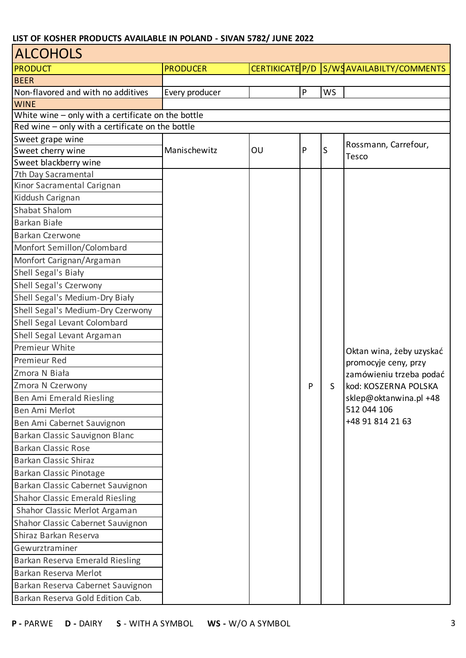| <b>ALCOHOLS</b>                                    |                 |    |              |           |                                                 |
|----------------------------------------------------|-----------------|----|--------------|-----------|-------------------------------------------------|
| <b>PRODUCT</b>                                     | <b>PRODUCER</b> |    |              |           | CERTIKICATE P/D S/WSAVAILABILTY/COMMENTS        |
| <b>BEER</b>                                        |                 |    |              |           |                                                 |
| Non-flavored and with no additives                 | Every producer  |    | $\mathsf{P}$ | <b>WS</b> |                                                 |
| <b>WINE</b>                                        |                 |    |              |           |                                                 |
| White wine - only with a certificate on the bottle |                 |    |              |           |                                                 |
| Red wine - only with a certificate on the bottle   |                 |    |              |           |                                                 |
| Sweet grape wine                                   |                 |    |              |           | Rossmann, Carrefour,                            |
| Sweet cherry wine                                  | Manischewitz    | OU | $\mathsf{P}$ | S         | <b>Tesco</b>                                    |
| Sweet blackberry wine                              |                 |    |              |           |                                                 |
| 7th Day Sacramental                                |                 |    |              |           |                                                 |
| Kinor Sacramental Carignan                         |                 |    |              |           |                                                 |
| Kiddush Carignan                                   |                 |    |              |           |                                                 |
| <b>Shabat Shalom</b>                               |                 |    |              |           |                                                 |
| Barkan Białe                                       |                 |    |              |           |                                                 |
| Barkan Czerwone                                    |                 |    |              |           |                                                 |
| Monfort Semillon/Colombard                         |                 |    |              |           |                                                 |
| Monfort Carignan/Argaman                           |                 |    |              |           |                                                 |
| Shell Segal's Biały                                |                 |    |              |           |                                                 |
| Shell Segal's Czerwony                             |                 |    |              |           |                                                 |
| Shell Segal's Medium-Dry Biały                     |                 |    |              |           |                                                 |
| Shell Segal's Medium-Dry Czerwony                  |                 |    |              |           |                                                 |
| Shell Segal Levant Colombard                       |                 |    |              |           |                                                 |
| Shell Segal Levant Argaman                         |                 |    |              |           |                                                 |
| Premieur White                                     |                 |    |              |           | Oktan wina, żeby uzyskać                        |
| Premieur Red                                       |                 |    |              |           | promocyje ceny, przy                            |
| Zmora N Biała                                      |                 |    |              | S         | zamówieniu trzeba podać<br>kod: KOSZERNA POLSKA |
| Zmora N Czerwony                                   |                 |    | P            |           |                                                 |
| Ben Ami Emerald Riesling                           |                 |    |              |           | sklep@oktanwina.pl +48                          |
| Ben Ami Merlot                                     |                 |    |              |           | 512 044 106                                     |
| Ben Ami Cabernet Sauvignon                         |                 |    |              |           | +48 91 814 21 63                                |
| Barkan Classic Sauvignon Blanc                     |                 |    |              |           |                                                 |
| <b>Barkan Classic Rose</b>                         |                 |    |              |           |                                                 |
| <b>Barkan Classic Shiraz</b>                       |                 |    |              |           |                                                 |
| Barkan Classic Pinotage                            |                 |    |              |           |                                                 |
| Barkan Classic Cabernet Sauvignon                  |                 |    |              |           |                                                 |
| <b>Shahor Classic Emerald Riesling</b>             |                 |    |              |           |                                                 |
| Shahor Classic Merlot Argaman                      |                 |    |              |           |                                                 |
| Shahor Classic Cabernet Sauvignon                  |                 |    |              |           |                                                 |
| Shiraz Barkan Reserva                              |                 |    |              |           |                                                 |
| Gewurztraminer                                     |                 |    |              |           |                                                 |
| Barkan Reserva Emerald Riesling                    |                 |    |              |           |                                                 |
| Barkan Reserva Merlot                              |                 |    |              |           |                                                 |
| Barkan Reserva Cabernet Sauvignon                  |                 |    |              |           |                                                 |
| Barkan Reserva Gold Edition Cab.                   |                 |    |              |           |                                                 |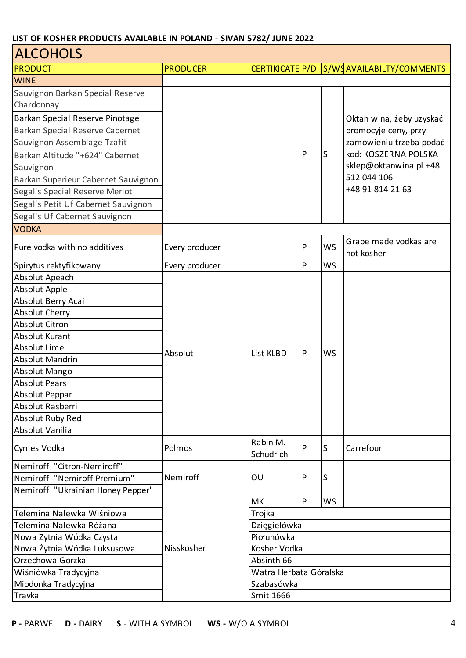| <b>ALCOHOLS</b>                     |                 |                        |   |           |                                          |
|-------------------------------------|-----------------|------------------------|---|-----------|------------------------------------------|
| <b>PRODUCT</b>                      | <b>PRODUCER</b> |                        |   |           | CERTIKICATE P/D S/WSAVAILABILTY/COMMENTS |
| <b>WINE</b>                         |                 |                        |   |           |                                          |
| Sauvignon Barkan Special Reserve    |                 |                        |   |           |                                          |
| Chardonnay                          |                 |                        |   |           |                                          |
| Barkan Special Reserve Pinotage     |                 |                        |   |           | Oktan wina, żeby uzyskać                 |
| Barkan Special Reserve Cabernet     |                 |                        |   |           | promocyje ceny, przy                     |
| Sauvignon Assemblage Tzafit         |                 |                        |   |           | zamówieniu trzeba podać                  |
| Barkan Altitude "+624" Cabernet     |                 |                        | P | ls        | kod: KOSZERNA POLSKA                     |
| Sauvignon                           |                 |                        |   |           | sklep@oktanwina.pl +48                   |
| Barkan Superieur Cabernet Sauvignon |                 |                        |   |           | 512 044 106                              |
| Segal's Special Reserve Merlot      |                 |                        |   |           | +48 91 814 21 63                         |
| Segal's Petit Uf Cabernet Sauvignon |                 |                        |   |           |                                          |
| Segal's Uf Cabernet Sauvignon       |                 |                        |   |           |                                          |
| <b>VODKA</b>                        |                 |                        |   |           |                                          |
|                                     |                 |                        |   |           | Grape made vodkas are                    |
| Pure vodka with no additives        | Every producer  |                        | P | <b>WS</b> | not kosher                               |
| Spirytus rektyfikowany              | Every producer  |                        | P | <b>WS</b> |                                          |
| Absolut Apeach                      |                 |                        |   |           |                                          |
| <b>Absolut Apple</b>                |                 |                        |   |           |                                          |
| Absolut Berry Acai                  |                 |                        |   |           |                                          |
| <b>Absolut Cherry</b>               |                 |                        |   |           |                                          |
| <b>Absolut Citron</b>               |                 |                        |   |           |                                          |
| <b>Absolut Kurant</b>               |                 |                        |   |           |                                          |
| Absolut Lime                        | Absolut         | List KLBD              | P | <b>WS</b> |                                          |
| <b>Absolut Mandrin</b>              |                 |                        |   |           |                                          |
| Absolut Mango                       |                 |                        |   |           |                                          |
| <b>Absolut Pears</b>                |                 |                        |   |           |                                          |
| Absolut Peppar                      |                 |                        |   |           |                                          |
| Absolut Rasberri                    |                 |                        |   |           |                                          |
| Absolut Ruby Red                    |                 |                        |   |           |                                          |
| Absolut Vanilia                     |                 |                        |   |           |                                          |
| Cymes Vodka                         | Polmos          | Rabin M.<br>Schudrich  | P | lS        | Carrefour                                |
| Nemiroff "Citron-Nemiroff"          |                 |                        |   |           |                                          |
| Nemiroff "Nemiroff Premium"         | Nemiroff        | OU                     | P | IS        |                                          |
| Nemiroff "Ukrainian Honey Pepper"   |                 |                        |   |           |                                          |
|                                     |                 | <b>MK</b>              | P | <b>WS</b> |                                          |
| Telemina Nalewka Wiśniowa           |                 | Trojka                 |   |           |                                          |
| Telemina Nalewka Różana             |                 | Dzięgielówka           |   |           |                                          |
| Nowa Żytnia Wódka Czysta            |                 | Piołunówka             |   |           |                                          |
| Nowa Żytnia Wódka Luksusowa         | Nisskosher      | Kosher Vodka           |   |           |                                          |
| Orzechowa Gorzka                    |                 | Absinth 66             |   |           |                                          |
| Wiśniówka Tradycyjna                |                 | Watra Herbata Góralska |   |           |                                          |
| Miodonka Tradycyjna                 |                 | Szabasówka             |   |           |                                          |
| Travka                              |                 | Smit 1666              |   |           |                                          |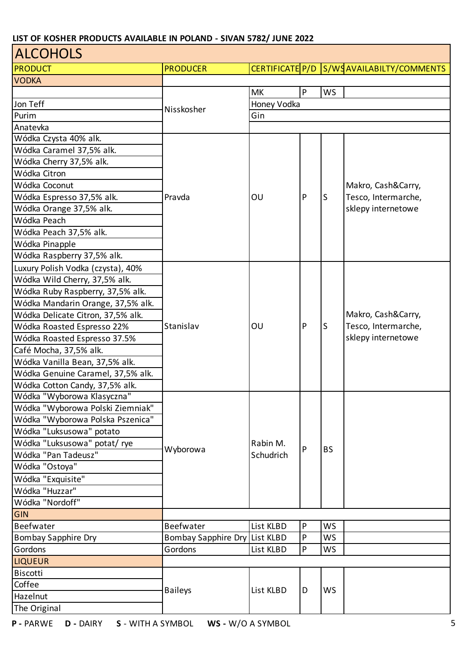| <b>ALCOHOLS</b>                   |                               |             |           |           |                                          |  |  |
|-----------------------------------|-------------------------------|-------------|-----------|-----------|------------------------------------------|--|--|
| <b>PRODUCT</b>                    | <b>PRODUCER</b>               |             |           |           | CERTIFICATE P/D S/WSAVAILABILTY/COMMENTS |  |  |
| <b>VODKA</b>                      |                               |             |           |           |                                          |  |  |
|                                   |                               | <b>MK</b>   | P         | <b>WS</b> |                                          |  |  |
| Jon Teff                          |                               | Honey Vodka |           |           |                                          |  |  |
| Purim                             | Nisskosher                    | Gin         |           |           |                                          |  |  |
| Anatevka                          |                               |             |           |           |                                          |  |  |
| Wódka Czysta 40% alk.             |                               |             |           |           |                                          |  |  |
| Wódka Caramel 37,5% alk.          |                               |             |           |           |                                          |  |  |
| Wódka Cherry 37,5% alk.           |                               |             |           |           |                                          |  |  |
| Wódka Citron                      |                               |             |           |           |                                          |  |  |
| Wódka Coconut                     |                               |             |           |           | Makro, Cash&Carry,                       |  |  |
| Wódka Espresso 37,5% alk.         | Pravda                        | OU          | P         | S         | Tesco, Intermarche,                      |  |  |
| Wódka Orange 37,5% alk.           |                               |             |           |           | sklepy internetowe                       |  |  |
| Wódka Peach                       |                               |             |           |           |                                          |  |  |
| Wódka Peach 37,5% alk.            |                               |             |           |           |                                          |  |  |
| Wódka Pinapple                    |                               |             |           |           |                                          |  |  |
| Wódka Raspberry 37,5% alk.        |                               |             |           |           |                                          |  |  |
| Luxury Polish Vodka (czysta), 40% |                               |             |           |           |                                          |  |  |
| Wódka Wild Cherry, 37,5% alk.     | Stanislav                     | OU          |           |           |                                          |  |  |
| Wódka Ruby Raspberry, 37,5% alk.  |                               |             |           |           | Makro, Cash&Carry,                       |  |  |
| Wódka Mandarin Orange, 37,5% alk. |                               |             |           |           |                                          |  |  |
| Wódka Delicate Citron, 37,5% alk. |                               |             |           |           |                                          |  |  |
| Wódka Roasted Espresso 22%        |                               |             | ${\sf P}$ | S         | Tesco, Intermarche,                      |  |  |
| Wódka Roasted Espresso 37.5%      |                               |             |           |           | sklepy internetowe                       |  |  |
| Café Mocha, 37,5% alk.            |                               |             |           |           |                                          |  |  |
| Wódka Vanilla Bean, 37,5% alk.    |                               |             |           |           |                                          |  |  |
| Wódka Genuine Caramel, 37,5% alk. |                               |             |           |           |                                          |  |  |
| Wódka Cotton Candy, 37,5% alk.    |                               |             |           |           |                                          |  |  |
| Wódka "Wyborowa Klasyczna"        |                               |             |           |           |                                          |  |  |
| Wódka "Wyborowa Polski Ziemniak"  |                               |             |           |           |                                          |  |  |
| Wódka "Wyborowa Polska Pszenica"  |                               |             |           |           |                                          |  |  |
| Wódka "Luksusowa" potato          |                               |             |           |           |                                          |  |  |
| Wódka "Luksusowa" potat/ rye      |                               | Rabin M.    |           |           |                                          |  |  |
| Wódka "Pan Tadeusz"               | Wyborowa                      | Schudrich   | P         | <b>BS</b> |                                          |  |  |
| Wódka "Ostoya"                    |                               |             |           |           |                                          |  |  |
| Wódka "Exquisite"                 |                               |             |           |           |                                          |  |  |
| Wódka "Huzzar"                    |                               |             |           |           |                                          |  |  |
| Wódka "Nordoff"                   |                               |             |           |           |                                          |  |  |
|                                   |                               |             |           |           |                                          |  |  |
| GIN                               |                               |             |           |           |                                          |  |  |
| <b>Beefwater</b>                  | Beefwater                     | List KLBD   | P         | WS        |                                          |  |  |
| <b>Bombay Sapphire Dry</b>        | Bombay Sapphire Dry List KLBD |             | P         | <b>WS</b> |                                          |  |  |
| Gordons                           | Gordons                       | List KLBD   | P         | WS        |                                          |  |  |
| <b>LIQUEUR</b>                    |                               |             |           |           |                                          |  |  |
| <b>Biscotti</b>                   |                               |             |           | <b>WS</b> |                                          |  |  |
| Coffee                            | <b>Baileys</b>                | List KLBD   | D         |           |                                          |  |  |
| Hazelnut                          |                               |             |           |           |                                          |  |  |
| The Original                      |                               |             |           |           |                                          |  |  |

٦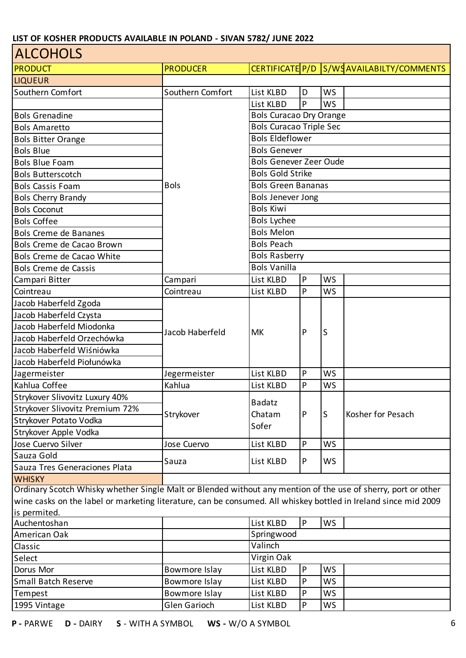| <b>ALCOHOLS</b>                                                                                                 |                  |                                |   |           |                                          |  |  |
|-----------------------------------------------------------------------------------------------------------------|------------------|--------------------------------|---|-----------|------------------------------------------|--|--|
| <b>PRODUCT</b>                                                                                                  | <b>PRODUCER</b>  |                                |   |           | CERTIFICATE P/D S/WSAVAILABILTY/COMMENTS |  |  |
| <b>LIQUEUR</b>                                                                                                  |                  |                                |   |           |                                          |  |  |
| Southern Comfort                                                                                                | Southern Comfort | List KLBD                      | D | <b>WS</b> |                                          |  |  |
|                                                                                                                 |                  | List KLBD                      | P | <b>WS</b> |                                          |  |  |
| <b>Bols Grenadine</b>                                                                                           |                  | <b>Bols Curacao Dry Orange</b> |   |           |                                          |  |  |
| <b>Bols Amaretto</b>                                                                                            |                  | <b>Bols Curacao Triple Sec</b> |   |           |                                          |  |  |
| <b>Bols Bitter Orange</b>                                                                                       |                  | <b>Bols Eldeflower</b>         |   |           |                                          |  |  |
| <b>Bols Blue</b>                                                                                                |                  | <b>Bols Genever</b>            |   |           |                                          |  |  |
| <b>Bols Blue Foam</b>                                                                                           |                  | <b>Bols Genever Zeer Oude</b>  |   |           |                                          |  |  |
| <b>Bols Butterscotch</b>                                                                                        |                  | <b>Bols Gold Strike</b>        |   |           |                                          |  |  |
| <b>Bols Cassis Foam</b>                                                                                         | <b>Bols</b>      | <b>Bols Green Bananas</b>      |   |           |                                          |  |  |
| <b>Bols Cherry Brandy</b>                                                                                       |                  | <b>Bols Jenever Jong</b>       |   |           |                                          |  |  |
| <b>Bols Coconut</b>                                                                                             |                  | <b>Bols Kiwi</b>               |   |           |                                          |  |  |
| <b>Bols Coffee</b>                                                                                              |                  | <b>Bols Lychee</b>             |   |           |                                          |  |  |
| <b>Bols Creme de Bananes</b>                                                                                    |                  | <b>Bols Melon</b>              |   |           |                                          |  |  |
| Bols Creme de Cacao Brown                                                                                       |                  | <b>Bols Peach</b>              |   |           |                                          |  |  |
| Bols Creme de Cacao White                                                                                       |                  | <b>Bols Rasberry</b>           |   |           |                                          |  |  |
| <b>Bols Creme de Cassis</b>                                                                                     |                  | <b>Bols Vanilla</b>            |   |           |                                          |  |  |
| Campari Bitter                                                                                                  | Campari          | List KLBD                      | P | <b>WS</b> |                                          |  |  |
| Cointreau                                                                                                       | Cointreau        | List KLBD                      | P | WS        |                                          |  |  |
| Jacob Haberfeld Zgoda                                                                                           |                  |                                |   |           |                                          |  |  |
| Jacob Haberfeld Czysta                                                                                          |                  |                                |   |           |                                          |  |  |
| Jacob Haberfeld Miodonka                                                                                        |                  | <b>MK</b>                      | P |           |                                          |  |  |
| Jacob Haberfeld Orzechówka                                                                                      | Jacob Haberfeld  |                                |   | S         |                                          |  |  |
| Jacob Haberfeld Wiśniówka                                                                                       |                  |                                |   |           |                                          |  |  |
| Jacob Haberfeld Piołunówka                                                                                      |                  |                                |   |           |                                          |  |  |
| Jagermeister                                                                                                    | Jegermeister     | List KLBD                      | P | WS        |                                          |  |  |
| Kahlua Coffee                                                                                                   | Kahlua           | List KLBD                      | P | WS        |                                          |  |  |
| Strykover Slivovitz Luxury 40%                                                                                  |                  | <b>Badatz</b>                  |   |           |                                          |  |  |
| Strykover Slivovitz Premium 72%                                                                                 | Strykover        | Chatam                         | P | S         | Kosher for Pesach                        |  |  |
| Strykover Potato Vodka                                                                                          |                  | Sofer                          |   |           |                                          |  |  |
| Strykover Apple Vodka                                                                                           |                  |                                |   |           |                                          |  |  |
| Jose Cuervo Silver                                                                                              | Jose Cuervo      | List KLBD                      | P | <b>WS</b> |                                          |  |  |
| Sauza Gold                                                                                                      | Sauza            | List KLBD                      | P | <b>WS</b> |                                          |  |  |
| Sauza Tres Generaciones Plata                                                                                   |                  |                                |   |           |                                          |  |  |
| <b>WHISKY</b>                                                                                                   |                  |                                |   |           |                                          |  |  |
| Ordinary Scotch Whisky whether Single Malt or Blended without any mention of the use of sherry, port or other   |                  |                                |   |           |                                          |  |  |
| wine casks on the label or marketing literature, can be consumed. All whiskey bottled in Ireland since mid 2009 |                  |                                |   |           |                                          |  |  |
| is permited.                                                                                                    |                  |                                |   |           |                                          |  |  |
| Auchentoshan                                                                                                    |                  | List KLBD                      | P | WS        |                                          |  |  |
| American Oak                                                                                                    |                  | Springwood                     |   |           |                                          |  |  |
| Classic                                                                                                         |                  | Valinch                        |   |           |                                          |  |  |
| Select                                                                                                          |                  | Virgin Oak                     |   |           |                                          |  |  |
| Dorus Mor                                                                                                       | Bowmore Islay    | List KLBD                      | P | WS        |                                          |  |  |
| <b>Small Batch Reserve</b>                                                                                      | Bowmore Islay    | List KLBD                      | P | WS        |                                          |  |  |
| Tempest                                                                                                         | Bowmore Islay    | List KLBD                      | P | WS        |                                          |  |  |
| 1995 Vintage                                                                                                    | Glen Garioch     | List KLBD                      | P | WS        |                                          |  |  |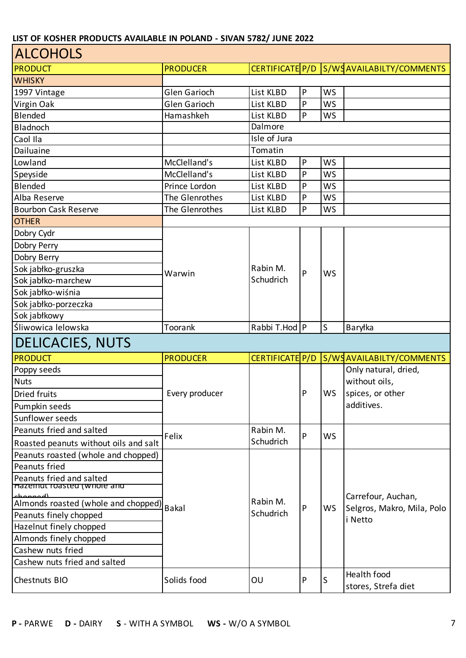| <b>ALCOHOLS</b>                                         |                     |                       |              |           |                                          |  |  |
|---------------------------------------------------------|---------------------|-----------------------|--------------|-----------|------------------------------------------|--|--|
| <b>PRODUCT</b>                                          | <b>PRODUCER</b>     |                       |              |           | CERTIFICATE P/D S/WSAVAILABILTY/COMMENTS |  |  |
| <b>WHISKY</b>                                           |                     |                       |              |           |                                          |  |  |
| 1997 Vintage                                            | <b>Glen Garioch</b> | List KLBD             | $\mathsf{P}$ | WS        |                                          |  |  |
| Virgin Oak                                              | <b>Glen Garioch</b> | List KLBD             | P            | <b>WS</b> |                                          |  |  |
| Blended                                                 | Hamashkeh           | List KLBD             | $\mathsf{P}$ | WS        |                                          |  |  |
| Bladnoch                                                |                     | Dalmore               |              |           |                                          |  |  |
| Caol IIa                                                |                     | Isle of Jura          |              |           |                                          |  |  |
| Dailuaine                                               |                     | Tomatin               |              |           |                                          |  |  |
| Lowland                                                 | McClelland's        | List KLBD             | $\sf P$      | WS        |                                          |  |  |
| Speyside                                                | McClelland's        | List KLBD             | P            | WS        |                                          |  |  |
| Blended                                                 | Prince Lordon       | List KLBD             | P            | WS        |                                          |  |  |
| Alba Reserve                                            | The Glenrothes      | List KLBD             | P            | WS        |                                          |  |  |
| <b>Bourbon Cask Reserve</b>                             | The Glenrothes      | List KLBD             | $\mathsf{P}$ | <b>WS</b> |                                          |  |  |
| <b>OTHER</b>                                            |                     |                       |              |           |                                          |  |  |
| Dobry Cydr                                              |                     |                       |              |           |                                          |  |  |
| Dobry Perry                                             |                     |                       |              |           |                                          |  |  |
| Dobry Berry                                             |                     |                       |              |           |                                          |  |  |
| Sok jabłko-gruszka                                      | Warwin              | Rabin M.<br>Schudrich | P            | <b>WS</b> |                                          |  |  |
| Sok jabłko-marchew                                      |                     |                       |              |           |                                          |  |  |
| Sok jabłko-wiśnia                                       |                     |                       |              |           |                                          |  |  |
| Sok jabłko-porzeczka                                    |                     |                       |              |           |                                          |  |  |
| Sok jabłkowy                                            |                     |                       |              |           |                                          |  |  |
| Śliwowica lelowska                                      | Toorank             | Rabbi T.Hod P         |              | S         | Baryłka                                  |  |  |
| <b>DELICACIES, NUTS</b>                                 |                     |                       |              |           |                                          |  |  |
| <b>PRODUCT</b>                                          | <b>PRODUCER</b>     | CERTIFICATE P/D       |              |           | S/WSAVAILABILTY/COMMENTS                 |  |  |
| Poppy seeds                                             |                     |                       |              |           | Only natural, dried,                     |  |  |
|                                                         |                     |                       |              |           |                                          |  |  |
| <b>Nuts</b>                                             |                     |                       |              |           | without oils,                            |  |  |
| <b>Dried fruits</b>                                     | Every producer      |                       | $\mathsf{P}$ | WS        | spices, or other                         |  |  |
|                                                         |                     |                       |              |           | additives.                               |  |  |
| Pumpkin seeds<br>Sunflower seeds                        |                     |                       |              |           |                                          |  |  |
| Peanuts fried and salted                                |                     | Rabin M.              |              |           |                                          |  |  |
| Roasted peanuts without oils and salt                   | Felix               | Schudrich             | P            | <b>WS</b> |                                          |  |  |
| Peanuts roasted (whole and chopped)                     |                     |                       |              |           |                                          |  |  |
| <b>Peanuts fried</b>                                    |                     |                       |              |           |                                          |  |  |
| Peanuts fried and salted<br>Hazeinut roasted (whole and |                     |                       |              |           |                                          |  |  |
| للممممطم                                                |                     | Rabin M.              |              |           | Carrefour, Auchan,                       |  |  |
| Almonds roasted (whole and chopped)                     | Bakal               | Schudrich             | P            | <b>WS</b> | Selgros, Makro, Mila, Polo               |  |  |
| Peanuts finely chopped                                  |                     |                       |              |           | i Netto                                  |  |  |
| Hazelnut finely chopped                                 |                     |                       |              |           |                                          |  |  |
| Almonds finely chopped                                  |                     |                       |              |           |                                          |  |  |
| Cashew nuts fried                                       |                     |                       |              |           |                                          |  |  |
| Cashew nuts fried and salted<br><b>Chestnuts BIO</b>    | Solids food         | OU                    | P            | S         | Health food                              |  |  |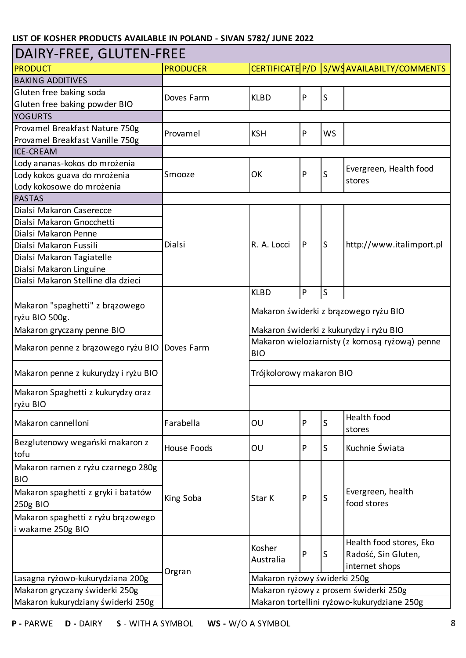| DAIRY-FREE, GLUTEN-FREE                                 |                                                                            |                                         |   |                                       |                                             |  |  |
|---------------------------------------------------------|----------------------------------------------------------------------------|-----------------------------------------|---|---------------------------------------|---------------------------------------------|--|--|
| PRODUCT                                                 | <b>PRODUCER</b>                                                            |                                         |   |                                       | CERTIFICATE P/D S/WSAVAILABILTY/COMMENTS    |  |  |
| <b>BAKING ADDITIVES</b>                                 |                                                                            |                                         |   |                                       |                                             |  |  |
| Gluten free baking soda                                 | Doves Farm                                                                 | <b>KLBD</b>                             | P | S                                     |                                             |  |  |
| Gluten free baking powder BIO                           |                                                                            |                                         |   |                                       |                                             |  |  |
| <b>YOGURTS</b>                                          |                                                                            |                                         |   |                                       |                                             |  |  |
| Provamel Breakfast Nature 750g                          |                                                                            | <b>KSH</b>                              | P | <b>WS</b>                             |                                             |  |  |
| Provamel Breakfast Vanille 750g                         | Provamel                                                                   |                                         |   |                                       |                                             |  |  |
| <b>ICE-CREAM</b>                                        |                                                                            |                                         |   |                                       |                                             |  |  |
| Lody ananas-kokos do mrożenia                           |                                                                            |                                         |   |                                       |                                             |  |  |
| Lody kokos guava do mrożenia                            | Smooze                                                                     | OK                                      | P | S                                     | Evergreen, Health food<br>stores            |  |  |
| Lody kokosowe do mrożenia                               |                                                                            |                                         |   |                                       |                                             |  |  |
| <b>PASTAS</b>                                           |                                                                            |                                         |   |                                       |                                             |  |  |
| Dialsi Makaron Caserecce                                |                                                                            |                                         |   |                                       |                                             |  |  |
| Dialsi Makaron Gnocchetti                               |                                                                            |                                         |   |                                       |                                             |  |  |
| Dialsi Makaron Penne                                    |                                                                            |                                         |   |                                       |                                             |  |  |
| Dialsi Makaron Fussili                                  | Dialsi                                                                     | R. A. Locci                             | P | S                                     | http://www.italimport.pl                    |  |  |
| Dialsi Makaron Tagiatelle                               |                                                                            |                                         |   |                                       |                                             |  |  |
| Dialsi Makaron Linguine                                 |                                                                            |                                         |   |                                       |                                             |  |  |
| Dialsi Makaron Stelline dla dzieci                      |                                                                            |                                         |   |                                       |                                             |  |  |
|                                                         |                                                                            | <b>KLBD</b>                             | P | S                                     |                                             |  |  |
| Makaron "spaghetti" z brązowego                         |                                                                            |                                         |   | Makaron świderki z brązowego ryżu BIO |                                             |  |  |
| ryżu BIO 500g.                                          |                                                                            |                                         |   |                                       |                                             |  |  |
| Makaron gryczany penne BIO                              |                                                                            | Makaron świderki z kukurydzy i ryżu BIO |   |                                       |                                             |  |  |
| Makaron penne z brązowego ryżu BIO                      | Makaron wieloziarnisty (z komosą ryżową) penne<br>Doves Farm<br><b>BIO</b> |                                         |   |                                       |                                             |  |  |
| Makaron penne z kukurydzy i ryżu BIO                    |                                                                            | Trójkolorowy makaron BIO                |   |                                       |                                             |  |  |
| Makaron Spaghetti z kukurydzy oraz<br>ryżu BIO          |                                                                            |                                         |   |                                       |                                             |  |  |
| Makaron cannelloni                                      | Farabella                                                                  | OU                                      | P | S                                     | Health food<br>stores                       |  |  |
| Bezglutenowy wegański makaron z<br>tofu                 | <b>House Foods</b>                                                         | OU                                      | P | S                                     | Kuchnie Świata                              |  |  |
| Makaron ramen z ryżu czarnego 280g<br><b>BIO</b>        |                                                                            |                                         |   |                                       |                                             |  |  |
| Makaron spaghetti z gryki i batatów<br>250g BIO         | King Soba                                                                  | Star K                                  | P | S                                     | Evergreen, health<br>food stores            |  |  |
| Makaron spaghetti z ryżu brązowego<br>i wakame 250g BIO |                                                                            |                                         |   |                                       |                                             |  |  |
|                                                         |                                                                            |                                         |   |                                       | Health food stores, Eko                     |  |  |
|                                                         |                                                                            | Kosher                                  | P | S                                     | Radość, Sin Gluten,                         |  |  |
|                                                         |                                                                            | Australia                               |   |                                       | internet shops                              |  |  |
| Lasagna ryżowo-kukurydziana 200g                        | Orgran                                                                     | Makaron ryżowy świderki 250g            |   |                                       |                                             |  |  |
| Makaron gryczany świderki 250g                          |                                                                            |                                         |   |                                       | Makaron ryżowy z prosem świderki 250g       |  |  |
| Makaron kukurydziany świderki 250g                      |                                                                            |                                         |   |                                       | Makaron tortellini ryżowo-kukurydziane 250g |  |  |
|                                                         |                                                                            |                                         |   |                                       |                                             |  |  |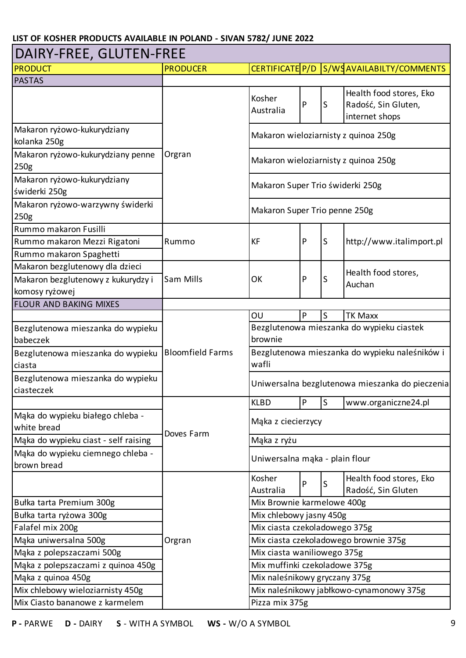| DAIRY-FREE, GLUTEN-FREE                               |                         |                                                         |              |    |                                                                  |  |  |
|-------------------------------------------------------|-------------------------|---------------------------------------------------------|--------------|----|------------------------------------------------------------------|--|--|
| <b>PRODUCT</b>                                        | <b>PRODUCER</b>         | CERTIFICATE P/D                                         |              |    | S/WSAVAILABILTY/COMMENTS                                         |  |  |
| <b>PASTAS</b>                                         |                         |                                                         |              |    |                                                                  |  |  |
|                                                       |                         | Kosher<br>Australia                                     | P            | ls | Health food stores, Eko<br>Radość, Sin Gluten,<br>internet shops |  |  |
| Makaron ryżowo-kukurydziany<br>kolanka 250g           |                         |                                                         |              |    | Makaron wieloziarnisty z quinoa 250g                             |  |  |
| Makaron ryżowo-kukurydziany penne<br>250 <sub>g</sub> | Orgran                  | Makaron wieloziarnisty z quinoa 250g                    |              |    |                                                                  |  |  |
| Makaron ryżowo-kukurydziany<br>świderki 250g          |                         | Makaron Super Trio świderki 250g                        |              |    |                                                                  |  |  |
| Makaron ryżowo-warzywny świderki<br>250 <sub>g</sub>  |                         | Makaron Super Trio penne 250g                           |              |    |                                                                  |  |  |
| Rummo makaron Fusilli                                 |                         |                                                         |              |    |                                                                  |  |  |
| Rummo makaron Mezzi Rigatoni                          | Rummo                   | <b>KF</b>                                               | P            | ls | http://www.italimport.pl                                         |  |  |
| Rummo makaron Spaghetti                               |                         |                                                         |              |    |                                                                  |  |  |
| Makaron bezglutenowy dla dzieci                       |                         |                                                         |              |    | Health food stores,                                              |  |  |
| Makaron bezglutenowy z kukurydzy i                    | Sam Mills               | OK                                                      | P            | S  | Auchan                                                           |  |  |
| komosy ryżowej                                        |                         |                                                         |              |    |                                                                  |  |  |
| <b>FLOUR AND BAKING MIXES</b>                         |                         |                                                         |              |    |                                                                  |  |  |
|                                                       |                         | P<br>S<br>OU<br><b>TK Maxx</b>                          |              |    |                                                                  |  |  |
| Bezglutenowa mieszanka do wypieku<br>babeczek         |                         | Bezglutenowa mieszanka do wypieku ciastek<br>brownie    |              |    |                                                                  |  |  |
| Bezglutenowa mieszanka do wypieku<br>ciasta           | <b>Bloomfield Farms</b> | Bezglutenowa mieszanka do wypieku naleśników i<br>wafli |              |    |                                                                  |  |  |
| Bezglutenowa mieszanka do wypieku<br>ciasteczek       |                         | Uniwersalna bezglutenowa mieszanka do pieczenia         |              |    |                                                                  |  |  |
|                                                       |                         | <b>KLBD</b>                                             | $\mathsf{P}$ | ls | www.organiczne24.pl                                              |  |  |
| Mąka do wypieku białego chleba -<br>white bread       |                         | Mąka z ciecierzycy                                      |              |    |                                                                  |  |  |
| Mąka do wypieku ciast - self raising                  | Doves Farm              | Mąka z ryżu                                             |              |    |                                                                  |  |  |
| Mąka do wypieku ciemnego chleba -<br>brown bread      |                         | Uniwersalna mąka - plain flour                          |              |    |                                                                  |  |  |
|                                                       |                         | Kosher<br>Australia                                     | P            | S  | Health food stores, Eko<br>Radość, Sin Gluten                    |  |  |
| Bułka tarta Premium 300g                              |                         | Mix Brownie karmelowe 400g                              |              |    |                                                                  |  |  |
| Bułka tarta ryżowa 300g                               |                         | Mix chlebowy jasny 450g                                 |              |    |                                                                  |  |  |
| Falafel mix 200g                                      |                         | Mix ciasta czekoladowego 375g                           |              |    |                                                                  |  |  |
| Mąka uniwersalna 500g                                 | Orgran                  |                                                         |              |    | Mix ciasta czekoladowego brownie 375g                            |  |  |
| Mąka z polepszaczami 500g                             |                         | Mix ciasta waniliowego 375g                             |              |    |                                                                  |  |  |
| Mąka z polepszaczami z quinoa 450g                    |                         | Mix muffinki czekoladowe 375g                           |              |    |                                                                  |  |  |
| Mąka z quinoa 450g                                    |                         | Mix naleśnikowy gryczany 375g                           |              |    |                                                                  |  |  |
| Mix chlebowy wieloziarnisty 450g                      |                         |                                                         |              |    | Mix naleśnikowy jabłkowo-cynamonowy 375g                         |  |  |
| Mix Ciasto bananowe z karmelem                        |                         | Pizza mix 375g                                          |              |    |                                                                  |  |  |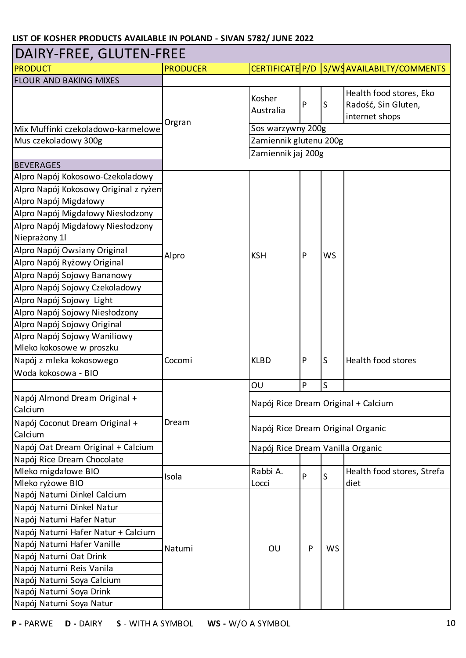### DAIRY-FREE, GLUTEN-FREE

| <b>PRODUCT</b>                            | <b>PRODUCER</b> |                                     |              |              | CERTIFICATE P/D S/WSAVAILABILTY/COMMENTS                         |  |  |
|-------------------------------------------|-----------------|-------------------------------------|--------------|--------------|------------------------------------------------------------------|--|--|
| <b>FLOUR AND BAKING MIXES</b>             |                 |                                     |              |              |                                                                  |  |  |
|                                           | Orgran          | Kosher<br>Australia                 | $\mathsf{P}$ | S            | Health food stores, Eko<br>Radość, Sin Gluten,<br>internet shops |  |  |
| Mix Muffinki czekoladowo-karmelowe        |                 | Sos warzywny 200g                   |              |              |                                                                  |  |  |
| Mus czekoladowy 300g                      |                 | Zamiennik glutenu 200g              |              |              |                                                                  |  |  |
|                                           |                 | Zamiennik jaj 200g                  |              |              |                                                                  |  |  |
| <b>BEVERAGES</b>                          |                 |                                     |              |              |                                                                  |  |  |
| Alpro Napój Kokosowo-Czekoladowy          |                 |                                     |              |              |                                                                  |  |  |
| Alpro Napój Kokosowy Original z ryżem     |                 |                                     |              |              |                                                                  |  |  |
| Alpro Napój Migdałowy                     |                 |                                     |              |              |                                                                  |  |  |
| Alpro Napój Migdałowy Niesłodzony         |                 |                                     |              |              |                                                                  |  |  |
| Alpro Napój Migdałowy Niesłodzony         |                 |                                     |              |              |                                                                  |  |  |
| Nieprażony 1                              |                 |                                     |              |              |                                                                  |  |  |
| Alpro Napój Owsiany Original              | Alpro           | <b>KSH</b>                          | P            | <b>WS</b>    |                                                                  |  |  |
| Alpro Napój Ryżowy Original               |                 |                                     |              |              |                                                                  |  |  |
| Alpro Napój Sojowy Bananowy               |                 |                                     |              |              |                                                                  |  |  |
| Alpro Napój Sojowy Czekoladowy            |                 |                                     |              |              |                                                                  |  |  |
| Alpro Napój Sojowy Light                  |                 |                                     |              |              |                                                                  |  |  |
| Alpro Napój Sojowy Niesłodzony            |                 |                                     |              |              |                                                                  |  |  |
| Alpro Napój Sojowy Original               |                 |                                     |              |              |                                                                  |  |  |
| Alpro Napój Sojowy Waniliowy              |                 |                                     |              |              |                                                                  |  |  |
| Mleko kokosowe w proszku                  |                 | <b>KLBD</b>                         |              |              |                                                                  |  |  |
| Napój z mleka kokosowego                  | Cocomi          |                                     | P            | S            | Health food stores                                               |  |  |
| Woda kokosowa - BIO                       |                 |                                     |              |              |                                                                  |  |  |
|                                           |                 | OU                                  | $\mathsf{P}$ | $\mathsf{S}$ |                                                                  |  |  |
| Napój Almond Dream Original +<br>Calcium  |                 | Napój Rice Dream Original + Calcium |              |              |                                                                  |  |  |
| Napój Coconut Dream Original +<br>Calcium | Dream           | Napój Rice Dream Original Organic   |              |              |                                                                  |  |  |
| Napój Oat Dream Original + Calcium        |                 | Napój Rice Dream Vanilla Organic    |              |              |                                                                  |  |  |
| Napój Rice Dream Chocolate                |                 |                                     |              |              |                                                                  |  |  |
| Mleko migdałowe BIO                       | Isola           | Rabbi A.                            | P            | S            | Health food stores, Strefa                                       |  |  |
| Mleko ryżowe BIO                          |                 | Locci                               |              |              | diet                                                             |  |  |
| Napój Natumi Dinkel Calcium               |                 |                                     |              |              |                                                                  |  |  |
| Napój Natumi Dinkel Natur                 |                 |                                     |              |              |                                                                  |  |  |
| Napój Natumi Hafer Natur                  |                 |                                     |              |              |                                                                  |  |  |
| Napój Natumi Hafer Natur + Calcium        |                 |                                     |              |              |                                                                  |  |  |
| Napój Natumi Hafer Vanille                | Natumi          | OU                                  | P            | WS           |                                                                  |  |  |
| Napój Natumi Oat Drink                    |                 |                                     |              |              |                                                                  |  |  |
| Napój Natumi Reis Vanila                  |                 |                                     |              |              |                                                                  |  |  |
| Napój Natumi Soya Calcium                 |                 |                                     |              |              |                                                                  |  |  |
| Napój Natumi Soya Drink                   |                 |                                     |              |              |                                                                  |  |  |
| Napój Natumi Soya Natur                   |                 |                                     |              |              |                                                                  |  |  |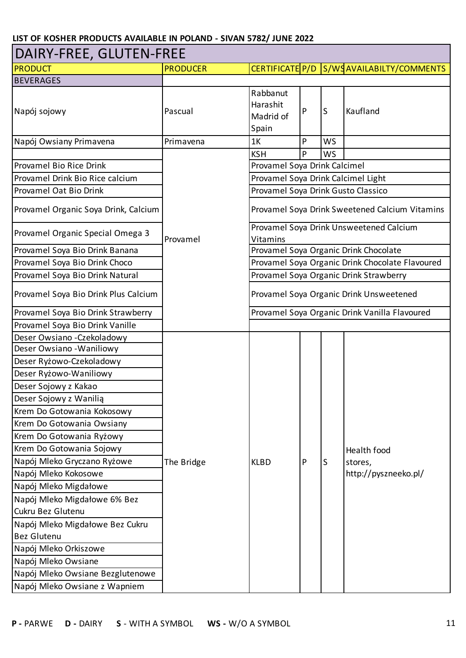### DAIRY-FREE, GLUTEN-FREE

| <b>PRODUCT</b>                       | <b>PRODUCER</b> |                                               |   |           | CERTIFICATE P/D S/WSAVAILABILTY/COMMENTS        |  |  |  |
|--------------------------------------|-----------------|-----------------------------------------------|---|-----------|-------------------------------------------------|--|--|--|
| <b>BEVERAGES</b>                     |                 |                                               |   |           |                                                 |  |  |  |
| Napój sojowy                         | Pascual         | Rabbanut<br>Harashit<br>Madrid of<br>Spain    | P | S         | Kaufland                                        |  |  |  |
| Napój Owsiany Primavena              | Primavena       | 1K                                            | P | <b>WS</b> |                                                 |  |  |  |
|                                      |                 | <b>KSH</b>                                    | P | WS        |                                                 |  |  |  |
| Provamel Bio Rice Drink              |                 | Provamel Soya Drink Calcimel                  |   |           |                                                 |  |  |  |
| Provamel Drink Bio Rice calcium      |                 | Provamel Soya Drink Calcimel Light            |   |           |                                                 |  |  |  |
| Provamel Oat Bio Drink               |                 | Provamel Soya Drink Gusto Classico            |   |           |                                                 |  |  |  |
| Provamel Organic Soya Drink, Calcium |                 |                                               |   |           | Provamel Soya Drink Sweetened Calcium Vitamins  |  |  |  |
| Provamel Organic Special Omega 3     | Provamel        | Vitamins                                      |   |           | Provamel Soya Drink Unsweetened Calcium         |  |  |  |
| Provamel Soya Bio Drink Banana       |                 |                                               |   |           | Provamel Soya Organic Drink Chocolate           |  |  |  |
| Provamel Soya Bio Drink Choco        |                 |                                               |   |           | Provamel Soya Organic Drink Chocolate Flavoured |  |  |  |
| Provamel Soya Bio Drink Natural      |                 | Provamel Soya Organic Drink Strawberry        |   |           |                                                 |  |  |  |
| Provamel Soya Bio Drink Plus Calcium |                 | Provamel Soya Organic Drink Unsweetened       |   |           |                                                 |  |  |  |
| Provamel Soya Bio Drink Strawberry   |                 | Provamel Soya Organic Drink Vanilla Flavoured |   |           |                                                 |  |  |  |
| Provamel Soya Bio Drink Vanille      |                 |                                               |   |           |                                                 |  |  |  |
| Deser Owsiano - Czekoladowy          |                 |                                               |   |           |                                                 |  |  |  |
| Deser Owsiano - Waniliowy            |                 |                                               |   |           |                                                 |  |  |  |
| Deser Ryżowo-Czekoladowy             |                 |                                               |   |           |                                                 |  |  |  |
| Deser Ryżowo-Waniliowy               |                 |                                               |   |           |                                                 |  |  |  |
| Deser Sojowy z Kakao                 |                 |                                               |   |           |                                                 |  |  |  |
| Deser Sojowy z Wanilia               |                 |                                               |   |           |                                                 |  |  |  |
| Krem Do Gotowania Kokosowy           |                 |                                               |   |           |                                                 |  |  |  |
| Krem Do Gotowania Owsiany            |                 |                                               |   |           |                                                 |  |  |  |
| Krem Do Gotowania Ryżowy             |                 |                                               |   |           |                                                 |  |  |  |
| Krem Do Gotowania Sojowy             |                 |                                               |   |           | Health food                                     |  |  |  |
| Napój Mleko Gryczano Ryżowe          | The Bridge      | <b>KLBD</b>                                   | P | S         | stores,                                         |  |  |  |
| Napój Mleko Kokosowe                 |                 |                                               |   |           | http://pyszneeko.pl/                            |  |  |  |
| Napój Mleko Migdałowe                |                 |                                               |   |           |                                                 |  |  |  |
| Napój Mleko Migdałowe 6% Bez         |                 |                                               |   |           |                                                 |  |  |  |
| Cukru Bez Glutenu                    |                 |                                               |   |           |                                                 |  |  |  |
| Napój Mleko Migdałowe Bez Cukru      |                 |                                               |   |           |                                                 |  |  |  |
| <b>Bez Glutenu</b>                   |                 |                                               |   |           |                                                 |  |  |  |
| Napój Mleko Orkiszowe                |                 |                                               |   |           |                                                 |  |  |  |
| Napój Mleko Owsiane                  |                 |                                               |   |           |                                                 |  |  |  |
| Napój Mleko Owsiane Bezglutenowe     |                 |                                               |   |           |                                                 |  |  |  |
| Napój Mleko Owsiane z Wapniem        |                 |                                               |   |           |                                                 |  |  |  |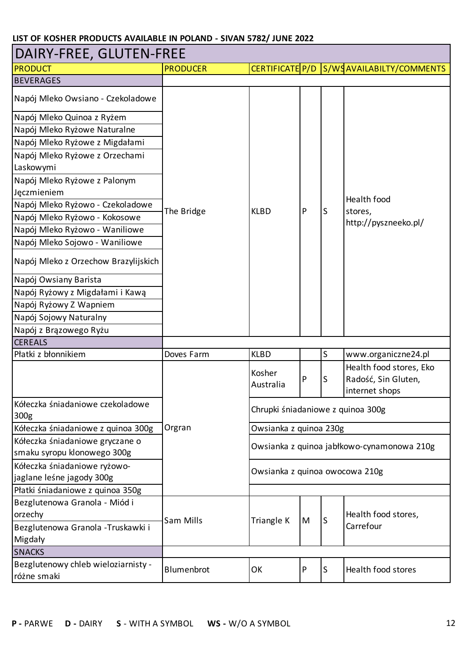| DAIRY-FREE, GLUTEN-FREE                            |                 |                                   |   |              |                                                                  |  |
|----------------------------------------------------|-----------------|-----------------------------------|---|--------------|------------------------------------------------------------------|--|
| <b>PRODUCT</b>                                     | <b>PRODUCER</b> |                                   |   |              | CERTIFICATE P/D S/WSAVAILABILTY/COMMENTS                         |  |
| <b>BEVERAGES</b>                                   |                 |                                   |   |              |                                                                  |  |
| Napój Mleko Owsiano - Czekoladowe                  |                 |                                   |   |              |                                                                  |  |
| Napój Mleko Quinoa z Ryżem                         |                 |                                   |   |              |                                                                  |  |
| Napój Mleko Ryżowe Naturalne                       |                 |                                   |   |              |                                                                  |  |
| Napój Mleko Ryżowe z Migdałami                     |                 |                                   |   |              |                                                                  |  |
| Napój Mleko Ryżowe z Orzechami                     |                 |                                   |   |              |                                                                  |  |
| Laskowymi                                          |                 |                                   |   |              |                                                                  |  |
| Napój Mleko Ryżowe z Palonym                       |                 |                                   |   |              |                                                                  |  |
| Jęczmieniem                                        |                 |                                   |   |              |                                                                  |  |
| Napój Mleko Ryżowo - Czekoladowe                   | The Bridge      | <b>KLBD</b>                       | P | S            | Health food<br>stores,                                           |  |
| Napój Mleko Ryżowo - Kokosowe                      |                 |                                   |   |              | http://pyszneeko.pl/                                             |  |
| Napój Mleko Ryżowo - Waniliowe                     |                 |                                   |   |              |                                                                  |  |
| Napój Mleko Sojowo - Waniliowe                     |                 |                                   |   |              |                                                                  |  |
| Napój Mleko z Orzechow Brazylijskich               |                 |                                   |   |              |                                                                  |  |
| Napój Owsiany Barista                              |                 |                                   |   |              |                                                                  |  |
| Napój Ryżowy z Migdałami i Kawą                    |                 |                                   |   |              |                                                                  |  |
| Napój Ryżowy Z Wapniem                             |                 |                                   |   |              |                                                                  |  |
| Napój Sojowy Naturalny                             |                 |                                   |   |              |                                                                  |  |
| Napój z Brązowego Ryżu                             |                 |                                   |   |              |                                                                  |  |
| <b>CEREALS</b>                                     |                 |                                   |   |              |                                                                  |  |
| Płatki z błonnikiem                                | Doves Farm      | <b>KLBD</b>                       |   | $\mathsf{S}$ | www.organiczne24.pl                                              |  |
|                                                    |                 | Kosher<br>Australia               | P | S            | Health food stores, Eko<br>Radość, Sin Gluten,<br>internet shops |  |
| Kółeczka śniadaniowe czekoladowe<br>300g           |                 | Chrupki śniadaniowe z quinoa 300g |   |              |                                                                  |  |
| Kółeczka śniadaniowe z quinoa 300g                 | Orgran          | Owsianka z quinoa 230g            |   |              |                                                                  |  |
| Kółeczka śniadaniowe gryczane o                    |                 |                                   |   |              | Owsianka z quinoa jabłkowo-cynamonowa 210g                       |  |
| smaku syropu klonowego 300g                        |                 |                                   |   |              |                                                                  |  |
| Kółeczka śniadaniowe ryżowo-                       |                 | Owsianka z quinoa owocowa 210g    |   |              |                                                                  |  |
| jaglane leśne jagody 300g                          |                 |                                   |   |              |                                                                  |  |
| Płatki śniadaniowe z quinoa 350g                   |                 |                                   |   |              |                                                                  |  |
| Bezglutenowa Granola - Miód i                      |                 |                                   |   |              |                                                                  |  |
| orzechy                                            | Sam Mills       | Triangle K                        | M | S            | Health food stores,                                              |  |
| Bezglutenowa Granola - Truskawki i<br>Migdały      |                 |                                   |   |              | Carrefour                                                        |  |
| <b>SNACKS</b>                                      |                 |                                   |   |              |                                                                  |  |
| Bezglutenowy chleb wieloziarnisty -<br>różne smaki | Blumenbrot      | OK                                | P | S            | Health food stores                                               |  |
|                                                    |                 |                                   |   |              |                                                                  |  |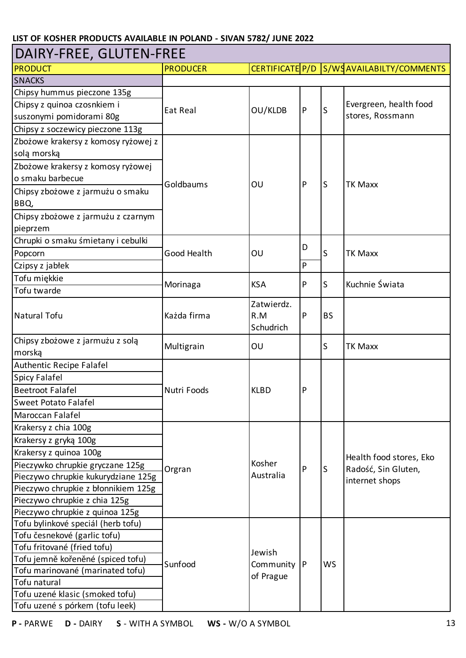### DAIRY-FREE, GLUTEN-FREE

| <b>PRODUCT</b>                      | <b>PRODUCER</b> |                                |           |             | CERTIFICATE P/D S/WSAVAILABILTY/COMMENTS                         |
|-------------------------------------|-----------------|--------------------------------|-----------|-------------|------------------------------------------------------------------|
| <b>SNACKS</b>                       |                 |                                |           |             |                                                                  |
| Chipsy hummus pieczone 135g         |                 |                                |           |             |                                                                  |
| Chipsy z quinoa czosnkiem i         | Eat Real        | OU/KLDB                        | ${\sf P}$ | S           | Evergreen, health food                                           |
| suszonymi pomidorami 80g            |                 |                                |           |             | stores, Rossmann                                                 |
| Chipsy z soczewicy pieczone 113g    |                 |                                |           |             |                                                                  |
| Zbożowe krakersy z komosy ryżowej z |                 |                                |           |             |                                                                  |
| solą morską                         |                 |                                |           |             |                                                                  |
| Zbożowe krakersy z komosy ryżowej   |                 |                                |           |             |                                                                  |
| o smaku barbecue                    | Goldbaums       |                                | P         | S           |                                                                  |
| Chipsy zbożowe z jarmużu o smaku    |                 | OU                             |           |             | <b>TK Maxx</b>                                                   |
| BBQ,                                |                 |                                |           |             |                                                                  |
| Chipsy zbożowe z jarmużu z czarnym  |                 |                                |           |             |                                                                  |
| pieprzem                            |                 |                                |           |             |                                                                  |
| Chrupki o smaku śmietany i cebulki  |                 |                                |           |             |                                                                  |
| Popcorn                             | Good Health     | OU                             | D         | S           | <b>TK Maxx</b>                                                   |
| Czipsy z jabłek                     |                 |                                | P         |             |                                                                  |
| Tofu miękkie                        |                 | <b>KSA</b>                     | P         | $\mathsf S$ | Kuchnie Świata                                                   |
| Tofu twarde                         | Morinaga        |                                |           |             |                                                                  |
| Natural Tofu                        | Każda firma     | Zatwierdz.<br>R.M<br>Schudrich | P         | <b>BS</b>   |                                                                  |
| Chipsy zbożowe z jarmużu z solą     | Multigrain      | OU                             |           | S           | <b>TK Maxx</b>                                                   |
| morską                              |                 |                                |           |             |                                                                  |
| Authentic Recipe Falafel            |                 |                                |           |             |                                                                  |
| <b>Spicy Falafel</b>                |                 |                                | P         |             |                                                                  |
| <b>Beetroot Falafel</b>             | Nutri Foods     | <b>KLBD</b>                    |           |             |                                                                  |
| <b>Sweet Potato Falafel</b>         |                 |                                |           |             |                                                                  |
| Maroccan Falafel                    |                 |                                |           |             |                                                                  |
| Krakersy z chia 100g                |                 |                                |           |             |                                                                  |
| Krakersy z gryką 100g               |                 |                                |           |             |                                                                  |
| Krakersy z quinoa 100g              |                 |                                |           |             |                                                                  |
| Pieczywko chrupkie gryczane 125g    | Orgran          | Kosher                         | P         | S           | Health food stores, Eko<br>Radość, Sin Gluten,<br>internet shops |
| Pieczywo chrupkie kukurydziane 125g |                 | Australia                      |           |             |                                                                  |
| Pieczywo chrupkie z błonnikiem 125g |                 |                                |           |             |                                                                  |
| Pieczywo chrupkie z chia 125g       |                 |                                |           |             |                                                                  |
| Pieczywo chrupkie z quinoa 125g     |                 |                                |           |             |                                                                  |
| Tofu bylinkové speciál (herb tofu)  |                 |                                |           |             |                                                                  |
| Tofu česnekové (garlic tofu)        |                 |                                |           |             |                                                                  |
| Tofu fritované (fried tofu)         |                 | Jewish                         |           |             |                                                                  |
| Tofu jemně kořeněné (spiced tofu)   | Sunfood         | Community   P                  |           | <b>WS</b>   |                                                                  |
| Tofu marinované (marinated tofu)    |                 | of Prague                      |           |             |                                                                  |
| Tofu natural                        |                 |                                |           |             |                                                                  |
| Tofu uzené klasic (smoked tofu)     |                 |                                |           |             |                                                                  |
| Tofu uzené s pórkem (tofu leek)     |                 |                                |           |             |                                                                  |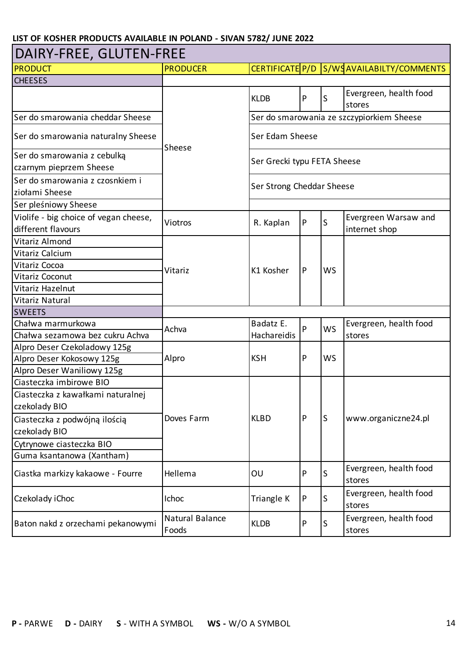#### PRODUCT PRODUCER **PRODUCER PRODUCER CERTIFICATE P/D S/WSAVAILABILTY/COMMENTS CHEESES** KLDB  $\begin{vmatrix} P & S \end{vmatrix}$  Evergreen, health food stores Ser do smarowania cheddar Sheese Ser do smarowania naturalny Sheese Ser do smarowania z cebulką czarnym pieprzem Sheese Ser do smarowania z czosnkiem i ziołami Sheese Ser pleśniowy Sheese Violife - big choice of vegan cheese, different flavours Viotros R. Kaplan <sup>P</sup> <sup>S</sup> Evergreen Warsaw and internet shop Vitariz Almond Vitariz Calcium Vitariz Cocoa Vitariz Coconut Vitariz Hazelnut Vitariz Natural **SWEETS** Chałwa marmurkowa Chałwa sezamowa bez cukru Achva Alpro Deser Czekoladowy 125g Alpro Deser Kokosowy 125g Alpro Deser Waniliowy 125g Ciasteczka imbirowe BIO Ciasteczka z kawałkami naturalnej czekolady BIO Ciasteczka z podwójną ilością czekolady BIO Cytrynowe ciasteczka BIO Guma ksantanowa (Xantham) Ciastka markizy kakaowe - Fourre Hellema OU <sup>P</sup> <sup>S</sup> Evergreen, health food stores Czekolady iChoc Ichoc Ichoc Triangle K P S Evergreen, health food stores Baton nakd z orzechami pekanowymi  $\left| \begin{array}{c} \text{Natural Balance} \\ \text{Foods} \end{array} \right|$  $KLDB$   $\left| \begin{matrix} P & S \end{matrix} \right|$  Evergreen, health food stores Ser Strong Cheddar Sheese Vitariz K1 Kosher Sheese WS Ser Grecki typu FETA Sheese P Alpro P Badatz E. Hachareidis Doves Farm DAIRY-FREE, GLUTEN-FREE P Achva www.organiczne24.pl Ser do smarowania ze szczypiorkiem Sheese  $KLBD$   $\vert P \vert S \vert$ P WS KSH Ser Edam Sheese WS Evergreen, health food stores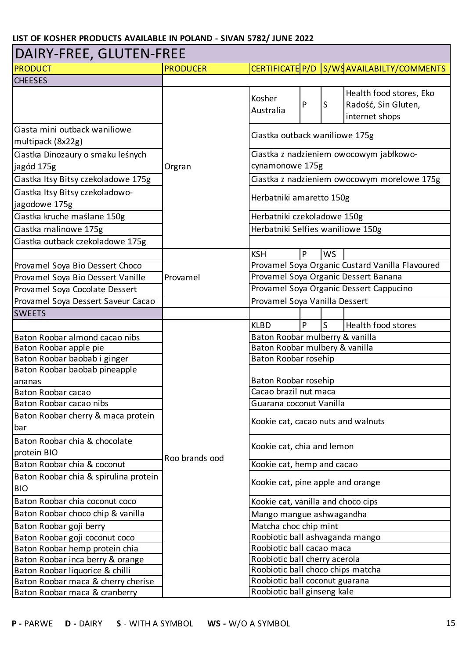#### PRODUCT PRODUCER PRODUCER CERTIFICATE P/D S/WSAVAILABILTY/COMMENTS CHEESES Kosher Nusliei p S Health food stores, Eko Radość, Sin Gluten, internet shops Ciasta mini outback waniliowe multipack (8x22g) Ciastka Dinozaury o smaku leśnych jagód 175g Ciastka Itsy Bitsy czekoladowe 175g Ciastka Itsy Bitsy czekoladowojagodowe 175g Ciastka kruche maślane 150g Ciastka malinowe 175g Ciastka outback czekoladowe 175g KSH P WS Provamel Soya Bio Dessert Choco Provamel Soya Bio Dessert Vanille Provamel Soya Cocolate Dessert Provamel Soya Dessert Saveur Cacao **SWEETS**  $KLBD$   $\vert P \vert$   $\vert S \vert$  Health food stores Baton Roobar almond cacao nibs Baton Roobar apple pie Baton Roobar baobab i ginger Baton Roobar baobab pineapple ananas Baton Roobar cacao Baton Roobar cacao nibs Baton Roobar cherry & maca protein bar Baton Roobar chia & chocolate protein BIO Baton Roobar chia & coconut Baton Roobar chia & spirulina protein BIO Baton Roobar chia coconut coco Baton Roobar choco chip & vanilla Baton Roobar goji berry Baton Roobar goji coconut coco Baton Roobar hemp protein chia Baton Roobar inca berry & orange Baton Roobar liquorice & chilli Baton Roobar maca & cherry cherise Baton Roobar maca & cranberry Baton Roobar mulbery & vanilla Orgran Cacao brazil nut maca Kookie cat, pine apple and orange Kookie cat, vanilla and choco cips Matcha choc chip mint Roobiotic ball ashvaganda mango Roobiotic ball coconut guarana Herbatniki czekoladowe 150g Baton Roobar mulberry & vanilla Provamel Roobiotic ball cacao maca Provamel Soya Organic Dessert Banana Roobiotic ball cherry acerola Roobiotic ball choco chips matcha Roobiotic ball ginseng kale Kookie cat, hemp and cacao Provamel Soya Vanilla Dessert Provamel Soya Organic Dessert Cappucino Baton Roobar rosehip Ciastka z nadzieniem owocowym morelowe 175g Mango mangue ashwagandha Kookie cat, cacao nuts and walnuts Herbatniki Selfies waniliowe 150g Ciastka outback waniliowe 175g Kookie cat, chia and lemon Ciastka z nadzieniem owocowym jabłkowocynamonowe 175g Provamel Soya Organic Custard Vanilla Flavoured Baton Roobar rosehip Guarana coconut Vanilla DAIRY-FREE, GLUTEN-FREE Roo brands ood Herbatniki amaretto 150g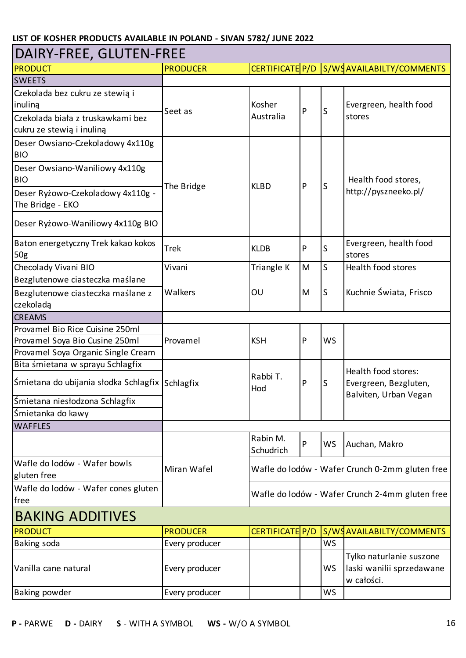| DAIRY-FREE, GLUTEN-FREE                         |                 |                 |   |                        |                                                 |  |
|-------------------------------------------------|-----------------|-----------------|---|------------------------|-------------------------------------------------|--|
| <b>PRODUCT</b>                                  | <b>PRODUCER</b> | CERTIFICATE P/D |   |                        | S/WSAVAILABILTY/COMMENTS                        |  |
| <b>SWEETS</b>                                   |                 |                 |   |                        |                                                 |  |
| Czekolada bez cukru ze stewią i                 |                 |                 |   |                        |                                                 |  |
| inuliną                                         |                 | Kosher          |   |                        | Evergreen, health food                          |  |
| Czekolada biała z truskawkami bez               | Seet as         | Australia       | P | S                      | stores                                          |  |
| cukru ze stewią i inuliną                       |                 |                 |   |                        |                                                 |  |
| Deser Owsiano-Czekoladowy 4x110g                |                 |                 |   |                        |                                                 |  |
| <b>BIO</b>                                      |                 |                 |   |                        |                                                 |  |
| Deser Owsiano-Waniliowy 4x110g                  |                 |                 |   |                        |                                                 |  |
| <b>BIO</b>                                      |                 |                 |   |                        | Health food stores,                             |  |
| Deser Ryżowo-Czekoladowy 4x110g -               | The Bridge      | <b>KLBD</b>     | P | S                      | http://pyszneeko.pl/                            |  |
| The Bridge - EKO                                |                 |                 |   |                        |                                                 |  |
|                                                 |                 |                 |   |                        |                                                 |  |
| Deser Ryżowo-Waniliowy 4x110g BIO               |                 |                 |   |                        |                                                 |  |
| Baton energetyczny Trek kakao kokos             |                 |                 |   | Evergreen, health food |                                                 |  |
| 50 <sub>g</sub>                                 | <b>Trek</b>     | <b>KLDB</b>     | P | S                      | stores                                          |  |
| Checolady Vivani BIO                            | Vivani          | Triangle K      | M | S                      | Health food stores                              |  |
| Bezglutenowe ciasteczka maślane                 |                 |                 |   |                        |                                                 |  |
| Bezglutenowe ciasteczka maślane z               | Walkers         | OU              | M | <sub>S</sub>           | Kuchnie Świata, Frisco                          |  |
| czekoladą                                       |                 |                 |   |                        |                                                 |  |
| <b>CREAMS</b>                                   |                 |                 |   |                        |                                                 |  |
| Provamel Bio Rice Cuisine 250ml                 |                 |                 |   |                        |                                                 |  |
| Provamel Soya Bio Cusine 250ml                  | Provamel        | <b>KSH</b>      | P | <b>WS</b>              |                                                 |  |
| Provamel Soya Organic Single Cream              |                 |                 |   |                        |                                                 |  |
| Bita śmietana w sprayu Schlagfix                |                 |                 |   |                        |                                                 |  |
|                                                 |                 | Rabbi T.        |   | S                      | Health food stores:                             |  |
| Śmietana do ubijania słodka Schlagfix Schlagfix |                 | Hod             | P |                        | Evergreen, Bezgluten,                           |  |
| Śmietana niesłodzona Schlagfix                  |                 |                 |   |                        | Balviten, Urban Vegan                           |  |
| Śmietanka do kawy                               |                 |                 |   |                        |                                                 |  |
| <b>WAFFLES</b>                                  |                 |                 |   |                        |                                                 |  |
|                                                 |                 | Rabin M.        |   |                        |                                                 |  |
|                                                 |                 | Schudrich       | P | <b>WS</b>              | Auchan, Makro                                   |  |
| Wafle do lodów - Wafer bowls                    |                 |                 |   |                        |                                                 |  |
| gluten free                                     | Miran Wafel     |                 |   |                        | Wafle do lodów - Wafer Crunch 0-2mm gluten free |  |
| Wafle do lodów - Wafer cones gluten             |                 |                 |   |                        |                                                 |  |
| free                                            |                 |                 |   |                        | Wafle do lodów - Wafer Crunch 2-4mm gluten free |  |
| <b>BAKING ADDITIVES</b>                         |                 |                 |   |                        |                                                 |  |
| <b>PRODUCT</b>                                  | <b>PRODUCER</b> | CERTIFICATE P/D |   |                        | S/WSAVAILABILTY/COMMENTS                        |  |
| Baking soda                                     | Every producer  |                 |   | <b>WS</b>              |                                                 |  |
|                                                 |                 |                 |   |                        | Tylko naturlanie suszone                        |  |
| Vanilla cane natural                            | Every producer  |                 |   | WS                     | laski wanilii sprzedawane                       |  |
|                                                 |                 |                 |   |                        | w całości.                                      |  |
| Baking powder                                   | Every producer  |                 |   | WS                     |                                                 |  |
|                                                 |                 |                 |   |                        |                                                 |  |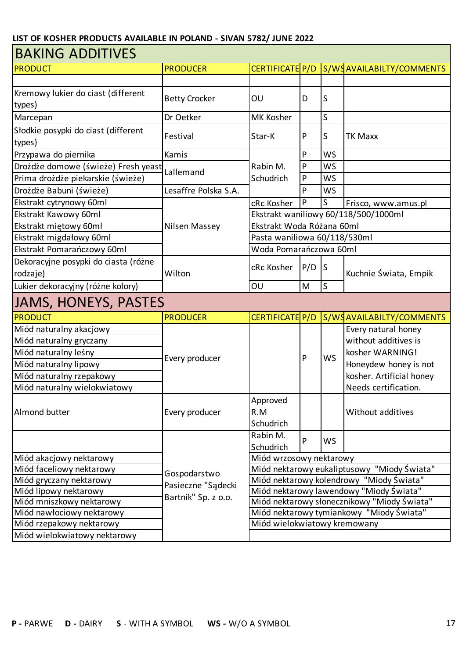| <b>BAKING ADDITIVES</b>                      |                      |                              |                              |           |                                             |  |  |
|----------------------------------------------|----------------------|------------------------------|------------------------------|-----------|---------------------------------------------|--|--|
| <b>PRODUCT</b>                               | <b>PRODUCER</b>      | CERTIFICATE P/D              |                              |           | S/WSAVAILABILTY/COMMENTS                    |  |  |
|                                              |                      |                              |                              |           |                                             |  |  |
| Kremowy lukier do ciast (different<br>types) | <b>Betty Crocker</b> | OU                           | D                            | S         |                                             |  |  |
| Marcepan                                     | Dr Oetker            | MK Kosher                    |                              | S         |                                             |  |  |
| Słodkie posypki do ciast (different          |                      |                              |                              |           |                                             |  |  |
| types)                                       | Festival             | Star-K                       | P                            | S         | <b>TK Maxx</b>                              |  |  |
| Przypawa do piernika                         | Kamis                | Rabin M.                     | P                            | WS        |                                             |  |  |
| Drożdże domowe (świeże) Fresh yeast          | Lallemand            |                              | P                            | <b>WS</b> |                                             |  |  |
| Prima drożdże piekarskie (świeże)            |                      | Schudrich                    | P                            | <b>WS</b> |                                             |  |  |
| Drożdże Babuni (świeże)                      | Lesaffre Polska S.A. |                              | P                            | <b>WS</b> |                                             |  |  |
| Ekstrakt cytrynowy 60ml                      |                      | cRc Kosher                   | P                            | S         | Frisco, www.amus.pl                         |  |  |
| Ekstrakt Kawowy 60ml                         |                      |                              |                              |           | Ekstrakt waniliowy 60/118/500/1000ml        |  |  |
| Ekstrakt miętowy 60ml                        | Nilsen Massey        | Ekstrakt Woda Różana 60ml    |                              |           |                                             |  |  |
| Ekstrakt migdałowy 60ml                      |                      |                              | Pasta waniliowa 60/118/530ml |           |                                             |  |  |
| Ekstrakt Pomarańczowy 60ml                   |                      | Woda Pomarańczowa 60ml       |                              |           |                                             |  |  |
| Dekoracyjne posypki do ciasta (różne         |                      |                              |                              |           |                                             |  |  |
| rodzaje)                                     | Wilton               | cRc Kosher                   | P/D                          | ls        | Kuchnie Świata, Empik                       |  |  |
| Lukier dekoracyjny (różne kolory)            |                      | OU                           | M                            | S         |                                             |  |  |
| <b>JAMS, HONEYS, PASTES</b>                  |                      |                              |                              |           |                                             |  |  |
| <b>PRODUCT</b>                               | <b>PRODUCER</b>      | CERTIFICATE P/D              |                              |           | S/WSAVAILABILTY/COMMENTS                    |  |  |
| Miód naturalny akacjowy                      |                      |                              |                              |           | Every natural honey                         |  |  |
| Miód naturalny gryczany                      |                      |                              |                              |           | without additives is                        |  |  |
| Miód naturalny leśny                         |                      |                              | P                            | <b>WS</b> | kosher WARNING!                             |  |  |
| Miód naturalny lipowy                        | Every producer       |                              |                              |           | Honeydew honey is not                       |  |  |
| Miód naturalny rzepakowy                     |                      |                              |                              |           | kosher. Artificial honey                    |  |  |
| Miód naturalny wielokwiatowy                 |                      |                              |                              |           | Needs certification.                        |  |  |
|                                              |                      | Approved                     |                              |           |                                             |  |  |
| Almond butter                                | Every producer       | R.M                          |                              |           | Without additives                           |  |  |
|                                              |                      | Schudrich                    |                              |           |                                             |  |  |
|                                              |                      | Rabin M.                     |                              |           |                                             |  |  |
|                                              |                      | Schudrich                    | P                            | <b>WS</b> |                                             |  |  |
| Miód akacjowy nektarowy                      |                      | Miód wrzosowy nektarowy      |                              |           |                                             |  |  |
| Miód faceliowy nektarowy                     |                      |                              |                              |           | Miód nektarowy eukaliptusowy "Miody Świata" |  |  |
| Miód gryczany nektarowy                      | Gospodarstwo         |                              |                              |           | Miód nektarowy kolendrowy "Miody Świata"    |  |  |
| Miód lipowy nektarowy                        | Pasieczne "Sądecki   |                              |                              |           | Miód nektarowy lawendowy "Miody Świata"     |  |  |
| Miód mniszkowy nektarowy                     | Bartnik" Sp. z o.o.  |                              |                              |           | Miód nektarowy słonecznikowy "Miody Świata" |  |  |
| Miód nawłociowy nektarowy                    |                      |                              |                              |           | Miód nektarowy tymiankowy "Miody Świata"    |  |  |
| Miód rzepakowy nektarowy                     |                      | Miód wielokwiatowy kremowany |                              |           |                                             |  |  |
| Miód wielokwiatowy nektarowy                 |                      |                              |                              |           |                                             |  |  |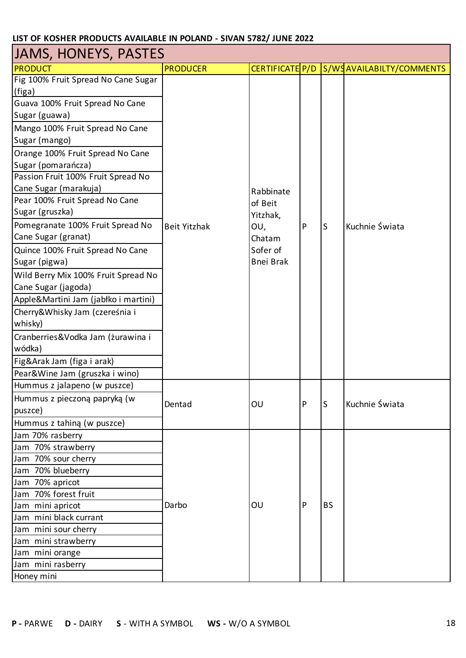| <b>JAMS, HONEYS, PASTES</b>          |                     |                  |   |           |                          |  |  |
|--------------------------------------|---------------------|------------------|---|-----------|--------------------------|--|--|
| <b>PRODUCT</b>                       | <b>PRODUCER</b>     | CERTIFICATE P/D  |   |           | S/WSAVAILABILTY/COMMENTS |  |  |
| Fig 100% Fruit Spread No Cane Sugar  |                     |                  |   |           |                          |  |  |
| (figa)                               |                     |                  |   |           |                          |  |  |
| Guava 100% Fruit Spread No Cane      |                     |                  |   |           |                          |  |  |
| Sugar (guawa)                        |                     |                  |   |           |                          |  |  |
| Mango 100% Fruit Spread No Cane      |                     |                  |   |           |                          |  |  |
| Sugar (mango)                        |                     |                  |   |           |                          |  |  |
| Orange 100% Fruit Spread No Cane     |                     |                  |   |           |                          |  |  |
| Sugar (pomarańcza)                   |                     |                  |   |           |                          |  |  |
| Passion Fruit 100% Fruit Spread No   |                     |                  |   |           |                          |  |  |
| Cane Sugar (marakuja)                |                     | Rabbinate        |   |           |                          |  |  |
| Pear 100% Fruit Spread No Cane       |                     | of Beit          |   |           |                          |  |  |
| Sugar (gruszka)                      |                     | Yitzhak,         |   |           |                          |  |  |
| Pomegranate 100% Fruit Spread No     | <b>Beit Yitzhak</b> | OU,              | P | S         | Kuchnie Świata           |  |  |
| Cane Sugar (granat)                  |                     | Chatam           |   |           |                          |  |  |
| Quince 100% Fruit Spread No Cane     |                     | Sofer of         |   |           |                          |  |  |
| Sugar (pigwa)                        |                     | <b>Bnei Brak</b> |   |           |                          |  |  |
| Wild Berry Mix 100% Fruit Spread No  |                     |                  |   |           |                          |  |  |
| Cane Sugar (jagoda)                  |                     |                  |   |           |                          |  |  |
| Apple&Martini Jam (jabłko i martini) |                     |                  |   |           |                          |  |  |
| Cherry&Whisky Jam (czereśnia i       |                     |                  |   |           |                          |  |  |
| whisky)                              |                     |                  |   |           |                          |  |  |
| Cranberries&Vodka Jam (żurawina i    |                     |                  |   |           |                          |  |  |
| wódka)                               |                     |                  |   |           |                          |  |  |
| Fig&Arak Jam (figa i arak)           |                     |                  |   |           |                          |  |  |
| Pear&Wine Jam (gruszka i wino)       |                     |                  |   |           |                          |  |  |
| Hummus z jalapeno (w puszce)         |                     |                  |   |           |                          |  |  |
| Hummus z pieczoną papryką (w         |                     |                  |   |           |                          |  |  |
| puszce)                              | Dentad              | OU               | P | S         | Kuchnie Świata           |  |  |
| Hummus z tahiną (w puszce)           |                     |                  |   |           |                          |  |  |
| Jam 70% rasberry                     |                     |                  |   |           |                          |  |  |
| Jam 70% strawberry                   |                     |                  |   |           |                          |  |  |
| Jam 70% sour cherry                  |                     |                  |   |           |                          |  |  |
| Jam 70% blueberry                    |                     |                  |   |           |                          |  |  |
| Jam 70% apricot                      |                     |                  |   |           |                          |  |  |
| Jam 70% forest fruit                 |                     |                  |   |           |                          |  |  |
| Jam mini apricot                     | Darbo               | OU               | P | <b>BS</b> |                          |  |  |
| Jam mini black currant               |                     |                  |   |           |                          |  |  |
| Jam mini sour cherry                 |                     |                  |   |           |                          |  |  |
| Jam mini strawberry                  |                     |                  |   |           |                          |  |  |
| Jam mini orange                      |                     |                  |   |           |                          |  |  |
| Jam mini rasberry                    |                     |                  |   |           |                          |  |  |
| Honey mini                           |                     |                  |   |           |                          |  |  |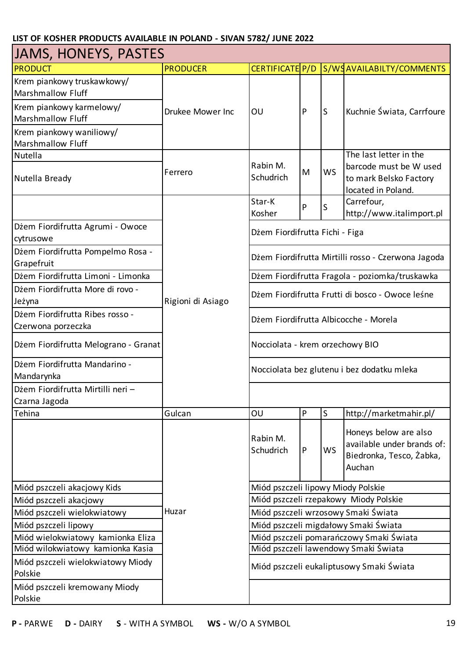| <b>JAMS, HONEYS, PASTES</b>                            |                   |                                                                                          |   |           |                                                                                           |  |  |
|--------------------------------------------------------|-------------------|------------------------------------------------------------------------------------------|---|-----------|-------------------------------------------------------------------------------------------|--|--|
| <b>PRODUCT</b>                                         | <b>PRODUCER</b>   | CERTIFICATE P/D                                                                          |   |           | S/WSAVAILABILTY/COMMENTS                                                                  |  |  |
| Krem piankowy truskawkowy/<br><b>Marshmallow Fluff</b> |                   |                                                                                          |   |           |                                                                                           |  |  |
| Krem piankowy karmelowy/<br><b>Marshmallow Fluff</b>   | Drukee Mower Inc  | OU                                                                                       | P | S         | Kuchnie Świata, Carrfoure                                                                 |  |  |
| Krem piankowy waniliowy/<br><b>Marshmallow Fluff</b>   |                   |                                                                                          |   |           |                                                                                           |  |  |
| Nutella                                                |                   |                                                                                          |   |           | The last letter in the                                                                    |  |  |
| Nutella Bready                                         | Ferrero           | Rabin M.<br>Schudrich                                                                    | M | <b>WS</b> | barcode must be W used<br>to mark Belsko Factory<br>located in Poland.                    |  |  |
|                                                        |                   | Star-K<br>Kosher                                                                         | P | S         | Carrefour,<br>http://www.italimport.pl                                                    |  |  |
| Dżem Fiordifrutta Agrumi - Owoce<br>cytrusowe          |                   | Dżem Fiordifrutta Fichi - Figa                                                           |   |           |                                                                                           |  |  |
| Dżem Fiordifrutta Pompelmo Rosa -<br>Grapefruit        |                   |                                                                                          |   |           | Dżem Fiordifrutta Mirtilli rosso - Czerwona Jagoda                                        |  |  |
| Dżem Fiordifrutta Limoni - Limonka                     |                   | Dżem Fiordifrutta Fragola - poziomka/truskawka                                           |   |           |                                                                                           |  |  |
| Dżem Fiordifrutta More di rovo -<br>Jeżyna             | Rigioni di Asiago | Dżem Fiordifrutta Frutti di bosco - Owoce leśne<br>Dżem Fiordifrutta Albicocche - Morela |   |           |                                                                                           |  |  |
| Dżem Fiordifrutta Ribes rosso -<br>Czerwona porzeczka  |                   |                                                                                          |   |           |                                                                                           |  |  |
| Dżem Fiordifrutta Melograno - Granat                   |                   | Nocciolata - krem orzechowy BIO                                                          |   |           |                                                                                           |  |  |
| Dżem Fiordifrutta Mandarino -<br>Mandarynka            |                   |                                                                                          |   |           | Nocciolata bez glutenu i bez dodatku mleka                                                |  |  |
| Dżem Fiordifrutta Mirtilli neri -<br>Czarna Jagoda     |                   |                                                                                          |   |           |                                                                                           |  |  |
| Tehina                                                 | Gulcan            | OU                                                                                       | P | S         | http://marketmahir.pl/                                                                    |  |  |
|                                                        |                   | Rabin M.<br>Schudrich                                                                    | P | <b>WS</b> | Honeys below are also<br>available under brands of:<br>Biedronka, Tesco, Żabka,<br>Auchan |  |  |
| Miód pszczeli akacjowy Kids                            |                   | Miód pszczeli lipowy Miody Polskie                                                       |   |           |                                                                                           |  |  |
| Miód pszczeli akacjowy                                 |                   |                                                                                          |   |           | Miód pszczeli rzepakowy Miody Polskie                                                     |  |  |
| Miód pszczeli wielokwiatowy                            | Huzar             |                                                                                          |   |           | Miód pszczeli wrzosowy Smaki Świata                                                       |  |  |
| Miód pszczeli lipowy                                   |                   |                                                                                          |   |           | Miód pszczeli migdałowy Smaki Świata                                                      |  |  |
| Miód wielokwiatowy kamionka Eliza                      |                   |                                                                                          |   |           | Miód pszczeli pomarańczowy Smaki Świata                                                   |  |  |
| Miód wilokwiatowy kamionka Kasia                       |                   |                                                                                          |   |           | Miód pszczeli lawendowy Smaki Świata                                                      |  |  |
| Miód pszczeli wielokwiatowy Miody<br>Polskie           |                   |                                                                                          |   |           | Miód pszczeli eukaliptusowy Smaki Świata                                                  |  |  |
| Miód pszczeli kremowany Miody<br>Polskie               |                   |                                                                                          |   |           |                                                                                           |  |  |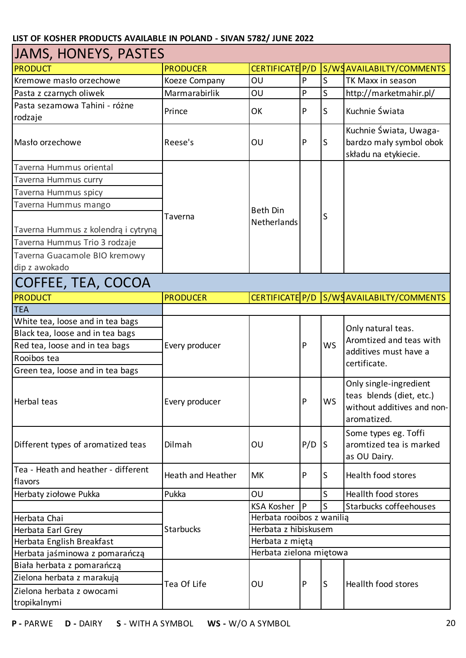| JAMS, HONEYS, PASTES                                                                                                   |                   |                           |              |           |                                                                                                 |  |  |
|------------------------------------------------------------------------------------------------------------------------|-------------------|---------------------------|--------------|-----------|-------------------------------------------------------------------------------------------------|--|--|
| <b>PRODUCT</b>                                                                                                         | <b>PRODUCER</b>   | CERTIFICATE P/D           |              |           | S/WSAVAILABILTY/COMMENTS                                                                        |  |  |
| Kremowe masło orzechowe                                                                                                | Koeze Company     | OU                        | P            | S         | TK Maxx in season                                                                               |  |  |
| Pasta z czarnych oliwek                                                                                                | Marmarabirlik     | OU                        | P            | S         | http://marketmahir.pl/                                                                          |  |  |
| Pasta sezamowa Tahini - różne                                                                                          | Prince            | OK                        | $\mathsf{P}$ | S         | Kuchnie Świata                                                                                  |  |  |
| rodzaje                                                                                                                |                   |                           |              |           |                                                                                                 |  |  |
| Masło orzechowe                                                                                                        | Reese's           | OU                        | P            | S         | Kuchnie Świata, Uwaga-<br>bardzo mały symbol obok<br>składu na etykiecie.                       |  |  |
| Taverna Hummus oriental                                                                                                |                   |                           |              |           |                                                                                                 |  |  |
| Taverna Hummus curry                                                                                                   |                   |                           |              |           |                                                                                                 |  |  |
| Taverna Hummus spicy                                                                                                   |                   |                           |              |           |                                                                                                 |  |  |
| Taverna Hummus mango                                                                                                   |                   | <b>Beth Din</b>           |              |           |                                                                                                 |  |  |
| Taverna Hummus z kolendrą i cytryną<br>Taverna Hummus Trio 3 rodzaje<br>Taverna Guacamole BIO kremowy<br>dip z awokado | Taverna           | Netherlands               |              | S         |                                                                                                 |  |  |
| COFFEE, TEA, COCOA                                                                                                     |                   |                           |              |           |                                                                                                 |  |  |
| <b>PRODUCT</b>                                                                                                         | <b>PRODUCER</b>   |                           |              |           | CERTIFICATE P/D S/WSAVAILABILTY/COMMENTS                                                        |  |  |
| <b>TEA</b>                                                                                                             |                   |                           |              |           |                                                                                                 |  |  |
| White tea, loose and in tea bags                                                                                       |                   |                           |              |           |                                                                                                 |  |  |
| Black tea, loose and in tea bags                                                                                       |                   |                           |              |           | Only natural teas.<br>Aromtized and teas with                                                   |  |  |
| Red tea, loose and in tea bags                                                                                         | Every producer    |                           | P            | <b>WS</b> | additives must have a                                                                           |  |  |
| Rooibos tea                                                                                                            |                   |                           |              |           | certificate.                                                                                    |  |  |
| Green tea, loose and in tea bags                                                                                       |                   |                           |              |           |                                                                                                 |  |  |
| Herbal teas                                                                                                            | Every producer    |                           | P            | WS        | Only single-ingredient<br>teas blends (diet, etc.)<br>without additives and non-<br>aromatized. |  |  |
| Different types of aromatized teas                                                                                     | Dilmah            | OU                        | P/D          | ls.       | Some types eg. Toffi<br>aromtized tea is marked<br>as OU Dairy.                                 |  |  |
| Tea - Heath and heather - different<br>flavors                                                                         | Heath and Heather | MK                        | P            | S         | Health food stores                                                                              |  |  |
| Herbaty ziołowe Pukka                                                                                                  | Pukka             | OU                        |              | S         | Heallth food stores                                                                             |  |  |
|                                                                                                                        |                   | <b>KSA Kosher</b>         | P            | S         | Starbucks coffeehouses                                                                          |  |  |
| Herbata Chai                                                                                                           |                   | Herbata rooibos z wanilią |              |           |                                                                                                 |  |  |
| Herbata Earl Grey                                                                                                      | <b>Starbucks</b>  | Herbata z hibiskusem      |              |           |                                                                                                 |  |  |
| Herbata English Breakfast                                                                                              |                   | Herbata z miętą           |              |           |                                                                                                 |  |  |
| Herbata jaśminowa z pomarańczą                                                                                         |                   | Herbata zielona miętowa   |              |           |                                                                                                 |  |  |
| Biała herbata z pomarańczą                                                                                             |                   |                           |              |           |                                                                                                 |  |  |
| Zielona herbata z marakują                                                                                             | Tea Of Life       | OU                        | $\mathsf{P}$ | S         | Heallth food stores                                                                             |  |  |
| Zielona herbata z owocami<br>tropikalnymi                                                                              |                   |                           |              |           |                                                                                                 |  |  |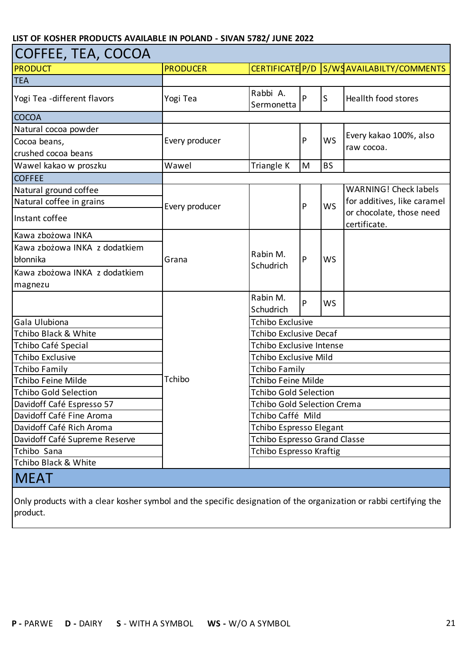| COFFEE, TEA, COCOA                  |                 |                                     |   |              |                                          |  |  |
|-------------------------------------|-----------------|-------------------------------------|---|--------------|------------------------------------------|--|--|
| <b>PRODUCT</b>                      | <b>PRODUCER</b> |                                     |   |              | CERTIFICATE P/D S/WSAVAILABILTY/COMMENTS |  |  |
| <b>TEA</b>                          |                 |                                     |   |              |                                          |  |  |
| Yogi Tea -different flavors         | Yogi Tea        | Rabbi A.<br>Sermonetta              | P | $\mathsf{S}$ | <b>Heallth food stores</b>               |  |  |
| <b>COCOA</b>                        |                 |                                     |   |              |                                          |  |  |
| Natural cocoa powder                |                 |                                     |   |              | Every kakao 100%, also                   |  |  |
| Cocoa beans,<br>crushed cocoa beans | Every producer  |                                     | P | <b>WS</b>    | raw cocoa.                               |  |  |
| Wawel kakao w proszku               | Wawel           | Triangle K                          | M | <b>BS</b>    |                                          |  |  |
| <b>COFFEE</b>                       |                 |                                     |   |              |                                          |  |  |
| Natural ground coffee               |                 |                                     |   |              | <b>WARNING! Check labels</b>             |  |  |
| Natural coffee in grains            |                 |                                     |   |              | for additives, like caramel              |  |  |
| Instant coffee                      | Every producer  |                                     | P | <b>WS</b>    | or chocolate, those need<br>certificate. |  |  |
| Kawa zbożowa INKA                   |                 |                                     |   |              |                                          |  |  |
| Kawa zbożowa INKA z dodatkiem       |                 |                                     | P | <b>WS</b>    |                                          |  |  |
| błonnika                            | Grana           | Rabin M.                            |   |              |                                          |  |  |
| Kawa zbożowa INKA z dodatkiem       |                 | Schudrich                           |   |              |                                          |  |  |
| magnezu                             |                 |                                     |   |              |                                          |  |  |
|                                     |                 | Rabin M.<br>Schudrich               | P | <b>WS</b>    |                                          |  |  |
| Gala Ulubiona                       |                 | <b>Tchibo Exclusive</b>             |   |              |                                          |  |  |
| <b>Tchibo Black &amp; White</b>     |                 | Tchibo Exclusive Decaf              |   |              |                                          |  |  |
| Tchibo Café Special                 |                 | Tchibo Exclusive Intense            |   |              |                                          |  |  |
| <b>Tchibo Exclusive</b>             |                 | Tchibo Exclusive Mild               |   |              |                                          |  |  |
| <b>Tchibo Family</b>                |                 | Tchibo Family                       |   |              |                                          |  |  |
| <b>Tchibo Feine Milde</b>           | Tchibo          | Tchibo Feine Milde                  |   |              |                                          |  |  |
| <b>Tchibo Gold Selection</b>        |                 | <b>Tchibo Gold Selection</b>        |   |              |                                          |  |  |
| Davidoff Café Espresso 57           |                 | <b>Tchibo Gold Selection Crema</b>  |   |              |                                          |  |  |
| Davidoff Café Fine Aroma            |                 | Tchibo Caffé Mild                   |   |              |                                          |  |  |
| Davidoff Café Rich Aroma            |                 | Tchibo Espresso Elegant             |   |              |                                          |  |  |
| Davidoff Café Supreme Reserve       |                 | <b>Tchibo Espresso Grand Classe</b> |   |              |                                          |  |  |
| Tchibo Sana                         |                 | <b>Tchibo Espresso Kraftig</b>      |   |              |                                          |  |  |
| Tchibo Black & White                |                 |                                     |   |              |                                          |  |  |
| <b>MEAT</b>                         |                 |                                     |   |              |                                          |  |  |

Only products with a clear kosher symbol and the specific designation of the organization or rabbi certifying the product.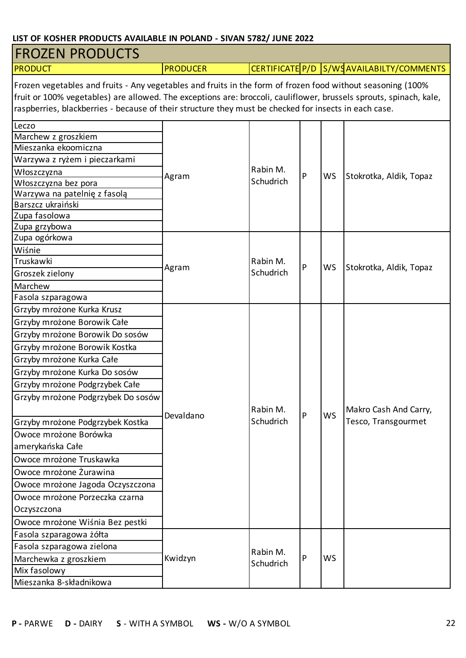| <b>FROZEN PRODUCTS</b>                                                                                                                                                                                                                                                                                                                                                                                                                                                                                                            |                 |                       |   |           |                                              |  |  |
|-----------------------------------------------------------------------------------------------------------------------------------------------------------------------------------------------------------------------------------------------------------------------------------------------------------------------------------------------------------------------------------------------------------------------------------------------------------------------------------------------------------------------------------|-----------------|-----------------------|---|-----------|----------------------------------------------|--|--|
| <b>PRODUCT</b>                                                                                                                                                                                                                                                                                                                                                                                                                                                                                                                    | <b>PRODUCER</b> |                       |   |           | CERTIFICATE P/D S/WSAVAILABILTY/COMMENTS     |  |  |
| Frozen vegetables and fruits - Any vegetables and fruits in the form of frozen food without seasoning (100%<br>fruit or 100% vegetables) are allowed. The exceptions are: broccoli, cauliflower, brussels sprouts, spinach, kale,<br>raspberries, blackberries - because of their structure they must be checked for insects in each case.                                                                                                                                                                                        |                 |                       |   |           |                                              |  |  |
| Leczo<br>Marchew z groszkiem<br>Mieszanka ekoomiczna<br>Warzywa z ryżem i pieczarkami<br>Włoszczyzna<br>Włoszczyzna bez pora<br>Warzywa na patelnię z fasolą<br>Barszcz ukraiński<br>Zupa fasolowa<br>Zupa grzybowa<br>Zupa ogórkowa<br>Wiśnie                                                                                                                                                                                                                                                                                    | Agram           | Rabin M.<br>Schudrich | P | WS        | Stokrotka, Aldik, Topaz                      |  |  |
| Truskawki<br>Groszek zielony<br>Marchew<br>Fasola szparagowa                                                                                                                                                                                                                                                                                                                                                                                                                                                                      | Agram           | Rabin M.<br>Schudrich | P | <b>WS</b> | Stokrotka, Aldik, Topaz                      |  |  |
| Grzyby mrożone Kurka Krusz<br>Grzyby mrożone Borowik Całe<br>Grzyby mrożone Borowik Do sosów<br>Grzyby mrożone Borowik Kostka<br>Grzyby mrożone Kurka Całe<br>Grzyby mrożone Kurka Do sosów<br>Grzyby mrożone Podgrzybek Całe<br>Grzyby mrożone Podgrzybek Do sosów<br>Grzyby mrożone Podgrzybek Kostka<br>Owoce mrożone Borówka<br>amerykańska Całe<br>Owoce mrożone Truskawka<br>Owoce mrożone Żurawina<br>Owoce mrożone Jagoda Oczyszczona<br>Owoce mrożone Porzeczka czarna<br>Oczyszczona<br>Owoce mrożone Wiśnia Bez pestki | Devaldano       | Rabin M.<br>Schudrich | P | <b>WS</b> | Makro Cash And Carry,<br>Tesco, Transgourmet |  |  |
| Fasola szparagowa żółta<br>Fasola szparagowa zielona<br>Marchewka z groszkiem<br>Mix fasolowy<br>Mieszanka 8-składnikowa                                                                                                                                                                                                                                                                                                                                                                                                          | Kwidzyn         | Rabin M.<br>Schudrich | P | <b>WS</b> |                                              |  |  |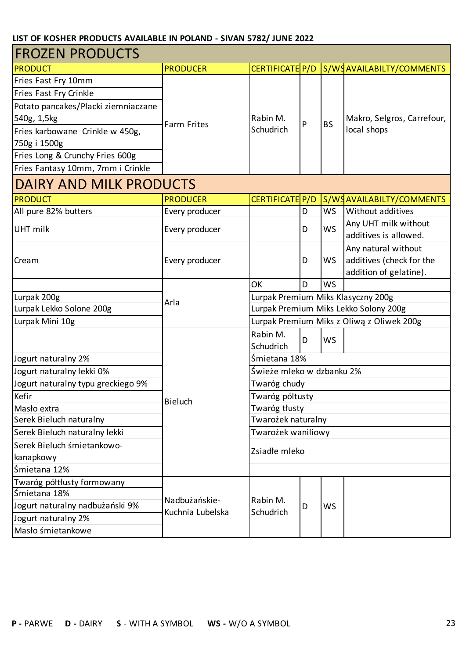| <b>FROZEN PRODUCTS</b>              |                                            |                                           |   |           |                                               |  |
|-------------------------------------|--------------------------------------------|-------------------------------------------|---|-----------|-----------------------------------------------|--|
| <b>PRODUCT</b>                      | <b>PRODUCER</b>                            | CERTIFICATE P/D                           |   |           | S/WSAVAILABILTY/COMMENTS                      |  |
| Fries Fast Fry 10mm                 |                                            |                                           |   |           |                                               |  |
| Fries Fast Fry Crinkle              |                                            |                                           |   |           |                                               |  |
| Potato pancakes/Placki ziemniaczane |                                            |                                           |   |           |                                               |  |
| 540g, 1,5kg                         | <b>Farm Frites</b>                         | Rabin M.                                  | P | <b>BS</b> | Makro, Selgros, Carrefour,                    |  |
| Fries karbowane Crinkle w 450g,     |                                            | Schudrich                                 |   |           | local shops                                   |  |
| 750g i 1500g                        |                                            |                                           |   |           |                                               |  |
| Fries Long & Crunchy Fries 600g     |                                            |                                           |   |           |                                               |  |
| Fries Fantasy 10mm, 7mm i Crinkle   |                                            |                                           |   |           |                                               |  |
| <b>DAIRY AND MILK PRODUCTS</b>      |                                            |                                           |   |           |                                               |  |
| <b>PRODUCT</b>                      | <b>PRODUCER</b>                            | CERTIFICATE P/D                           |   |           | S/WSAVAILABILTY/COMMENTS                      |  |
| All pure 82% butters                | Every producer                             |                                           | D | <b>WS</b> | Without additives                             |  |
| UHT milk                            | Every producer                             |                                           | D | <b>WS</b> | Any UHT milk without<br>additives is allowed. |  |
|                                     |                                            |                                           |   |           | Any natural without                           |  |
| Cream                               | Every producer                             |                                           | D | WS        | additives (check for the                      |  |
|                                     |                                            |                                           |   |           | addition of gelatine).                        |  |
|                                     |                                            | OK                                        | D | <b>WS</b> |                                               |  |
| Lurpak 200g                         | Lurpak Premium Miks Klasyczny 200g<br>Arla |                                           |   |           |                                               |  |
| Lurpak Lekko Solone 200g            |                                            | Lurpak Premium Miks Lekko Solony 200g     |   |           |                                               |  |
| Lurpak Mini 10g                     |                                            | Lurpak Premium Miks z Oliwą z Oliwek 200g |   |           |                                               |  |
|                                     |                                            | Rabin M.                                  | D | WS        |                                               |  |
|                                     |                                            | Schudrich                                 |   |           |                                               |  |
| Jogurt naturalny 2%                 |                                            | Śmietana 18%                              |   |           |                                               |  |
| Jogurt naturalny lekki 0%           |                                            | Świeże mleko w dzbanku 2%                 |   |           |                                               |  |
| Jogurt naturalny typu greckiego 9%  |                                            | Twaróg chudy                              |   |           |                                               |  |
| Kefir                               | <b>Bieluch</b>                             | Twaróg póltusty                           |   |           |                                               |  |
| Masło extra                         |                                            | Twaróg tłusty                             |   |           |                                               |  |
| Serek Bieluch naturalny             |                                            | Twarożek naturalny                        |   |           |                                               |  |
| Serek Bieluch naturalny lekki       |                                            | Twarożek waniliowy                        |   |           |                                               |  |
| Serek Bieluch śmietankowo-          |                                            | Zsiadłe mleko                             |   |           |                                               |  |
| kanapkowy                           |                                            |                                           |   |           |                                               |  |
| Śmietana 12%                        |                                            |                                           |   |           |                                               |  |
| Twaróg półtłusty formowany          |                                            |                                           |   |           |                                               |  |
| Śmietana 18%                        | Nadbużańskie-                              | Rabin M.                                  |   |           |                                               |  |
| Jogurt naturalny nadbużański 9%     | Kuchnia Lubelska                           | Schudrich                                 | D | WS        |                                               |  |
| Jogurt naturalny 2%                 |                                            |                                           |   |           |                                               |  |
| Masło śmietankowe                   |                                            |                                           |   |           |                                               |  |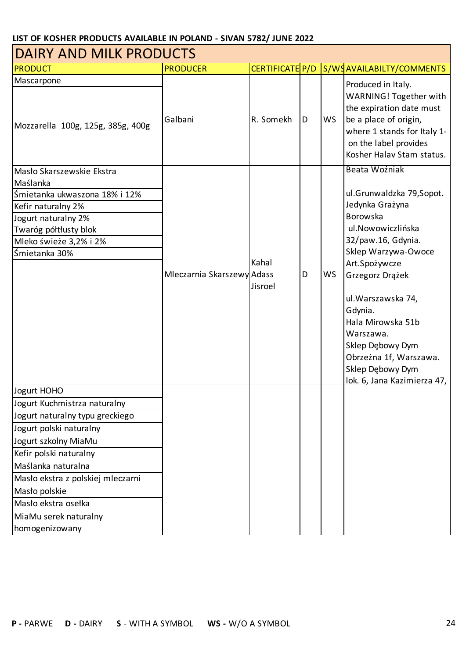| <b>DAIRY AND MILK PRODUCTS</b>    |                            |                 |   |           |                                                                                                                                                                  |  |  |
|-----------------------------------|----------------------------|-----------------|---|-----------|------------------------------------------------------------------------------------------------------------------------------------------------------------------|--|--|
| <b>PRODUCT</b>                    | <b>PRODUCER</b>            | CERTIFICATE P/D |   |           | S/WSAVAILABILTY/COMMENTS                                                                                                                                         |  |  |
| Mascarpone                        |                            |                 |   |           | Produced in Italy.                                                                                                                                               |  |  |
| Mozzarella 100g, 125g, 385g, 400g | Galbani                    | R. Somekh       | D | <b>WS</b> | WARNING! Together with<br>the expiration date must<br>be a place of origin,<br>where 1 stands for Italy 1-<br>on the label provides<br>Kosher Halav Stam status. |  |  |
| Masło Skarszewskie Ekstra         |                            |                 |   |           | Beata Woźniak                                                                                                                                                    |  |  |
| Maślanka                          |                            |                 |   |           |                                                                                                                                                                  |  |  |
| Śmietanka ukwaszona 18% i 12%     |                            |                 |   |           | ul.Grunwaldzka 79,Sopot.                                                                                                                                         |  |  |
| Kefir naturalny 2%                |                            |                 |   |           | Jedynka Grażyna                                                                                                                                                  |  |  |
| Jogurt naturalny 2%               |                            |                 |   |           | Borowska                                                                                                                                                         |  |  |
| Twaróg półtłusty blok             |                            |                 |   |           | ul.Nowowiczlińska                                                                                                                                                |  |  |
| Mleko świeże 3,2% i 2%            |                            |                 |   |           | 32/paw.16, Gdynia.                                                                                                                                               |  |  |
| Śmietanka 30%                     |                            |                 |   |           | Sklep Warzywa-Owoce                                                                                                                                              |  |  |
|                                   |                            | Kahal           |   |           | Art.Spożywcze                                                                                                                                                    |  |  |
|                                   | Mleczarnia Skarszewy Adass |                 | D | <b>WS</b> | Grzegorz Drążek                                                                                                                                                  |  |  |
|                                   |                            | Jisroel         |   |           | ul. Warszawska 74,<br>Gdynia.<br>Hala Mirowska 51b<br>Warszawa.<br>Sklep Dębowy Dym<br>Obrzeżna 1f, Warszawa.<br>Sklep Dębowy Dym<br>lok. 6, Jana Kazimierza 47, |  |  |
| Jogurt HOHO                       |                            |                 |   |           |                                                                                                                                                                  |  |  |
| Jogurt Kuchmistrza naturalny      |                            |                 |   |           |                                                                                                                                                                  |  |  |
| Jogurt naturalny typu greckiego   |                            |                 |   |           |                                                                                                                                                                  |  |  |
| Jogurt polski naturalny           |                            |                 |   |           |                                                                                                                                                                  |  |  |
| Jogurt szkolny MiaMu              |                            |                 |   |           |                                                                                                                                                                  |  |  |
| Kefir polski naturalny            |                            |                 |   |           |                                                                                                                                                                  |  |  |
| Maślanka naturalna                |                            |                 |   |           |                                                                                                                                                                  |  |  |
| Masło ekstra z polskiej mleczarni |                            |                 |   |           |                                                                                                                                                                  |  |  |
| Masło polskie                     |                            |                 |   |           |                                                                                                                                                                  |  |  |
| Masło ekstra osełka               |                            |                 |   |           |                                                                                                                                                                  |  |  |
| MiaMu serek naturalny             |                            |                 |   |           |                                                                                                                                                                  |  |  |
| homogenizowany                    |                            |                 |   |           |                                                                                                                                                                  |  |  |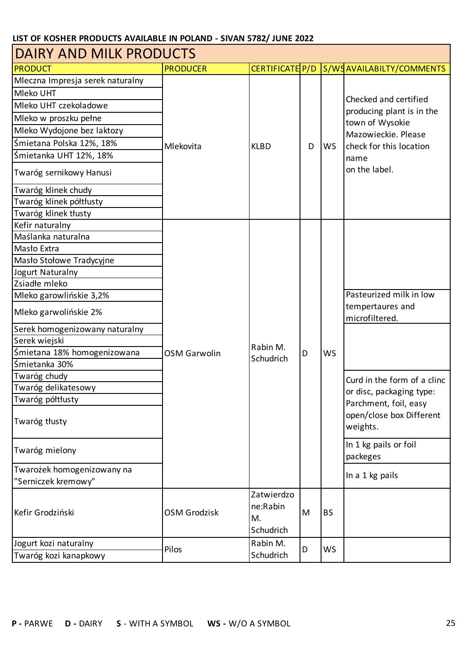| <b>DAIRY AND MILK PRODUCTS</b>   |                     |                                           |   |           |                                              |  |  |  |
|----------------------------------|---------------------|-------------------------------------------|---|-----------|----------------------------------------------|--|--|--|
| <b>PRODUCT</b>                   | <b>PRODUCER</b>     | CERTIFICATE P/D                           |   |           | S/WSAVAILABILTY/COMMENTS                     |  |  |  |
| Mleczna Impresja serek naturalny |                     |                                           |   |           |                                              |  |  |  |
| Mleko UHT                        |                     |                                           |   |           |                                              |  |  |  |
| Mleko UHT czekoladowe            |                     | <b>KLBD</b>                               |   |           | Checked and certified                        |  |  |  |
| Mleko w proszku pełne            |                     |                                           |   |           | producing plant is in the<br>town of Wysokie |  |  |  |
| Mleko Wydojone bez laktozy       |                     |                                           |   |           | Mazowieckie. Please                          |  |  |  |
| Śmietana Polska 12%, 18%         | Mlekovita           |                                           | D | <b>WS</b> | check for this location                      |  |  |  |
| Śmietanka UHT 12%, 18%           |                     |                                           |   |           | name                                         |  |  |  |
| Twaróg sernikowy Hanusi          |                     |                                           |   |           | on the label.                                |  |  |  |
| Twaróg klinek chudy              |                     |                                           |   |           |                                              |  |  |  |
| Twaróg klinek półtłusty          |                     |                                           |   |           |                                              |  |  |  |
| Twaróg klinek tłusty             |                     |                                           |   |           |                                              |  |  |  |
| Kefir naturalny                  |                     |                                           |   |           |                                              |  |  |  |
| Maślanka naturalna               |                     |                                           |   |           |                                              |  |  |  |
| Masło Extra                      |                     |                                           |   |           |                                              |  |  |  |
| Masło Stołowe Tradycyjne         |                     |                                           |   |           |                                              |  |  |  |
| Jogurt Naturalny                 |                     |                                           |   |           |                                              |  |  |  |
| Zsiadłe mleko                    |                     |                                           |   |           |                                              |  |  |  |
| Mleko garowlińskie 3,2%          |                     |                                           |   |           | Pasteurized milk in low                      |  |  |  |
| Mleko garwolińskie 2%            |                     |                                           |   |           | tempertaures and<br>microfiltered.           |  |  |  |
| Serek homogenizowany naturalny   |                     |                                           |   |           |                                              |  |  |  |
| Serek wiejski                    |                     | Rabin M.                                  |   | <b>WS</b> |                                              |  |  |  |
| Śmietana 18% homogenizowana      | <b>OSM Garwolin</b> | Schudrich                                 | D |           |                                              |  |  |  |
| Śmietanka 30%                    |                     |                                           |   |           |                                              |  |  |  |
| Twaróg chudy                     |                     |                                           |   |           | Curd in the form of a clinc                  |  |  |  |
| Twaróg delikatesowy              |                     |                                           |   |           | or disc, packaging type:                     |  |  |  |
| Twaróg półtłusty                 |                     |                                           |   |           | Parchment, foil, easy                        |  |  |  |
| Twaróg tłusty                    |                     |                                           |   |           | open/close box Different<br>weights.         |  |  |  |
| Twaróg mielony                   |                     |                                           |   |           | In 1 kg pails or foil<br>packeges            |  |  |  |
| Twarożek homogenizowany na       |                     |                                           |   |           |                                              |  |  |  |
| "Serniczek kremowy"              |                     |                                           |   |           | In a 1 kg pails                              |  |  |  |
| Kefir Grodziński                 | <b>OSM Grodzisk</b> | Zatwierdzo<br>ne:Rabin<br>M.<br>Schudrich | M | <b>BS</b> |                                              |  |  |  |
| Jogurt kozi naturalny            |                     | Rabin M.                                  |   |           |                                              |  |  |  |
| Twaróg kozi kanapkowy            | Pilos               | Schudrich                                 | D | <b>WS</b> |                                              |  |  |  |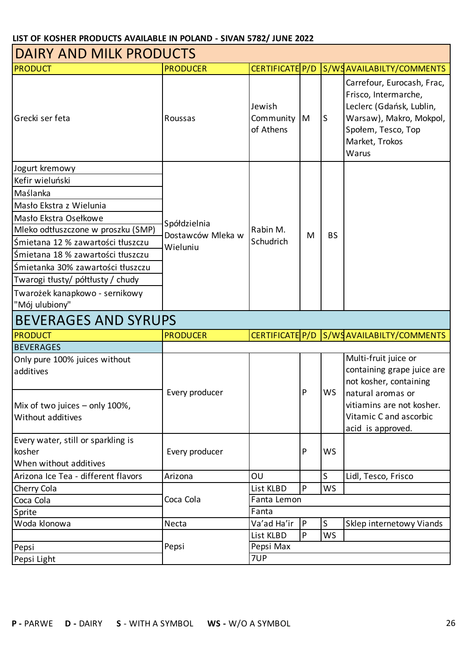| DAIRY AND MILK PRODUCTS                                                |                                   |                                  |   |           |                                                                                                                                                            |  |  |
|------------------------------------------------------------------------|-----------------------------------|----------------------------------|---|-----------|------------------------------------------------------------------------------------------------------------------------------------------------------------|--|--|
| <b>PRODUCT</b>                                                         | <b>PRODUCER</b>                   | CERTIFICATE P/D                  |   |           | S/WSAVAILABILTY/COMMENTS                                                                                                                                   |  |  |
| Grecki ser feta                                                        | Roussas                           | Jewish<br>Community<br>of Athens | M | lS        | Carrefour, Eurocash, Frac,<br>Frisco, Intermarche,<br>Leclerc (Gdańsk, Lublin,<br>Warsaw), Makro, Mokpol,<br>Społem, Tesco, Top<br>Market, Trokos<br>Warus |  |  |
| Jogurt kremowy                                                         |                                   |                                  |   |           |                                                                                                                                                            |  |  |
| Kefir wieluński                                                        |                                   |                                  |   |           |                                                                                                                                                            |  |  |
| Maślanka                                                               |                                   |                                  |   |           |                                                                                                                                                            |  |  |
| Masło Ekstra z Wielunia                                                |                                   |                                  |   |           |                                                                                                                                                            |  |  |
| Masło Ekstra Osełkowe                                                  |                                   |                                  |   |           |                                                                                                                                                            |  |  |
| Mleko odtłuszczone w proszku (SMP)                                     | Spółdzielnia<br>Dostawców Mleka w | Rabin M.                         | M | <b>BS</b> |                                                                                                                                                            |  |  |
| Śmietana 12 % zawartości tłuszczu                                      | Wieluniu                          | Schudrich                        |   |           |                                                                                                                                                            |  |  |
| Śmietana 18 % zawartości tłuszczu                                      |                                   |                                  |   |           |                                                                                                                                                            |  |  |
| Śmietanka 30% zawartości tłuszczu                                      |                                   |                                  |   |           |                                                                                                                                                            |  |  |
| Twarogi tłusty/ półtłusty / chudy                                      |                                   |                                  |   |           |                                                                                                                                                            |  |  |
| Twarożek kanapkowo - sernikowy                                         |                                   |                                  |   |           |                                                                                                                                                            |  |  |
| "Mój ulubiony"                                                         |                                   |                                  |   |           |                                                                                                                                                            |  |  |
| <b>BEVERAGES AND SYRUPS</b>                                            |                                   |                                  |   |           |                                                                                                                                                            |  |  |
|                                                                        |                                   |                                  |   |           |                                                                                                                                                            |  |  |
| <b>PRODUCT</b>                                                         | <b>PRODUCER</b>                   |                                  |   |           | CERTIFICATE P/D S/WSAVAILABILTY/COMMENTS                                                                                                                   |  |  |
| <b>BEVERAGES</b>                                                       |                                   |                                  |   |           |                                                                                                                                                            |  |  |
| Only pure 100% juices without<br>additives                             |                                   |                                  |   |           | Multi-fruit juice or<br>containing grape juice are<br>not kosher, containing                                                                               |  |  |
| Mix of two juices - only 100%,<br>Without additives                    | Every producer                    |                                  | P | WS        | natural aromas or<br>vitiamins are not kosher.<br>Vitamic C and ascorbic<br>acid is approved.                                                              |  |  |
| Every water, still or sparkling is<br>kosher<br>When without additives | Every producer                    |                                  | P | <b>WS</b> |                                                                                                                                                            |  |  |
| Arizona Ice Tea - different flavors                                    | Arizona                           | OU                               |   | S         | Lidl, Tesco, Frisco                                                                                                                                        |  |  |
| Cherry Cola                                                            |                                   | List KLBD                        | P | <b>WS</b> |                                                                                                                                                            |  |  |
| Coca Cola                                                              | Coca Cola                         | Fanta Lemon                      |   |           |                                                                                                                                                            |  |  |
| Sprite                                                                 |                                   | Fanta                            |   |           |                                                                                                                                                            |  |  |
| Woda klonowa                                                           | Necta                             | Va'ad Ha'ir                      | P | S         | Sklep internetowy Viands                                                                                                                                   |  |  |
|                                                                        |                                   | List KLBD                        | P | <b>WS</b> |                                                                                                                                                            |  |  |
| Pepsi<br>Pepsi Light                                                   | Pepsi                             | Pepsi Max<br>7UP                 |   |           |                                                                                                                                                            |  |  |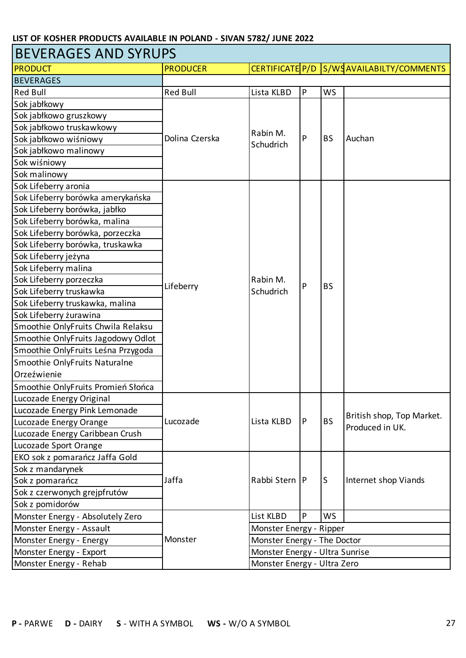| <b>BEVERAGES AND SYRUPS</b>        |                 |                                |              |                             |                                              |  |  |
|------------------------------------|-----------------|--------------------------------|--------------|-----------------------------|----------------------------------------------|--|--|
| <b>PRODUCT</b>                     | <b>PRODUCER</b> | CERTIFICATE P/D                |              |                             | S/WSAVAILABILTY/COMMENTS                     |  |  |
| <b>BEVERAGES</b>                   |                 |                                |              |                             |                                              |  |  |
| <b>Red Bull</b>                    | <b>Red Bull</b> | Lista KLBD                     | P            | <b>WS</b>                   |                                              |  |  |
| Sok jabłkowy                       |                 |                                |              |                             |                                              |  |  |
| Sok jabłkowo gruszkowy             |                 |                                |              |                             | Auchan                                       |  |  |
| Sok jabłkowo truskawkowy           |                 |                                |              |                             |                                              |  |  |
| Sok jabłkowo wiśniowy              | Dolina Czerska  | Rabin M.                       | P            | <b>BS</b>                   |                                              |  |  |
| Sok jabłkowo malinowy              |                 | Schudrich                      |              |                             |                                              |  |  |
| Sok wiśniowy                       |                 |                                |              |                             |                                              |  |  |
| Sok malinowy                       |                 |                                |              |                             |                                              |  |  |
| Sok Lifeberry aronia               |                 |                                |              |                             |                                              |  |  |
| Sok Lifeberry borówka amerykańska  |                 |                                |              |                             |                                              |  |  |
| Sok Lifeberry borówka, jabłko      |                 |                                |              |                             |                                              |  |  |
| Sok Lifeberry borówka, malina      |                 |                                |              |                             |                                              |  |  |
| Sok Lifeberry borówka, porzeczka   |                 |                                |              |                             |                                              |  |  |
| Sok Lifeberry borówka, truskawka   |                 |                                |              |                             |                                              |  |  |
| Sok Lifeberry jeżyna               |                 |                                |              |                             |                                              |  |  |
| Sok Lifeberry malina               |                 |                                |              | <b>BS</b>                   |                                              |  |  |
| Sok Lifeberry porzeczka            |                 | Rabin M.                       | P            |                             |                                              |  |  |
| Sok Lifeberry truskawka            | Lifeberry       | Schudrich                      |              |                             |                                              |  |  |
| Sok Lifeberry truskawka, malina    |                 |                                |              |                             |                                              |  |  |
| Sok Lifeberry żurawina             |                 |                                |              |                             |                                              |  |  |
| Smoothie OnlyFruits Chwila Relaksu |                 |                                |              |                             |                                              |  |  |
| Smoothie OnlyFruits Jagodowy Odlot |                 |                                |              |                             |                                              |  |  |
| Smoothie OnlyFruits Leśna Przygoda |                 |                                |              |                             |                                              |  |  |
| Smoothie OnlyFruits Naturalne      |                 |                                |              |                             |                                              |  |  |
| Orzeźwienie                        |                 |                                |              |                             |                                              |  |  |
| Smoothie OnlyFruits Promień Słońca |                 |                                |              |                             |                                              |  |  |
| Lucozade Energy Original           |                 |                                |              |                             |                                              |  |  |
| Lucozade Energy Pink Lemonade      |                 |                                |              |                             |                                              |  |  |
| Lucozade Energy Orange             | Lucozade        | Lista KLBD                     | P            | <b>BS</b>                   | British shop, Top Market.<br>Produced in UK. |  |  |
| Lucozade Energy Caribbean Crush    |                 |                                |              |                             |                                              |  |  |
| Lucozade Sport Orange              |                 |                                |              |                             |                                              |  |  |
| EKO sok z pomarańcz Jaffa Gold     |                 |                                |              |                             |                                              |  |  |
| Sok z mandarynek                   |                 |                                |              |                             |                                              |  |  |
| Sok z pomarańcz                    | Jaffa           | Rabbi Stern                    | $\mathsf{P}$ | lS.                         | Internet shop Viands                         |  |  |
| Sok z czerwonych grejpfrutów       |                 |                                |              |                             |                                              |  |  |
| Sok z pomidorów                    |                 |                                |              |                             |                                              |  |  |
| Monster Energy - Absolutely Zero   |                 | List KLBD                      | P            | <b>WS</b>                   |                                              |  |  |
| Monster Energy - Assault           |                 | Monster Energy - Ripper        |              |                             |                                              |  |  |
| Monster Energy - Energy            | Monster         | Monster Energy - The Doctor    |              |                             |                                              |  |  |
| Monster Energy - Export            |                 | Monster Energy - Ultra Sunrise |              |                             |                                              |  |  |
| Monster Energy - Rehab             |                 |                                |              | Monster Energy - Ultra Zero |                                              |  |  |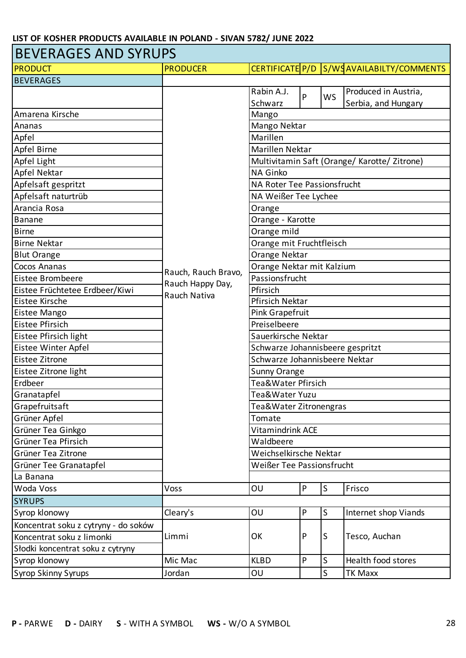### BEVERAGES AND SYRUPS

| <b>PRODUCT</b>                       | <b>PRODUCER</b>     |                                              |                               |                         | CERTIFICATE P/D S/WSAVAILABILTY/COMMENTS |  |  |  |
|--------------------------------------|---------------------|----------------------------------------------|-------------------------------|-------------------------|------------------------------------------|--|--|--|
| <b>BEVERAGES</b>                     |                     |                                              |                               |                         |                                          |  |  |  |
|                                      |                     | Rabin A.J.                                   | P                             | <b>WS</b>               | Produced in Austria,                     |  |  |  |
|                                      |                     | Schwarz                                      |                               |                         | Serbia, and Hungary                      |  |  |  |
| Amarena Kirsche                      |                     | Mango                                        |                               |                         |                                          |  |  |  |
| Ananas                               |                     | Mango Nektar                                 |                               |                         |                                          |  |  |  |
| Apfel                                |                     | Marillen                                     |                               |                         |                                          |  |  |  |
| Apfel Birne                          |                     | Marillen Nektar                              |                               |                         |                                          |  |  |  |
| Apfel Light                          |                     | Multivitamin Saft (Orange/ Karotte/ Zitrone) |                               |                         |                                          |  |  |  |
| Apfel Nektar                         |                     | <b>NA Ginko</b>                              |                               |                         |                                          |  |  |  |
| Apfelsaft gespritzt                  |                     | NA Roter Tee Passionsfrucht                  |                               |                         |                                          |  |  |  |
| Apfelsaft naturtrüb                  |                     | NA Weißer Tee Lychee                         |                               |                         |                                          |  |  |  |
| Arancia Rosa                         |                     | Orange                                       |                               |                         |                                          |  |  |  |
| <b>Banane</b>                        |                     | Orange - Karotte                             |                               |                         |                                          |  |  |  |
| Birne                                |                     | Orange mild                                  |                               |                         |                                          |  |  |  |
| <b>Birne Nektar</b>                  |                     | Orange mit Fruchtfleisch                     |                               |                         |                                          |  |  |  |
| <b>Blut Orange</b>                   |                     | Orange Nektar                                |                               |                         |                                          |  |  |  |
| Cocos Ananas                         | Rauch, Rauch Bravo, | Orange Nektar mit Kalzium                    |                               |                         |                                          |  |  |  |
| Eistee Brombeere                     | Rauch Happy Day,    | Passionsfrucht<br>Pfirsich                   |                               |                         |                                          |  |  |  |
| Eistee Früchtetee Erdbeer/Kiwi       | Rauch Nativa        |                                              |                               |                         |                                          |  |  |  |
| Eistee Kirsche                       |                     | <b>Pfirsich Nektar</b>                       |                               |                         |                                          |  |  |  |
| Eistee Mango                         |                     | Pink Grapefruit                              |                               |                         |                                          |  |  |  |
| Eistee Pfirsich                      |                     | Preiselbeere                                 |                               |                         |                                          |  |  |  |
| Eistee Pfirsich light                |                     | Sauerkirsche Nektar                          |                               |                         |                                          |  |  |  |
| Eistee Winter Apfel                  |                     | Schwarze Johannisbeere gespritzt             |                               |                         |                                          |  |  |  |
| Eistee Zitrone                       |                     |                                              | Schwarze Johannisbeere Nektar |                         |                                          |  |  |  |
| Eistee Zitrone light                 |                     | Sunny Orange                                 |                               |                         |                                          |  |  |  |
| Erdbeer                              |                     | Tea&Water Pfirsich                           |                               |                         |                                          |  |  |  |
| Granatapfel                          |                     | Tea&Water Yuzu                               |                               |                         |                                          |  |  |  |
| Grapefruitsaft                       |                     | Tea&Water Zitronengras                       |                               |                         |                                          |  |  |  |
| Grüner Apfel                         |                     | Tomate                                       |                               |                         |                                          |  |  |  |
| Grüner Tea Ginkgo                    |                     | Vitamindrink ACE                             |                               |                         |                                          |  |  |  |
| Grüner Tea Pfirsich                  |                     | Waldbeere                                    |                               |                         |                                          |  |  |  |
| Grüner Tea Zitrone                   |                     | Weichselkirsche Nektar                       |                               |                         |                                          |  |  |  |
| Grüner Tee Granatapfel               |                     | Weißer Tee Passionsfrucht                    |                               |                         |                                          |  |  |  |
| La Banana                            |                     |                                              |                               |                         |                                          |  |  |  |
| Woda Voss                            | Voss                | OU                                           | ${\sf P}$                     | $\overline{\mathsf{S}}$ | Frisco                                   |  |  |  |
| <b>SYRUPS</b>                        |                     |                                              |                               |                         |                                          |  |  |  |
| Syrop klonowy                        | Cleary's            | OU                                           | P                             | S                       | Internet shop Viands                     |  |  |  |
| Koncentrat soku z cytryny - do soków |                     |                                              |                               |                         |                                          |  |  |  |
| Koncentrat soku z limonki            | Limmi               | OK                                           | P                             | ls                      | Tesco, Auchan                            |  |  |  |
| Słodki koncentrat soku z cytryny     |                     |                                              |                               |                         |                                          |  |  |  |
| Syrop klonowy                        | Mic Mac             | <b>KLBD</b>                                  | P                             | S                       | Health food stores                       |  |  |  |
| <b>Syrop Skinny Syrups</b>           | Jordan              | OU                                           |                               | S                       | <b>TK Maxx</b>                           |  |  |  |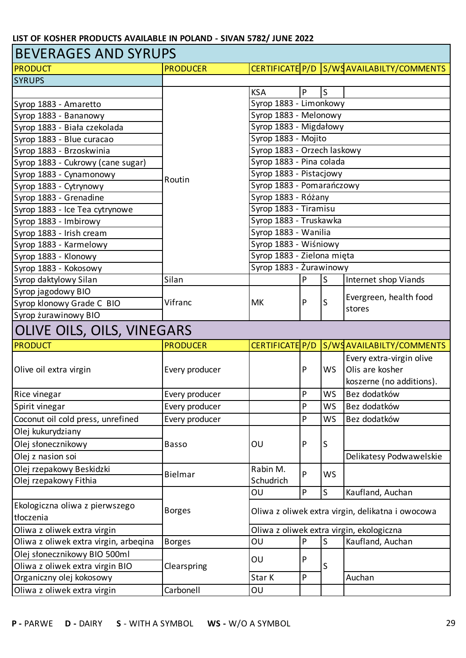### BEVERAGES AND SYRUPS

| <b>PRODUCT</b>                        | <b>PRODUCER</b> |                             |                           |           | CERTIFICATE P/D S/WSAVAILABILTY/COMMENTS         |  |  |
|---------------------------------------|-----------------|-----------------------------|---------------------------|-----------|--------------------------------------------------|--|--|
| <b>SYRUPS</b>                         |                 |                             |                           |           |                                                  |  |  |
|                                       |                 | <b>KSA</b>                  | $\boldsymbol{\mathsf{P}}$ | S         |                                                  |  |  |
| Syrop 1883 - Amaretto                 |                 | Syrop 1883 - Limonkowy      |                           |           |                                                  |  |  |
| Syrop 1883 - Bananowy                 |                 | Syrop 1883 - Melonowy       |                           |           |                                                  |  |  |
| Syrop 1883 - Biała czekolada          |                 | Syrop 1883 - Migdałowy      |                           |           |                                                  |  |  |
| Syrop 1883 - Blue curacao             |                 | Syrop 1883 - Mojito         |                           |           |                                                  |  |  |
| Syrop 1883 - Brzoskwinia              |                 | Syrop 1883 - Orzech laskowy |                           |           |                                                  |  |  |
| Syrop 1883 - Cukrowy (cane sugar)     |                 | Syrop 1883 - Pina colada    |                           |           |                                                  |  |  |
| Syrop 1883 - Cynamonowy               | Routin          | Syrop 1883 - Pistacjowy     |                           |           |                                                  |  |  |
| Syrop 1883 - Cytrynowy                |                 | Syrop 1883 - Pomarańczowy   |                           |           |                                                  |  |  |
| Syrop 1883 - Grenadine                |                 | Syrop 1883 - Różany         |                           |           |                                                  |  |  |
| Syrop 1883 - Ice Tea cytrynowe        |                 | Syrop 1883 - Tiramisu       |                           |           |                                                  |  |  |
| Syrop 1883 - Imbirowy                 |                 | Syrop 1883 - Truskawka      |                           |           |                                                  |  |  |
| Syrop 1883 - Irish cream              |                 | Syrop 1883 - Wanilia        |                           |           |                                                  |  |  |
| Syrop 1883 - Karmelowy                |                 | Syrop 1883 - Wiśniowy       |                           |           |                                                  |  |  |
| Syrop 1883 - Klonowy                  |                 | Syrop 1883 - Zielona mięta  |                           |           |                                                  |  |  |
| Syrop 1883 - Kokosowy                 |                 | Syrop 1883 - Żurawinowy     |                           |           |                                                  |  |  |
| Syrop daktylowy Silan                 | Silan           |                             | P                         | S         | Internet shop Viands                             |  |  |
| Syrop jagodowy BIO                    |                 |                             |                           |           | Evergreen, health food                           |  |  |
| Syrop klonowy Grade C BIO             | Vifranc         | <b>MK</b>                   | P                         | S         | stores                                           |  |  |
| Syrop żurawinowy BIO                  |                 |                             |                           |           |                                                  |  |  |
| OLIVE OILS, OILS, VINEGARS            |                 |                             |                           |           |                                                  |  |  |
| <b>PRODUCT</b>                        | <b>PRODUCER</b> | CERTIFICATE P/D             |                           |           | S/WSAVAILABILTY/COMMENTS                         |  |  |
|                                       |                 |                             |                           |           | Every extra-virgin olive                         |  |  |
| Olive oil extra virgin                | Every producer  |                             | $\mathsf{P}$              | <b>WS</b> | Olis are kosher                                  |  |  |
|                                       |                 |                             |                           |           | koszerne (no additions).                         |  |  |
| Rice vinegar                          | Every producer  |                             | P                         | WS        | Bez dodatków                                     |  |  |
| Spirit vinegar                        | Every producer  |                             | P                         | WS        | Bez dodatków                                     |  |  |
| Coconut oil cold press, unrefined     | Every producer  |                             | $\mathsf{P}$              | <b>WS</b> | Bez dodatków                                     |  |  |
| Olej kukurydziany                     |                 |                             |                           |           |                                                  |  |  |
| Olej słonecznikowy                    | <b>Basso</b>    | OU                          | $\mathsf{P}$              | S         |                                                  |  |  |
| Olej z nasion soi                     |                 |                             |                           |           | Delikatesy Podwawelskie                          |  |  |
| Olej rzepakowy Beskidzki              |                 | Rabin M.                    |                           |           |                                                  |  |  |
| Olej rzepakowy Fithia                 | Bielmar         | Schudrich                   | $\mathsf{P}$              | <b>WS</b> |                                                  |  |  |
|                                       |                 | OU                          | $\mathsf{P}$              | S         | Kaufland, Auchan                                 |  |  |
| Ekologiczna oliwa z pierwszego        |                 |                             |                           |           |                                                  |  |  |
| tłoczenia                             | <b>Borges</b>   |                             |                           |           | Oliwa z oliwek extra virgin, delikatna i owocowa |  |  |
| Oliwa z oliwek extra virgin           |                 |                             |                           |           | Oliwa z oliwek extra virgin, ekologiczna         |  |  |
| Oliwa z oliwek extra virgin, arbeqina | <b>Borges</b>   | OU                          | $\mathsf{P}$              | $\sf S$   | Kaufland, Auchan                                 |  |  |
| Olej słonecznikowy BIO 500ml          |                 |                             |                           |           |                                                  |  |  |
| Oliwa z oliwek extra virgin BIO       | Clearspring     | OU                          | P                         | S         |                                                  |  |  |
| Organiczny olej kokosowy              |                 | $\mathsf{P}$<br>Star K      |                           |           | Auchan                                           |  |  |
| Oliwa z oliwek extra virgin           | Carbonell       | OU                          |                           |           |                                                  |  |  |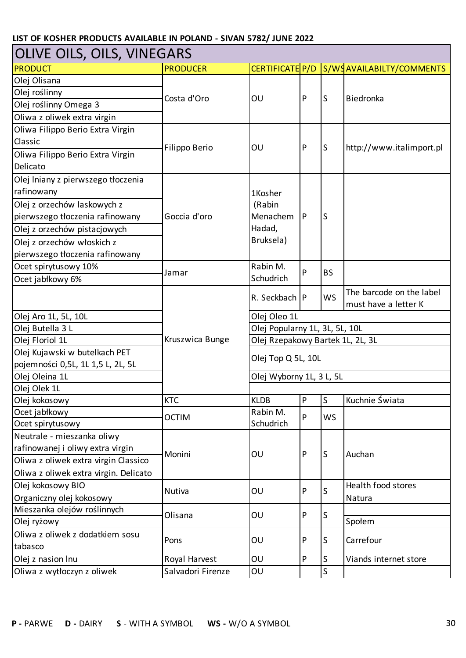| OLIVE OILS, OILS, VINEGARS            |                   |                                  |              |              |                          |  |  |
|---------------------------------------|-------------------|----------------------------------|--------------|--------------|--------------------------|--|--|
| <b>PRODUCT</b>                        | <b>PRODUCER</b>   | CERTIFICATE P/D                  |              |              | S/WSAVAILABILTY/COMMENTS |  |  |
| Olej Olisana                          |                   |                                  |              |              |                          |  |  |
| Olej roślinny                         | Costa d'Oro       |                                  | P            | ls           | Biedronka                |  |  |
| Olej roślinny Omega 3                 |                   | OU                               |              |              |                          |  |  |
| Oliwa z oliwek extra virgin           |                   |                                  |              |              |                          |  |  |
| Oliwa Filippo Berio Extra Virgin      |                   |                                  |              |              |                          |  |  |
| Classic                               |                   |                                  | $\mathsf{P}$ |              |                          |  |  |
| Oliwa Filippo Berio Extra Virgin      | Filippo Berio     | OU                               |              | lS           | http://www.italimport.pl |  |  |
| Delicato                              |                   |                                  |              |              |                          |  |  |
| Olej Iniany z pierwszego tłoczenia    |                   |                                  |              |              |                          |  |  |
| rafinowany                            |                   | 1Kosher                          |              |              |                          |  |  |
| Olej z orzechów laskowych z           |                   | (Rabin                           |              |              |                          |  |  |
| pierwszego tłoczenia rafinowany       | Goccia d'oro      | <b>Menachem</b>                  | P            | ls           |                          |  |  |
| Olej z orzechów pistacjowych          |                   | Hadad,                           |              |              |                          |  |  |
| Olej z orzechów włoskich z            |                   | Bruksela)                        |              |              |                          |  |  |
| pierwszego tłoczenia rafinowany       |                   |                                  |              |              |                          |  |  |
| Ocet spirytusowy 10%                  |                   | Rabin M.                         |              |              |                          |  |  |
| Ocet jabłkowy 6%                      | Jamar             | Schudrich                        | P            | <b>BS</b>    |                          |  |  |
|                                       |                   | R. Seckbach                      |              |              | The barcode on the label |  |  |
|                                       |                   |                                  | $\mathsf{P}$ | <b>WS</b>    | must have a letter K     |  |  |
| Olej Aro 1L, 5L, 10L                  |                   | Olej Oleo 1L                     |              |              |                          |  |  |
| Olej Butella 3 L                      |                   | Olej Popularny 1L, 3L, 5L, 10L   |              |              |                          |  |  |
| Olej Floriol 1L                       | Kruszwica Bunge   | Olej Rzepakowy Bartek 1L, 2L, 3L |              |              |                          |  |  |
| Olej Kujawski w butelkach PET         |                   | Olej Top Q 5L, 10L               |              |              |                          |  |  |
| pojemności 0,5L, 1L 1,5 L, 2L, 5L     |                   |                                  |              |              |                          |  |  |
| Olej Oleina 1L                        |                   | Olej Wyborny 1L, 3 L, 5L         |              |              |                          |  |  |
| Olej Olek 1L                          |                   |                                  |              |              |                          |  |  |
| Olej kokosowy                         | <b>KTC</b>        | <b>KLDB</b>                      | P            | IS           | Kuchnie Swiata           |  |  |
| Ocet jabłkowy                         | <b>OCTIM</b>      | Rabin M.                         | P            | <b>WS</b>    |                          |  |  |
| Ocet spirytusowy                      |                   | Schudrich                        |              |              |                          |  |  |
| Neutrale - mieszanka oliwy            |                   |                                  |              |              |                          |  |  |
| rafinowanej i oliwy extra virgin      | Monini            | OU                               | $\mathsf{P}$ | lS           | Auchan                   |  |  |
| Oliwa z oliwek extra virgin Classico  |                   |                                  |              |              |                          |  |  |
| Oliwa z oliwek extra virgin. Delicato |                   |                                  |              |              |                          |  |  |
| Olej kokosowy BIO                     | Nutiva            | OU                               | P            | S            | Health food stores       |  |  |
| Organiczny olej kokosowy              |                   |                                  |              |              | Natura                   |  |  |
| Mieszanka olejów roślinnych           | Olisana           | OU                               | P            | lS.          |                          |  |  |
| Olej ryżowy                           |                   |                                  |              |              | Społem                   |  |  |
| Oliwa z oliwek z dodatkiem sosu       | Pons              | OU                               | P            | S            | Carrefour                |  |  |
| tabasco                               |                   |                                  |              |              |                          |  |  |
| Olej z nasion Inu                     | Royal Harvest     | OU                               | ${\sf P}$    | S            | Viands internet store    |  |  |
| Oliwa z wytłoczyn z oliwek            | Salvadori Firenze | OU                               |              | $\mathsf{S}$ |                          |  |  |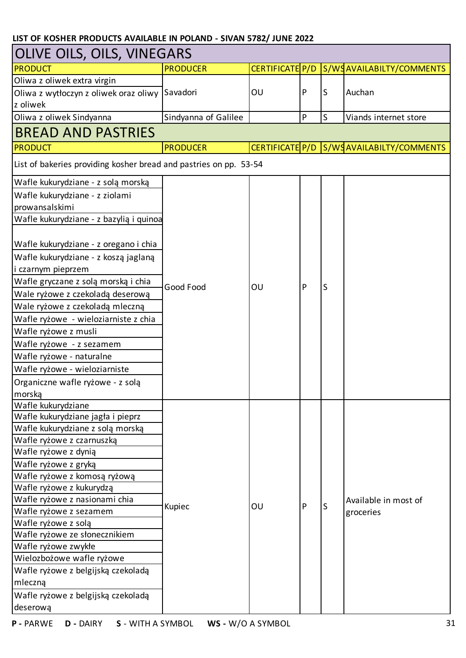| <b>OLIVE OILS, OILS, VINEGARS</b>                                 |                      |    |           |   |                                           |  |  |
|-------------------------------------------------------------------|----------------------|----|-----------|---|-------------------------------------------|--|--|
| <b>PRODUCT</b>                                                    | <b>PRODUCER</b>      |    |           |   | CERTIFICATE P/D S/WSAVAILABILTY/COMMENTS  |  |  |
| Oliwa z oliwek extra virgin                                       |                      |    |           |   |                                           |  |  |
| Oliwa z wytłoczyn z oliwek oraz oliwy                             | Savadori             | OU | P         | S | Auchan                                    |  |  |
| z oliwek                                                          |                      |    |           |   |                                           |  |  |
| Oliwa z oliwek Sindyanna                                          | Sindyanna of Galilee |    | ${\sf P}$ | S | Viands internet store                     |  |  |
| <b>BREAD AND PASTRIES</b>                                         |                      |    |           |   |                                           |  |  |
| <b>PRODUCT</b>                                                    | <b>PRODUCER</b>      |    |           |   | CERTIFICATE P/D S/WS AVAILABILTY/COMMENTS |  |  |
| List of bakeries providing kosher bread and pastries on pp. 53-54 |                      |    |           |   |                                           |  |  |
| Wafle kukurydziane - z solą morską                                |                      |    |           |   |                                           |  |  |
| Wafle kukurydziane - z ziolami                                    |                      |    |           |   |                                           |  |  |
| prowansalskimi                                                    |                      |    |           |   |                                           |  |  |
| Wafle kukurydziane - z bazylią i quinoa                           |                      |    |           |   |                                           |  |  |
|                                                                   |                      |    |           |   |                                           |  |  |
| Wafle kukurydziane - z oregano i chia                             |                      |    |           |   |                                           |  |  |
| Wafle kukurydziane - z koszą jaglaną                              |                      |    |           |   |                                           |  |  |
| i czarnym pieprzem                                                |                      |    |           |   |                                           |  |  |
| Wafle gryczane z solą morską i chia                               |                      |    |           |   |                                           |  |  |
| Wale ryżowe z czekoladą deserową                                  | Good Food            | OU | P         | S |                                           |  |  |
| Wale ryżowe z czekoladą mleczną                                   |                      |    |           |   |                                           |  |  |
| Wafle ryżowe - wieloziarniste z chia                              |                      |    |           |   |                                           |  |  |
| Wafle ryżowe z musli                                              |                      |    |           |   |                                           |  |  |
| Wafle ryżowe - z sezamem                                          |                      |    |           |   |                                           |  |  |
| Wafle ryżowe - naturalne                                          |                      |    |           |   |                                           |  |  |
| Wafle ryżowe - wieloziarniste                                     |                      |    |           |   |                                           |  |  |
| Organiczne wafle ryżowe - z solą                                  |                      |    |           |   |                                           |  |  |
| morska                                                            |                      |    |           |   |                                           |  |  |
| Wafle kukurydziane                                                |                      |    |           |   |                                           |  |  |
| Wafle kukurydziane jagła i pieprz                                 |                      |    |           |   |                                           |  |  |
| Wafle kukurydziane z solą morską                                  |                      |    |           |   |                                           |  |  |
| Wafle ryżowe z czarnuszką                                         |                      |    |           |   |                                           |  |  |
| Wafle ryżowe z dynią                                              |                      |    |           |   |                                           |  |  |
| Wafle ryżowe z gryką                                              |                      |    |           |   |                                           |  |  |
| Wafle ryżowe z komosą ryżową                                      |                      |    |           |   |                                           |  |  |
| Wafle ryżowe z kukurydzą                                          |                      |    |           |   |                                           |  |  |
| Wafle ryżowe z nasionami chia                                     |                      |    |           |   | Available in most of                      |  |  |
| Wafle ryżowe z sezamem                                            | Kupiec               | OU |           | S | groceries                                 |  |  |
| Wafle ryżowe z solą                                               |                      |    |           |   |                                           |  |  |
| Wafle ryżowe ze słonecznikiem                                     |                      |    |           |   |                                           |  |  |
| Wafle ryżowe zwykłe                                               |                      |    |           |   |                                           |  |  |
| Wielozbożowe wafle ryżowe                                         |                      |    |           |   |                                           |  |  |
| Wafle ryżowe z belgijską czekoladą                                |                      |    |           |   |                                           |  |  |
| mleczną                                                           |                      |    |           |   |                                           |  |  |
| Wafle ryżowe z belgijską czekoladą                                |                      |    |           |   |                                           |  |  |
| deserową                                                          |                      |    |           |   |                                           |  |  |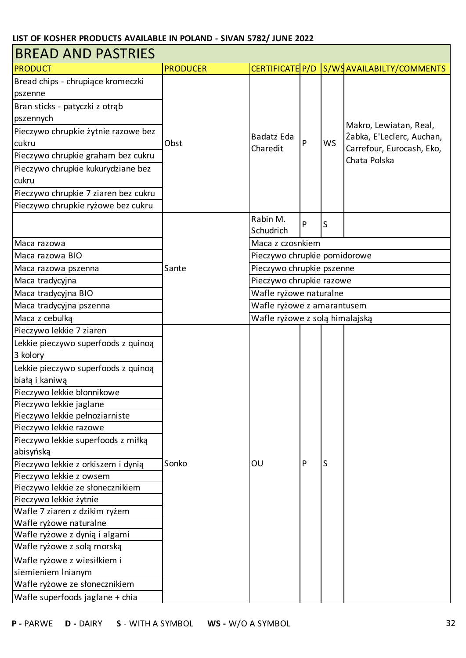| <b>BREAD AND PASTRIES</b>            |                 |                                |           |           |                                           |  |
|--------------------------------------|-----------------|--------------------------------|-----------|-----------|-------------------------------------------|--|
| <b>PRODUCT</b>                       | <b>PRODUCER</b> | CERTIFICATE P/D                |           |           | S/WSAVAILABILTY/COMMENTS                  |  |
| Bread chips - chrupiące kromeczki    |                 |                                |           |           |                                           |  |
| pszenne                              |                 |                                |           |           |                                           |  |
| Bran sticks - patyczki z otrąb       |                 |                                |           |           |                                           |  |
| pszennych                            |                 |                                |           |           |                                           |  |
| Pieczywo chrupkie żytnie razowe bez  |                 |                                |           |           | Makro, Lewiatan, Real,                    |  |
| cukru                                | Obst            | Badatz Eda                     | P         | <b>WS</b> | Żabka, E'Leclerc, Auchan,                 |  |
| Pieczywo chrupkie graham bez cukru   |                 | Charedit                       |           |           | Carrefour, Eurocash, Eko,<br>Chata Polska |  |
| Pieczywo chrupkie kukurydziane bez   |                 |                                |           |           |                                           |  |
| cukru                                |                 |                                |           |           |                                           |  |
| Pieczywo chrupkie 7 ziaren bez cukru |                 |                                |           |           |                                           |  |
| Pieczywo chrupkie ryżowe bez cukru   |                 |                                |           |           |                                           |  |
|                                      |                 | Rabin M.                       |           |           |                                           |  |
|                                      |                 | Schudrich                      | P         | S         |                                           |  |
| Maca razowa                          |                 | Maca z czosnkiem               |           |           |                                           |  |
| Maca razowa BIO                      |                 | Pieczywo chrupkie pomidorowe   |           |           |                                           |  |
| Maca razowa pszenna                  | Sante           | Pieczywo chrupkie pszenne      |           |           |                                           |  |
| Maca tradycyjna                      |                 | Pieczywo chrupkie razowe       |           |           |                                           |  |
| Maca tradycyjna BIO                  |                 | Wafle ryżowe naturalne         |           |           |                                           |  |
| Maca tradycyjna pszenna              |                 | Wafle ryżowe z amarantusem     |           |           |                                           |  |
| Maca z cebulką                       |                 | Wafle ryżowe z solą himalajską |           |           |                                           |  |
| Pieczywo lekkie 7 ziaren             |                 |                                |           |           |                                           |  |
| Lekkie pieczywo superfoods z quinoą  |                 |                                |           |           |                                           |  |
| 3 kolory                             |                 |                                |           |           |                                           |  |
| Lekkie pieczywo superfoods z quinoą  |                 |                                |           |           |                                           |  |
| białą i kaniwą                       |                 |                                |           |           |                                           |  |
| Pieczywo lekkie błonnikowe           |                 |                                |           |           |                                           |  |
| Pieczywo lekkie jaglane              |                 |                                |           |           |                                           |  |
| Pieczywo lekkie pełnoziarniste       |                 |                                |           |           |                                           |  |
| Pieczywo lekkie razowe               |                 |                                |           |           |                                           |  |
| Pieczywo lekkie superfoods z miłką   |                 |                                |           |           |                                           |  |
| abisyńską                            |                 |                                |           |           |                                           |  |
| Pieczywo lekkie z orkiszem i dynią   | Sonko           | OU                             | ${\sf P}$ | S         |                                           |  |
| Pieczywo lekkie z owsem              |                 |                                |           |           |                                           |  |
| Pieczywo lekkie ze słonecznikiem     |                 |                                |           |           |                                           |  |
| Pieczywo lekkie żytnie               |                 |                                |           |           |                                           |  |
| Wafle 7 ziaren z dzikim ryżem        |                 |                                |           |           |                                           |  |
| Wafle ryżowe naturalne               |                 |                                |           |           |                                           |  |
| Wafle ryżowe z dynią i algami        |                 |                                |           |           |                                           |  |
| Wafle ryżowe z solą morską           |                 |                                |           |           |                                           |  |
| Wafle ryżowe z wiesiłkiem i          |                 |                                |           |           |                                           |  |
| siemieniem Inianym                   |                 |                                |           |           |                                           |  |
| Wafle ryżowe ze słonecznikiem        |                 |                                |           |           |                                           |  |
| Wafle superfoods jaglane + chia      |                 |                                |           |           |                                           |  |

٦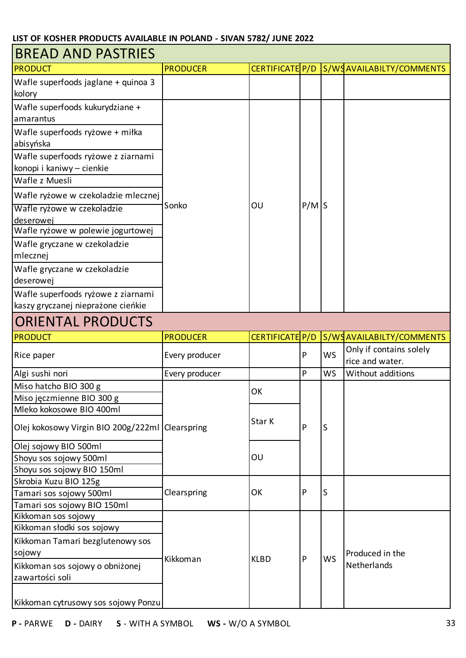| <b>BREAD AND PASTRIES</b>                       |                 |                 |         |           |                                            |  |
|-------------------------------------------------|-----------------|-----------------|---------|-----------|--------------------------------------------|--|
| <b>PRODUCT</b>                                  | <b>PRODUCER</b> | CERTIFICATE P/D |         |           | S/WSAVAILABILTY/COMMENTS                   |  |
| Wafle superfoods jaglane + quinoa 3<br>kolory   |                 |                 |         |           |                                            |  |
| Wafle superfoods kukurydziane +                 |                 |                 |         |           |                                            |  |
| amarantus                                       |                 |                 |         |           |                                            |  |
| Wafle superfoods ryżowe + miłka                 |                 |                 |         |           |                                            |  |
| abisyńska                                       |                 |                 |         |           |                                            |  |
| Wafle superfoods ryżowe z ziarnami              |                 |                 |         |           |                                            |  |
| konopi i kaniwy - cienkie                       |                 |                 |         |           |                                            |  |
| Wafle z Muesli                                  |                 |                 |         |           |                                            |  |
| Wafle ryżowe w czekoladzie mlecznej             |                 |                 |         |           |                                            |  |
| Wafle ryżowe w czekoladzie                      | Sonko           | OU              | $P/M$ S |           |                                            |  |
| deserowej                                       |                 |                 |         |           |                                            |  |
| Wafle ryżowe w polewie jogurtowej               |                 |                 |         |           |                                            |  |
| Wafle gryczane w czekoladzie                    |                 |                 |         |           |                                            |  |
| mlecznej                                        |                 |                 |         |           |                                            |  |
| Wafle gryczane w czekoladzie                    |                 |                 |         |           |                                            |  |
| deserowej                                       |                 |                 |         |           |                                            |  |
| Wafle superfoods ryżowe z ziarnami              |                 |                 |         |           |                                            |  |
| kaszy gryczanej nieprażone cieńkie              |                 |                 |         |           |                                            |  |
| <b>ORIENTAL PRODUCTS</b>                        |                 |                 |         |           |                                            |  |
| <b>PRODUCT</b>                                  | <b>PRODUCER</b> | CERTIFICATE P/D |         |           | S/WSAVAILABILTY/COMMENTS                   |  |
| Rice paper                                      | Every producer  |                 | P       | <b>WS</b> | Only if contains solely<br>rice and water. |  |
| Algi sushi nori                                 | Every producer  |                 | P       | <b>WS</b> | Without additions                          |  |
| Miso hatcho BIO 300 g                           |                 | OK              |         |           |                                            |  |
| Miso jęczmienne BIO 300 g                       |                 |                 |         |           |                                            |  |
| Mleko kokosowe BIO 400ml                        |                 |                 |         |           |                                            |  |
| Olej kokosowy Virgin BIO 200g/222ml Clearspring |                 | Star K          | P       | S         |                                            |  |
| Olej sojowy BIO 500ml                           |                 |                 |         |           |                                            |  |
| Shoyu sos sojowy 500ml                          |                 | OU              |         |           |                                            |  |
| Shoyu sos sojowy BIO 150ml                      |                 |                 |         |           |                                            |  |
| Skrobia Kuzu BIO 125g                           |                 |                 |         |           |                                            |  |
| Tamari sos sojowy 500ml                         | Clearspring     | OK              | P       | S         |                                            |  |
| Tamari sos sojowy BIO 150ml                     |                 |                 |         |           |                                            |  |
| Kikkoman sos sojowy                             |                 |                 |         |           |                                            |  |
| Kikkoman słodki sos sojowy                      |                 |                 |         |           |                                            |  |
| Kikkoman Tamari bezglutenowy sos                |                 |                 |         |           |                                            |  |
| sojowy                                          | Kikkoman        | <b>KLBD</b>     | P       | <b>WS</b> | Produced in the                            |  |
| Kikkoman sos sojowy o obniżonej                 |                 |                 |         |           | Netherlands                                |  |
| zawartości soli                                 |                 |                 |         |           |                                            |  |
|                                                 |                 |                 |         |           |                                            |  |
| Kikkoman cytrusowy sos sojowy Ponzu             |                 |                 |         |           |                                            |  |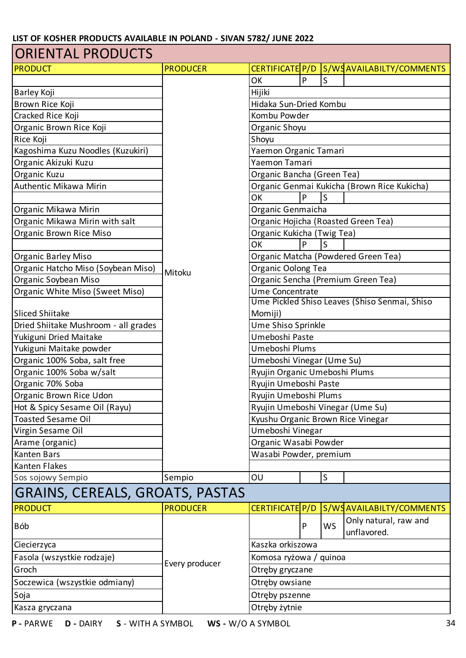| CERTIFICATE P/D S/WSAVAILABILTY/COMMENTS<br><b>PRODUCER</b><br>OK<br>P<br>Hijiki<br>Hidaka Sun-Dried Kombu<br>Brown Rice Koji<br>Cracked Rice Koji<br>Kombu Powder<br>Organic Brown Rice Koji<br>Organic Shoyu<br>Rice Koji<br>Shoyu<br>Kagoshima Kuzu Noodles (Kuzukiri)<br>Yaemon Organic Tamari<br>Organic Akizuki Kuzu<br>Yaemon Tamari<br>Organic Kuzu<br>Organic Bancha (Green Tea)<br>Authentic Mikawa Mirin<br>Organic Genmai Kukicha (Brown Rice Kukicha)<br>P<br>S<br>OK<br>Organic Genmaicha<br>Organic Mikawa Mirin<br>Organic Mikawa Mirin with salt<br>Organic Hojicha (Roasted Green Tea)<br>Organic Brown Rice Miso<br>Organic Kukicha (Twig Tea)<br>P<br>S<br>OK<br>Organic Matcha (Powdered Green Tea)<br>Organic Barley Miso<br>Organic Hatcho Miso (Soybean Miso)<br>Organic Oolong Tea<br>Mitoku<br>Organic Soybean Miso<br>Organic Sencha (Premium Green Tea)<br>Ume Concentrate<br>Organic White Miso (Sweet Miso)<br>Ume Pickled Shiso Leaves (Shiso Senmai, Shiso<br><b>Sliced Shiitake</b><br>Momiji)<br>Dried Shiitake Mushroom - all grades<br>Ume Shiso Sprinkle<br>Umeboshi Paste<br>Yukiguni Dried Maitake<br>Yukiguni Maitake powder<br>Umeboshi Plums<br>Organic 100% Soba, salt free<br>Umeboshi Vinegar (Ume Su)<br>Organic 100% Soba w/salt<br>Ryujin Organic Umeboshi Plums<br>Organic 70% Soba<br>Ryujin Umeboshi Paste<br>Organic Brown Rice Udon<br>Ryujin Umeboshi Plums<br>Hot & Spicy Sesame Oil (Rayu)<br>Ryujin Umeboshi Vinegar (Ume Su)<br><b>Toasted Sesame Oil</b><br>Kyushu Organic Brown Rice Vinegar<br>Virgin Sesame Oil<br>Umeboshi Vinegar<br>Arame (organic)<br>Organic Wasabi Powder<br>Wasabi Powder, premium<br>Kanten Bars<br>Kanten Flakes<br>S<br>Sos sojowy Sempio<br>Sempio<br>OU<br> GRAINS, CEREALS, GROATS, PASTAS<br>CERTIFICATE P/D<br>S/WSAVAILABILTY/COMMENTS<br><b>PRODUCER</b><br>Only natural, raw and<br><b>WS</b><br>Bób<br>P<br>unflavored.<br>Kaszka orkiszowa<br>Ciecierzyca<br>Fasola (wszystkie rodzaje)<br>Komosa ryżowa / quinoa<br>Every producer<br>Groch<br>Otręby gryczane<br>Soczewica (wszystkie odmiany)<br>Otręby owsiane<br>Otręby pszenne<br>Soja | <b>ORIENTAL PRODUCTS</b> |  |  |  |  |  |  |  |
|------------------------------------------------------------------------------------------------------------------------------------------------------------------------------------------------------------------------------------------------------------------------------------------------------------------------------------------------------------------------------------------------------------------------------------------------------------------------------------------------------------------------------------------------------------------------------------------------------------------------------------------------------------------------------------------------------------------------------------------------------------------------------------------------------------------------------------------------------------------------------------------------------------------------------------------------------------------------------------------------------------------------------------------------------------------------------------------------------------------------------------------------------------------------------------------------------------------------------------------------------------------------------------------------------------------------------------------------------------------------------------------------------------------------------------------------------------------------------------------------------------------------------------------------------------------------------------------------------------------------------------------------------------------------------------------------------------------------------------------------------------------------------------------------------------------------------------------------------------------------------------------------------------------------------------------------------------------------------------------------------------------------------------------------------------------------------------------------------------------------------------------------|--------------------------|--|--|--|--|--|--|--|
|                                                                                                                                                                                                                                                                                                                                                                                                                                                                                                                                                                                                                                                                                                                                                                                                                                                                                                                                                                                                                                                                                                                                                                                                                                                                                                                                                                                                                                                                                                                                                                                                                                                                                                                                                                                                                                                                                                                                                                                                                                                                                                                                                | <b>PRODUCT</b>           |  |  |  |  |  |  |  |
|                                                                                                                                                                                                                                                                                                                                                                                                                                                                                                                                                                                                                                                                                                                                                                                                                                                                                                                                                                                                                                                                                                                                                                                                                                                                                                                                                                                                                                                                                                                                                                                                                                                                                                                                                                                                                                                                                                                                                                                                                                                                                                                                                |                          |  |  |  |  |  |  |  |
|                                                                                                                                                                                                                                                                                                                                                                                                                                                                                                                                                                                                                                                                                                                                                                                                                                                                                                                                                                                                                                                                                                                                                                                                                                                                                                                                                                                                                                                                                                                                                                                                                                                                                                                                                                                                                                                                                                                                                                                                                                                                                                                                                | Barley Koji              |  |  |  |  |  |  |  |
|                                                                                                                                                                                                                                                                                                                                                                                                                                                                                                                                                                                                                                                                                                                                                                                                                                                                                                                                                                                                                                                                                                                                                                                                                                                                                                                                                                                                                                                                                                                                                                                                                                                                                                                                                                                                                                                                                                                                                                                                                                                                                                                                                |                          |  |  |  |  |  |  |  |
|                                                                                                                                                                                                                                                                                                                                                                                                                                                                                                                                                                                                                                                                                                                                                                                                                                                                                                                                                                                                                                                                                                                                                                                                                                                                                                                                                                                                                                                                                                                                                                                                                                                                                                                                                                                                                                                                                                                                                                                                                                                                                                                                                |                          |  |  |  |  |  |  |  |
|                                                                                                                                                                                                                                                                                                                                                                                                                                                                                                                                                                                                                                                                                                                                                                                                                                                                                                                                                                                                                                                                                                                                                                                                                                                                                                                                                                                                                                                                                                                                                                                                                                                                                                                                                                                                                                                                                                                                                                                                                                                                                                                                                |                          |  |  |  |  |  |  |  |
|                                                                                                                                                                                                                                                                                                                                                                                                                                                                                                                                                                                                                                                                                                                                                                                                                                                                                                                                                                                                                                                                                                                                                                                                                                                                                                                                                                                                                                                                                                                                                                                                                                                                                                                                                                                                                                                                                                                                                                                                                                                                                                                                                |                          |  |  |  |  |  |  |  |
|                                                                                                                                                                                                                                                                                                                                                                                                                                                                                                                                                                                                                                                                                                                                                                                                                                                                                                                                                                                                                                                                                                                                                                                                                                                                                                                                                                                                                                                                                                                                                                                                                                                                                                                                                                                                                                                                                                                                                                                                                                                                                                                                                |                          |  |  |  |  |  |  |  |
|                                                                                                                                                                                                                                                                                                                                                                                                                                                                                                                                                                                                                                                                                                                                                                                                                                                                                                                                                                                                                                                                                                                                                                                                                                                                                                                                                                                                                                                                                                                                                                                                                                                                                                                                                                                                                                                                                                                                                                                                                                                                                                                                                |                          |  |  |  |  |  |  |  |
|                                                                                                                                                                                                                                                                                                                                                                                                                                                                                                                                                                                                                                                                                                                                                                                                                                                                                                                                                                                                                                                                                                                                                                                                                                                                                                                                                                                                                                                                                                                                                                                                                                                                                                                                                                                                                                                                                                                                                                                                                                                                                                                                                |                          |  |  |  |  |  |  |  |
|                                                                                                                                                                                                                                                                                                                                                                                                                                                                                                                                                                                                                                                                                                                                                                                                                                                                                                                                                                                                                                                                                                                                                                                                                                                                                                                                                                                                                                                                                                                                                                                                                                                                                                                                                                                                                                                                                                                                                                                                                                                                                                                                                |                          |  |  |  |  |  |  |  |
|                                                                                                                                                                                                                                                                                                                                                                                                                                                                                                                                                                                                                                                                                                                                                                                                                                                                                                                                                                                                                                                                                                                                                                                                                                                                                                                                                                                                                                                                                                                                                                                                                                                                                                                                                                                                                                                                                                                                                                                                                                                                                                                                                |                          |  |  |  |  |  |  |  |
|                                                                                                                                                                                                                                                                                                                                                                                                                                                                                                                                                                                                                                                                                                                                                                                                                                                                                                                                                                                                                                                                                                                                                                                                                                                                                                                                                                                                                                                                                                                                                                                                                                                                                                                                                                                                                                                                                                                                                                                                                                                                                                                                                |                          |  |  |  |  |  |  |  |
|                                                                                                                                                                                                                                                                                                                                                                                                                                                                                                                                                                                                                                                                                                                                                                                                                                                                                                                                                                                                                                                                                                                                                                                                                                                                                                                                                                                                                                                                                                                                                                                                                                                                                                                                                                                                                                                                                                                                                                                                                                                                                                                                                |                          |  |  |  |  |  |  |  |
|                                                                                                                                                                                                                                                                                                                                                                                                                                                                                                                                                                                                                                                                                                                                                                                                                                                                                                                                                                                                                                                                                                                                                                                                                                                                                                                                                                                                                                                                                                                                                                                                                                                                                                                                                                                                                                                                                                                                                                                                                                                                                                                                                |                          |  |  |  |  |  |  |  |
|                                                                                                                                                                                                                                                                                                                                                                                                                                                                                                                                                                                                                                                                                                                                                                                                                                                                                                                                                                                                                                                                                                                                                                                                                                                                                                                                                                                                                                                                                                                                                                                                                                                                                                                                                                                                                                                                                                                                                                                                                                                                                                                                                |                          |  |  |  |  |  |  |  |
|                                                                                                                                                                                                                                                                                                                                                                                                                                                                                                                                                                                                                                                                                                                                                                                                                                                                                                                                                                                                                                                                                                                                                                                                                                                                                                                                                                                                                                                                                                                                                                                                                                                                                                                                                                                                                                                                                                                                                                                                                                                                                                                                                |                          |  |  |  |  |  |  |  |
|                                                                                                                                                                                                                                                                                                                                                                                                                                                                                                                                                                                                                                                                                                                                                                                                                                                                                                                                                                                                                                                                                                                                                                                                                                                                                                                                                                                                                                                                                                                                                                                                                                                                                                                                                                                                                                                                                                                                                                                                                                                                                                                                                |                          |  |  |  |  |  |  |  |
|                                                                                                                                                                                                                                                                                                                                                                                                                                                                                                                                                                                                                                                                                                                                                                                                                                                                                                                                                                                                                                                                                                                                                                                                                                                                                                                                                                                                                                                                                                                                                                                                                                                                                                                                                                                                                                                                                                                                                                                                                                                                                                                                                |                          |  |  |  |  |  |  |  |
|                                                                                                                                                                                                                                                                                                                                                                                                                                                                                                                                                                                                                                                                                                                                                                                                                                                                                                                                                                                                                                                                                                                                                                                                                                                                                                                                                                                                                                                                                                                                                                                                                                                                                                                                                                                                                                                                                                                                                                                                                                                                                                                                                |                          |  |  |  |  |  |  |  |
|                                                                                                                                                                                                                                                                                                                                                                                                                                                                                                                                                                                                                                                                                                                                                                                                                                                                                                                                                                                                                                                                                                                                                                                                                                                                                                                                                                                                                                                                                                                                                                                                                                                                                                                                                                                                                                                                                                                                                                                                                                                                                                                                                |                          |  |  |  |  |  |  |  |
|                                                                                                                                                                                                                                                                                                                                                                                                                                                                                                                                                                                                                                                                                                                                                                                                                                                                                                                                                                                                                                                                                                                                                                                                                                                                                                                                                                                                                                                                                                                                                                                                                                                                                                                                                                                                                                                                                                                                                                                                                                                                                                                                                |                          |  |  |  |  |  |  |  |
|                                                                                                                                                                                                                                                                                                                                                                                                                                                                                                                                                                                                                                                                                                                                                                                                                                                                                                                                                                                                                                                                                                                                                                                                                                                                                                                                                                                                                                                                                                                                                                                                                                                                                                                                                                                                                                                                                                                                                                                                                                                                                                                                                |                          |  |  |  |  |  |  |  |
|                                                                                                                                                                                                                                                                                                                                                                                                                                                                                                                                                                                                                                                                                                                                                                                                                                                                                                                                                                                                                                                                                                                                                                                                                                                                                                                                                                                                                                                                                                                                                                                                                                                                                                                                                                                                                                                                                                                                                                                                                                                                                                                                                |                          |  |  |  |  |  |  |  |
|                                                                                                                                                                                                                                                                                                                                                                                                                                                                                                                                                                                                                                                                                                                                                                                                                                                                                                                                                                                                                                                                                                                                                                                                                                                                                                                                                                                                                                                                                                                                                                                                                                                                                                                                                                                                                                                                                                                                                                                                                                                                                                                                                |                          |  |  |  |  |  |  |  |
|                                                                                                                                                                                                                                                                                                                                                                                                                                                                                                                                                                                                                                                                                                                                                                                                                                                                                                                                                                                                                                                                                                                                                                                                                                                                                                                                                                                                                                                                                                                                                                                                                                                                                                                                                                                                                                                                                                                                                                                                                                                                                                                                                |                          |  |  |  |  |  |  |  |
|                                                                                                                                                                                                                                                                                                                                                                                                                                                                                                                                                                                                                                                                                                                                                                                                                                                                                                                                                                                                                                                                                                                                                                                                                                                                                                                                                                                                                                                                                                                                                                                                                                                                                                                                                                                                                                                                                                                                                                                                                                                                                                                                                |                          |  |  |  |  |  |  |  |
|                                                                                                                                                                                                                                                                                                                                                                                                                                                                                                                                                                                                                                                                                                                                                                                                                                                                                                                                                                                                                                                                                                                                                                                                                                                                                                                                                                                                                                                                                                                                                                                                                                                                                                                                                                                                                                                                                                                                                                                                                                                                                                                                                |                          |  |  |  |  |  |  |  |
|                                                                                                                                                                                                                                                                                                                                                                                                                                                                                                                                                                                                                                                                                                                                                                                                                                                                                                                                                                                                                                                                                                                                                                                                                                                                                                                                                                                                                                                                                                                                                                                                                                                                                                                                                                                                                                                                                                                                                                                                                                                                                                                                                |                          |  |  |  |  |  |  |  |
|                                                                                                                                                                                                                                                                                                                                                                                                                                                                                                                                                                                                                                                                                                                                                                                                                                                                                                                                                                                                                                                                                                                                                                                                                                                                                                                                                                                                                                                                                                                                                                                                                                                                                                                                                                                                                                                                                                                                                                                                                                                                                                                                                |                          |  |  |  |  |  |  |  |
|                                                                                                                                                                                                                                                                                                                                                                                                                                                                                                                                                                                                                                                                                                                                                                                                                                                                                                                                                                                                                                                                                                                                                                                                                                                                                                                                                                                                                                                                                                                                                                                                                                                                                                                                                                                                                                                                                                                                                                                                                                                                                                                                                |                          |  |  |  |  |  |  |  |
|                                                                                                                                                                                                                                                                                                                                                                                                                                                                                                                                                                                                                                                                                                                                                                                                                                                                                                                                                                                                                                                                                                                                                                                                                                                                                                                                                                                                                                                                                                                                                                                                                                                                                                                                                                                                                                                                                                                                                                                                                                                                                                                                                |                          |  |  |  |  |  |  |  |
|                                                                                                                                                                                                                                                                                                                                                                                                                                                                                                                                                                                                                                                                                                                                                                                                                                                                                                                                                                                                                                                                                                                                                                                                                                                                                                                                                                                                                                                                                                                                                                                                                                                                                                                                                                                                                                                                                                                                                                                                                                                                                                                                                |                          |  |  |  |  |  |  |  |
|                                                                                                                                                                                                                                                                                                                                                                                                                                                                                                                                                                                                                                                                                                                                                                                                                                                                                                                                                                                                                                                                                                                                                                                                                                                                                                                                                                                                                                                                                                                                                                                                                                                                                                                                                                                                                                                                                                                                                                                                                                                                                                                                                |                          |  |  |  |  |  |  |  |
|                                                                                                                                                                                                                                                                                                                                                                                                                                                                                                                                                                                                                                                                                                                                                                                                                                                                                                                                                                                                                                                                                                                                                                                                                                                                                                                                                                                                                                                                                                                                                                                                                                                                                                                                                                                                                                                                                                                                                                                                                                                                                                                                                |                          |  |  |  |  |  |  |  |
|                                                                                                                                                                                                                                                                                                                                                                                                                                                                                                                                                                                                                                                                                                                                                                                                                                                                                                                                                                                                                                                                                                                                                                                                                                                                                                                                                                                                                                                                                                                                                                                                                                                                                                                                                                                                                                                                                                                                                                                                                                                                                                                                                |                          |  |  |  |  |  |  |  |
|                                                                                                                                                                                                                                                                                                                                                                                                                                                                                                                                                                                                                                                                                                                                                                                                                                                                                                                                                                                                                                                                                                                                                                                                                                                                                                                                                                                                                                                                                                                                                                                                                                                                                                                                                                                                                                                                                                                                                                                                                                                                                                                                                |                          |  |  |  |  |  |  |  |
|                                                                                                                                                                                                                                                                                                                                                                                                                                                                                                                                                                                                                                                                                                                                                                                                                                                                                                                                                                                                                                                                                                                                                                                                                                                                                                                                                                                                                                                                                                                                                                                                                                                                                                                                                                                                                                                                                                                                                                                                                                                                                                                                                | PRODUCT                  |  |  |  |  |  |  |  |
|                                                                                                                                                                                                                                                                                                                                                                                                                                                                                                                                                                                                                                                                                                                                                                                                                                                                                                                                                                                                                                                                                                                                                                                                                                                                                                                                                                                                                                                                                                                                                                                                                                                                                                                                                                                                                                                                                                                                                                                                                                                                                                                                                |                          |  |  |  |  |  |  |  |
|                                                                                                                                                                                                                                                                                                                                                                                                                                                                                                                                                                                                                                                                                                                                                                                                                                                                                                                                                                                                                                                                                                                                                                                                                                                                                                                                                                                                                                                                                                                                                                                                                                                                                                                                                                                                                                                                                                                                                                                                                                                                                                                                                |                          |  |  |  |  |  |  |  |
|                                                                                                                                                                                                                                                                                                                                                                                                                                                                                                                                                                                                                                                                                                                                                                                                                                                                                                                                                                                                                                                                                                                                                                                                                                                                                                                                                                                                                                                                                                                                                                                                                                                                                                                                                                                                                                                                                                                                                                                                                                                                                                                                                |                          |  |  |  |  |  |  |  |
|                                                                                                                                                                                                                                                                                                                                                                                                                                                                                                                                                                                                                                                                                                                                                                                                                                                                                                                                                                                                                                                                                                                                                                                                                                                                                                                                                                                                                                                                                                                                                                                                                                                                                                                                                                                                                                                                                                                                                                                                                                                                                                                                                |                          |  |  |  |  |  |  |  |
|                                                                                                                                                                                                                                                                                                                                                                                                                                                                                                                                                                                                                                                                                                                                                                                                                                                                                                                                                                                                                                                                                                                                                                                                                                                                                                                                                                                                                                                                                                                                                                                                                                                                                                                                                                                                                                                                                                                                                                                                                                                                                                                                                |                          |  |  |  |  |  |  |  |
|                                                                                                                                                                                                                                                                                                                                                                                                                                                                                                                                                                                                                                                                                                                                                                                                                                                                                                                                                                                                                                                                                                                                                                                                                                                                                                                                                                                                                                                                                                                                                                                                                                                                                                                                                                                                                                                                                                                                                                                                                                                                                                                                                |                          |  |  |  |  |  |  |  |
| Otręby żytnie<br>Kasza gryczana                                                                                                                                                                                                                                                                                                                                                                                                                                                                                                                                                                                                                                                                                                                                                                                                                                                                                                                                                                                                                                                                                                                                                                                                                                                                                                                                                                                                                                                                                                                                                                                                                                                                                                                                                                                                                                                                                                                                                                                                                                                                                                                |                          |  |  |  |  |  |  |  |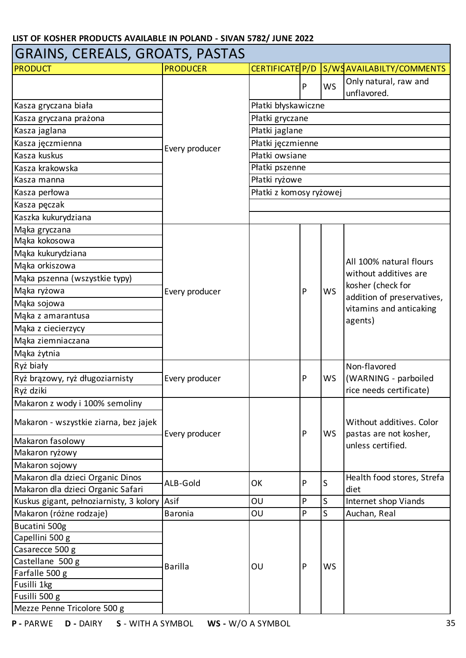| GRAINS, CEREALS, GROATS, PASTAS         |                 |                         |                   |              |                                                    |  |  |  |  |
|-----------------------------------------|-----------------|-------------------------|-------------------|--------------|----------------------------------------------------|--|--|--|--|
| <b>PRODUCT</b>                          | <b>PRODUCER</b> | CERTIFICATE P/D         |                   |              | S/WSAVAILABILTY/COMMENTS                           |  |  |  |  |
|                                         |                 |                         | P                 | <b>WS</b>    | Only natural, raw and<br>unflavored.               |  |  |  |  |
| Kasza gryczana biała                    |                 | Płatki błyskawiczne     |                   |              |                                                    |  |  |  |  |
| Kasza gryczana prażona                  |                 | Płatki gryczane         |                   |              |                                                    |  |  |  |  |
| Kasza jaglana                           |                 | Płatki jaglane          |                   |              |                                                    |  |  |  |  |
| Kasza jęczmienna                        |                 |                         | Płatki jęczmienne |              |                                                    |  |  |  |  |
| Kasza kuskus                            | Every producer  | Płatki owsiane          |                   |              |                                                    |  |  |  |  |
| Kasza krakowska                         |                 | Płatki pszenne          |                   |              |                                                    |  |  |  |  |
| Kasza manna                             |                 | Płatki ryżowe           |                   |              |                                                    |  |  |  |  |
| Kasza perłowa                           |                 | Płatki z komosy ryżowej |                   |              |                                                    |  |  |  |  |
| Kasza pęczak                            |                 |                         |                   |              |                                                    |  |  |  |  |
| Kaszka kukurydziana                     |                 |                         |                   |              |                                                    |  |  |  |  |
| Maka gryczana                           |                 |                         |                   |              |                                                    |  |  |  |  |
| Mąka kokosowa                           |                 |                         |                   |              |                                                    |  |  |  |  |
| Mąka kukurydziana                       |                 |                         |                   |              |                                                    |  |  |  |  |
| Mąka orkiszowa                          |                 |                         |                   |              | All 100% natural flours                            |  |  |  |  |
| Mąka pszenna (wszystkie typy)           |                 |                         |                   | <b>WS</b>    | without additives are                              |  |  |  |  |
| Mąka ryżowa                             | Every producer  |                         | P                 |              | kosher (check for                                  |  |  |  |  |
| Mąka sojowa                             |                 |                         |                   |              | addition of preservatives,                         |  |  |  |  |
| Mąka z amarantusa                       |                 |                         |                   |              | vitamins and anticaking                            |  |  |  |  |
| Mąka z ciecierzycy                      |                 |                         |                   |              | agents)                                            |  |  |  |  |
| Mąka ziemniaczana                       |                 |                         |                   |              |                                                    |  |  |  |  |
| Mąka żytnia                             |                 |                         |                   |              |                                                    |  |  |  |  |
| Ryż biały                               |                 |                         |                   |              | Non-flavored                                       |  |  |  |  |
| Ryż brązowy, ryż długoziarnisty         | Every producer  |                         | $\mathsf{P}$      | WS           | (WARNING - parboiled                               |  |  |  |  |
| Ryż dziki                               |                 |                         |                   |              | rice needs certificate)                            |  |  |  |  |
| Makaron z wody i 100% semoliny          |                 |                         |                   |              |                                                    |  |  |  |  |
| Makaron - wszystkie ziarna, bez jajek   | Every producer  |                         | P                 | <b>WS</b>    | Without additives. Color<br>pastas are not kosher, |  |  |  |  |
| Makaron fasolowy                        |                 |                         |                   |              | unless certified.                                  |  |  |  |  |
| Makaron ryżowy                          |                 |                         |                   |              |                                                    |  |  |  |  |
| Makaron sojowy                          |                 |                         |                   |              |                                                    |  |  |  |  |
| Makaron dla dzieci Organic Dinos        | ALB-Gold        | OK                      | P                 | S            | Health food stores, Strefa                         |  |  |  |  |
| Makaron dla dzieci Organic Safari       |                 |                         |                   |              | diet                                               |  |  |  |  |
| Kuskus gigant, pełnoziarnisty, 3 kolory | Asif            | OU                      | $\mathsf{P}$      | S            | Internet shop Viands                               |  |  |  |  |
| Makaron (różne rodzaje)                 | <b>Baronia</b>  | OU                      | P                 | <sub>S</sub> | Auchan, Real                                       |  |  |  |  |
| Bucatini 500g                           |                 |                         |                   |              |                                                    |  |  |  |  |
| Capellini 500 g                         |                 |                         |                   |              |                                                    |  |  |  |  |
| Casarecce 500 g                         |                 |                         |                   |              |                                                    |  |  |  |  |
| Castellane 500 g                        | <b>Barilla</b>  | OU                      | P                 | <b>WS</b>    |                                                    |  |  |  |  |
| Farfalle 500 g                          |                 |                         |                   |              |                                                    |  |  |  |  |
| Fusilli 1kg                             |                 |                         |                   |              |                                                    |  |  |  |  |
| Fusilli 500 g                           |                 |                         |                   |              |                                                    |  |  |  |  |
| Mezze Penne Tricolore 500 g             |                 |                         |                   |              |                                                    |  |  |  |  |

┓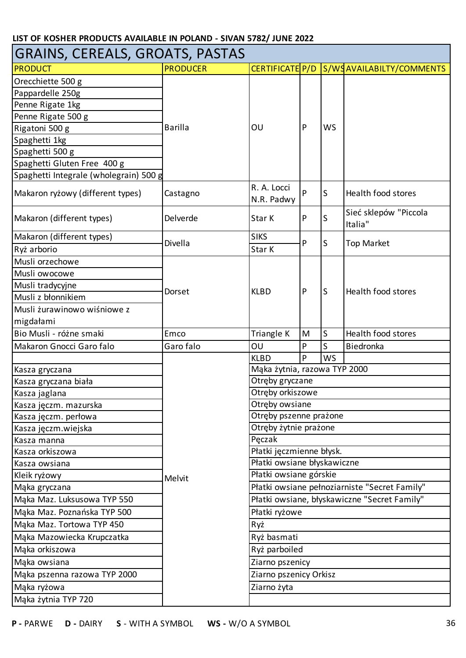| GRAINS, CEREALS, GROATS, PASTAS        |                 |                             |                              |           |                                               |  |  |
|----------------------------------------|-----------------|-----------------------------|------------------------------|-----------|-----------------------------------------------|--|--|
| <b>PRODUCT</b>                         | <b>PRODUCER</b> | CERTIFICATE P/D             |                              |           | S/WSAVAILABILTY/COMMENTS                      |  |  |
| Orecchiette 500 g                      |                 |                             |                              |           |                                               |  |  |
| Pappardelle 250g                       |                 |                             |                              |           |                                               |  |  |
| Penne Rigate 1kg                       |                 |                             |                              |           |                                               |  |  |
| Penne Rigate 500 g                     |                 |                             |                              |           |                                               |  |  |
| Rigatoni 500 g                         | <b>Barilla</b>  | OU                          | P                            | <b>WS</b> |                                               |  |  |
| Spaghetti 1kg                          |                 |                             |                              |           |                                               |  |  |
| Spaghetti 500 g                        |                 |                             |                              |           |                                               |  |  |
| Spaghetti Gluten Free 400 g            |                 |                             |                              |           |                                               |  |  |
| Spaghetti Integrale (wholegrain) 500 g |                 |                             |                              |           |                                               |  |  |
| Makaron ryżowy (different types)       | Castagno        | R. A. Locci<br>N.R. Padwy   | P                            | S         | Health food stores                            |  |  |
| Makaron (different types)              | Delverde        | Star K                      | P                            | S         | Sieć sklepów "Piccola<br>Italia"              |  |  |
| Makaron (different types)              | Divella         | <b>SIKS</b>                 | P                            | S         |                                               |  |  |
| Ryż arborio                            |                 | Star K                      |                              |           | <b>Top Market</b>                             |  |  |
| Musli orzechowe                        |                 |                             |                              |           |                                               |  |  |
| Musli owocowe                          |                 |                             |                              |           | Health food stores                            |  |  |
| Musli tradycyjne                       |                 |                             | P                            | S         |                                               |  |  |
| Musli z błonnikiem                     | Dorset          | <b>KLBD</b>                 |                              |           |                                               |  |  |
| Musli żurawinowo wiśniowe z            |                 |                             |                              |           |                                               |  |  |
| migdałami                              |                 |                             |                              |           |                                               |  |  |
| Bio Musli - różne smaki                | Emco            | Triangle K                  | M                            | S         | Health food stores                            |  |  |
| Makaron Gnocci Garo falo               | Garo falo       | OU                          | P                            | S         | Biedronka                                     |  |  |
|                                        |                 | <b>KLBD</b>                 | P                            | <b>WS</b> |                                               |  |  |
|                                        |                 |                             | Mąka żytnia, razowa TYP 2000 |           |                                               |  |  |
| Kasza gryczana                         |                 |                             |                              |           |                                               |  |  |
| Kasza gryczana biała                   |                 | Otręby gryczane             |                              |           |                                               |  |  |
| Kasza jaglana                          |                 | Otręby orkiszowe            |                              |           |                                               |  |  |
| Kasza jęczm. mazurska                  |                 | Otręby owsiane              |                              |           |                                               |  |  |
| Kasza jęczm. perłowa                   |                 | Otręby pszenne prażone      |                              |           |                                               |  |  |
| Kasza jęczm.wiejska                    |                 | Otręby żytnie prażone       |                              |           |                                               |  |  |
| Kasza manna                            |                 | Peczak                      |                              |           |                                               |  |  |
| Kasza orkiszowa                        |                 | Płatki jęczmienne błysk.    |                              |           |                                               |  |  |
| Kasza owsiana                          |                 | Płatki owsiane błyskawiczne |                              |           |                                               |  |  |
| Kleik ryżowy                           | Melvit          | Płatki owsiane górskie      |                              |           |                                               |  |  |
| Mąka gryczana                          |                 |                             |                              |           | Płatki owsiane pełnoziarniste "Secret Family" |  |  |
| Mąka Maz. Luksusowa TYP 550            |                 |                             |                              |           | Płatki owsiane, błyskawiczne "Secret Family"  |  |  |
| Mąka Maz. Poznańska TYP 500            |                 | Płatki ryżowe               |                              |           |                                               |  |  |
| Mąka Maz. Tortowa TYP 450              |                 | Ryż                         |                              |           |                                               |  |  |
| Mąka Mazowiecka Krupczatka             |                 | Ryż basmati                 |                              |           |                                               |  |  |
| Mąka orkiszowa                         |                 | Ryż parboiled               |                              |           |                                               |  |  |
| Mąka owsiana                           |                 | Ziarno pszenicy             |                              |           |                                               |  |  |
| Mąka pszenna razowa TYP 2000           |                 | Ziarno pszenicy Orkisz      |                              |           |                                               |  |  |
| Mąka ryżowa                            |                 | Ziarno żyta                 |                              |           |                                               |  |  |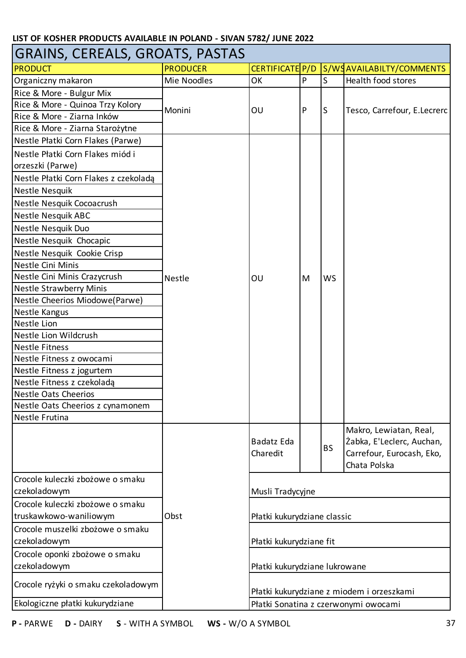| <b>GRAINS, CEREALS, GROATS, PASTAS</b> |                 |                               |   |           |                                                                                                  |
|----------------------------------------|-----------------|-------------------------------|---|-----------|--------------------------------------------------------------------------------------------------|
| <b>PRODUCT</b>                         | <b>PRODUCER</b> | CERTIFICATE P/D               |   |           | S/WSAVAILABILTY/COMMENTS                                                                         |
| Organiczny makaron                     | Mie Noodles     | OK                            | P | S         | Health food stores                                                                               |
| Rice & More - Bulgur Mix               |                 |                               |   |           |                                                                                                  |
| Rice & More - Quinoa Trzy Kolory       |                 |                               |   |           |                                                                                                  |
| Rice & More - Ziarna Inków             | Monini          | OU                            | P | S         | Tesco, Carrefour, E.Lecrerc                                                                      |
| Rice & More - Ziarna Starożytne        |                 |                               |   |           |                                                                                                  |
| Nestle Płatki Corn Flakes (Parwe)      |                 |                               |   |           |                                                                                                  |
| Nestle Płatki Corn Flakes miód i       |                 |                               |   |           |                                                                                                  |
| orzeszki (Parwe)                       |                 |                               |   |           |                                                                                                  |
| Nestle Płatki Corn Flakes z czekoladą  |                 |                               |   |           |                                                                                                  |
| Nestle Nesquik                         |                 |                               |   |           |                                                                                                  |
| Nestle Nesquik Cocoacrush              |                 |                               |   |           |                                                                                                  |
| <b>Nestle Nesquik ABC</b>              |                 |                               |   |           |                                                                                                  |
| Nestle Nesquik Duo                     |                 |                               |   |           |                                                                                                  |
| Nestle Nesquik Chocapic                |                 |                               |   |           |                                                                                                  |
| Nestle Nesquik Cookie Crisp            |                 |                               |   |           |                                                                                                  |
| Nestle Cini Minis                      |                 |                               |   |           |                                                                                                  |
| Nestle Cini Minis Crazycrush           | Nestle          | OU                            | M | <b>WS</b> |                                                                                                  |
| <b>Nestle Strawberry Minis</b>         |                 |                               |   |           |                                                                                                  |
| Nestle Cheerios Miodowe(Parwe)         |                 |                               |   |           |                                                                                                  |
| Nestle Kangus                          |                 |                               |   |           |                                                                                                  |
| Nestle Lion                            |                 |                               |   |           |                                                                                                  |
| Nestle Lion Wildcrush                  |                 |                               |   |           |                                                                                                  |
| <b>Nestle Fitness</b>                  |                 |                               |   |           |                                                                                                  |
| Nestle Fitness z owocami               |                 |                               |   |           |                                                                                                  |
| Nestle Fitness z jogurtem              |                 |                               |   |           |                                                                                                  |
| Nestle Fitness z czekoladą             |                 |                               |   |           |                                                                                                  |
| <b>Nestle Oats Cheerios</b>            |                 |                               |   |           |                                                                                                  |
| Nestle Oats Cheerios z cynamonem       |                 |                               |   |           |                                                                                                  |
| Nestle Frutina                         |                 |                               |   |           |                                                                                                  |
|                                        |                 | Badatz Eda<br>Charedit        |   | <b>BS</b> | Makro, Lewiatan, Real,<br>Żabka, E'Leclerc, Auchan,<br>Carrefour, Eurocash, Eko,<br>Chata Polska |
| Crocole kuleczki zbożowe o smaku       |                 |                               |   |           |                                                                                                  |
| czekoladowym                           |                 | Musli Tradycyjne              |   |           |                                                                                                  |
| Crocole kuleczki zbożowe o smaku       |                 |                               |   |           |                                                                                                  |
| truskawkowo-waniliowym                 | Obst            | Płatki kukurydziane classic   |   |           |                                                                                                  |
| Crocole muszelki zbożowe o smaku       |                 |                               |   |           |                                                                                                  |
| czekoladowym                           |                 | Płatki kukurydziane fit       |   |           |                                                                                                  |
| Crocole oponki zbożowe o smaku         |                 |                               |   |           |                                                                                                  |
| czekoladowym                           |                 | Płatki kukurydziane lukrowane |   |           |                                                                                                  |
| Crocole ryżyki o smaku czekoladowym    |                 |                               |   |           | Płatki kukurydziane z miodem i orzeszkami                                                        |
| Ekologiczne płatki kukurydziane        |                 |                               |   |           | Płatki Sonatina z czerwonymi owocami                                                             |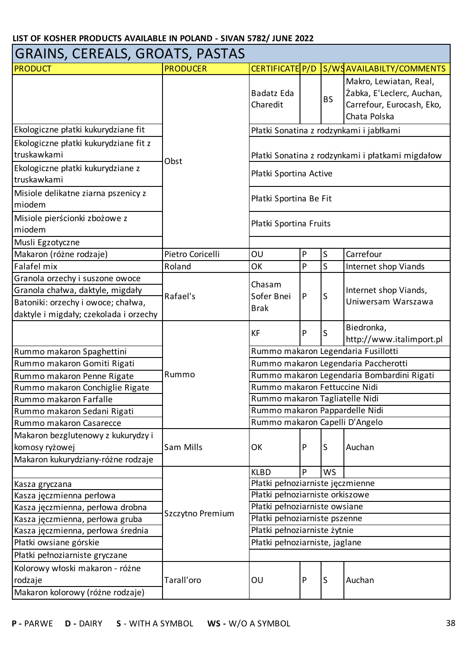| <b>GRAINS, CEREALS, GROATS, PASTAS</b>               |                  |                                      |              |           |                                                                                                  |  |
|------------------------------------------------------|------------------|--------------------------------------|--------------|-----------|--------------------------------------------------------------------------------------------------|--|
| <b>PRODUCT</b>                                       | <b>PRODUCER</b>  | CERTIFICATE P/D                      |              |           | S/WSAVAILABILTY/COMMENTS                                                                         |  |
|                                                      |                  | Badatz Eda<br>Charedit               |              | <b>BS</b> | Makro, Lewiatan, Real,<br>Żabka, E'Leclerc, Auchan,<br>Carrefour, Eurocash, Eko,<br>Chata Polska |  |
| Ekologiczne płatki kukurydziane fit                  |                  |                                      |              |           | Płatki Sonatina z rodzynkami i jabłkami                                                          |  |
| Ekologiczne płatki kukurydziane fit z<br>truskawkami | Obst             |                                      |              |           | Płatki Sonatina z rodzynkami i płatkami migdałow                                                 |  |
| Ekologiczne płatki kukurydziane z<br>truskawkami     |                  | Płatki Sportina Active               |              |           |                                                                                                  |  |
| Misiole delikatne ziarna pszenicy z<br>miodem        |                  | Płatki Sportina Be Fit               |              |           |                                                                                                  |  |
| Misiole pierścionki zbożowe z<br>miodem              |                  | Płatki Sportina Fruits               |              |           |                                                                                                  |  |
| Musli Egzotyczne                                     |                  |                                      |              |           |                                                                                                  |  |
| Makaron (różne rodzaje)                              | Pietro Coricelli | OU                                   | P            | $\sf S$   | Carrefour                                                                                        |  |
| Falafel mix                                          | Roland           | ОK                                   | P            | S         | Internet shop Viands                                                                             |  |
| Granola orzechy i suszone owoce                      |                  | Chasam                               |              |           |                                                                                                  |  |
| Granola chałwa, daktyle, migdały                     | Rafael's         | Sofer Bnei                           | $\mathsf{P}$ | S         | Internet shop Viands,                                                                            |  |
| Batoniki: orzechy i owoce; chałwa,                   |                  | <b>Brak</b>                          |              |           | Uniwersam Warszawa                                                                               |  |
| daktyle i migdały; czekolada i orzechy               |                  |                                      |              |           |                                                                                                  |  |
|                                                      |                  | <b>KF</b>                            | P            | S         | Biedronka,<br>http://www.italimport.pl                                                           |  |
| Rummo makaron Spaghettini                            |                  | Rummo makaron Legendaria Fusillotti  |              |           |                                                                                                  |  |
| Rummo makaron Gomiti Rigati                          |                  | Rummo makaron Legendaria Paccherotti |              |           |                                                                                                  |  |
| Rummo makaron Penne Rigate                           | Rummo            |                                      |              |           | Rummo makaron Legendaria Bombardini Rigati                                                       |  |
| Rummo makaron Conchiglie Rigate                      |                  | Rummo makaron Fettuccine Nidi        |              |           |                                                                                                  |  |
| Rummo makaron Farfalle                               |                  | Rummo makaron Tagliatelle Nidi       |              |           |                                                                                                  |  |
| Rummo makaron Sedani Rigati                          |                  | Rummo makaron Pappardelle Nidi       |              |           |                                                                                                  |  |
| Rummo makaron Casarecce                              |                  | Rummo makaron Capelli D'Angelo       |              |           |                                                                                                  |  |
| Makaron bezglutenowy z kukurydzy i                   |                  |                                      |              |           |                                                                                                  |  |
| komosy ryżowej                                       | Sam Mills        | OK                                   | P            | S         | Auchan                                                                                           |  |
| Makaron kukurydziany-różne rodzaje                   |                  |                                      |              |           |                                                                                                  |  |
|                                                      |                  | <b>KLBD</b>                          | P            | WS        |                                                                                                  |  |
| Kasza gryczana                                       |                  | Płatki pełnoziarniste jęczmienne     |              |           |                                                                                                  |  |
| Kasza jęczmienna perłowa                             |                  | Płatki pełnoziarniste orkiszowe      |              |           |                                                                                                  |  |
| Kasza jęczmienna, perłowa drobna                     | Szczytno Premium | Płatki pełnoziarniste owsiane        |              |           |                                                                                                  |  |
| Kasza jęczmienna, perłowa gruba                      |                  | Płatki pełnoziarniste pszenne        |              |           |                                                                                                  |  |
| Kasza jęczmienna, perłowa średnia                    |                  | Płatki pełnoziarniste żytnie         |              |           |                                                                                                  |  |
| Płatki owsiane górskie                               |                  | Płatki pełnoziarniste, jaglane       |              |           |                                                                                                  |  |
| Płatki pełnoziarniste gryczane                       |                  |                                      |              |           |                                                                                                  |  |
| Kolorowy włoski makaron - różne                      |                  |                                      | P            | S         |                                                                                                  |  |
| rodzaje                                              | Tarall'oro       | OU                                   |              |           | Auchan                                                                                           |  |
| Makaron kolorowy (różne rodzaje)                     |                  |                                      |              |           |                                                                                                  |  |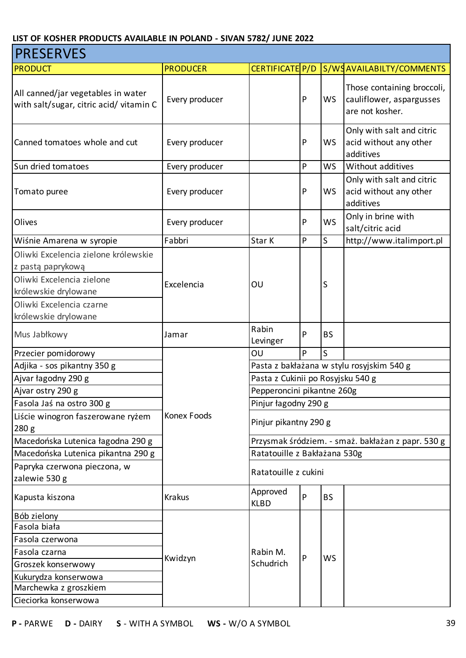| <b>PRESERVES</b>                                                             |                 |                                           |              |              |                                                                           |  |  |
|------------------------------------------------------------------------------|-----------------|-------------------------------------------|--------------|--------------|---------------------------------------------------------------------------|--|--|
| <b>PRODUCT</b>                                                               | <b>PRODUCER</b> | CERTIFICATE P/D                           |              |              | S/WSAVAILABILTY/COMMENTS                                                  |  |  |
| All canned/jar vegetables in water<br>with salt/sugar, citric acid/vitamin C | Every producer  |                                           | $\mathsf{P}$ | <b>WS</b>    | Those containing broccoli,<br>cauliflower, aspargusses<br>are not kosher. |  |  |
| Canned tomatoes whole and cut                                                | Every producer  |                                           | $\mathsf{P}$ | <b>WS</b>    | Only with salt and citric<br>acid without any other<br>additives          |  |  |
| Sun dried tomatoes                                                           | Every producer  |                                           | ${\sf P}$    | <b>WS</b>    | Without additives                                                         |  |  |
| Tomato puree                                                                 | Every producer  |                                           | $\mathsf{P}$ | <b>WS</b>    | Only with salt and citric<br>acid without any other<br>additives          |  |  |
| Olives                                                                       | Every producer  |                                           | P            | WS           | Only in brine with<br>salt/citric acid                                    |  |  |
| Wiśnie Amarena w syropie                                                     | Fabbri          | Star K                                    | $\mathsf{P}$ | S            | http://www.italimport.pl                                                  |  |  |
| Oliwki Excelencia zielone królewskie<br>z pastą paprykową                    |                 |                                           |              |              |                                                                           |  |  |
| Oliwki Excelencia zielone<br>królewskie drylowane                            | Excelencia      | OU                                        |              | S            |                                                                           |  |  |
| Oliwki Excelencia czarne<br>królewskie drylowane                             |                 |                                           |              |              |                                                                           |  |  |
| Mus Jabłkowy                                                                 | Jamar           | Rabin<br>Levinger                         | P            | <b>BS</b>    |                                                                           |  |  |
| Przecier pomidorowy                                                          |                 | OU                                        | P            | $\mathsf{S}$ |                                                                           |  |  |
| Adjika - sos pikantny 350 g                                                  |                 | Pasta z bakłażana w stylu rosyjskim 540 g |              |              |                                                                           |  |  |
| Ajvar łagodny 290 g                                                          |                 | Pasta z Cukinii po Rosyjsku 540 g         |              |              |                                                                           |  |  |
| Ajvar ostry 290 g                                                            |                 | Pepperoncini pikantne 260g                |              |              |                                                                           |  |  |
| Fasola Jaś na ostro 300 g                                                    |                 | Pinjur łagodny 290 g                      |              |              |                                                                           |  |  |
| Liście winogron faszerowane ryżem<br>280 <sub>g</sub>                        | Konex Foods     | Pinjur pikantny 290 g                     |              |              |                                                                           |  |  |
| Macedońska Lutenica łagodna 290 g                                            |                 |                                           |              |              | Przysmak śródziem. - smaż. bakłażan z papr. 530 g                         |  |  |
| Macedońska Lutenica pikantna 290 g                                           |                 | Ratatouille z Bakłażana 530g              |              |              |                                                                           |  |  |
| Papryka czerwona pieczona, w<br>zalewie 530 g                                |                 | Ratatouille z cukini                      |              |              |                                                                           |  |  |
| Kapusta kiszona                                                              | <b>Krakus</b>   | Approved<br><b>KLBD</b>                   | P            | <b>BS</b>    |                                                                           |  |  |
| Bób zielony                                                                  |                 |                                           |              |              |                                                                           |  |  |
| Fasola biała                                                                 |                 |                                           |              |              |                                                                           |  |  |
| Fasola czerwona                                                              |                 |                                           |              |              |                                                                           |  |  |
| Fasola czarna                                                                | Kwidzyn         | Rabin M.                                  | P            | <b>WS</b>    |                                                                           |  |  |
| Groszek konserwowy                                                           |                 | Schudrich                                 |              |              |                                                                           |  |  |
| Kukurydza konserwowa                                                         |                 |                                           |              |              |                                                                           |  |  |
| Marchewka z groszkiem                                                        |                 |                                           |              |              |                                                                           |  |  |
| Cieciorka konserwowa                                                         |                 |                                           |              |              |                                                                           |  |  |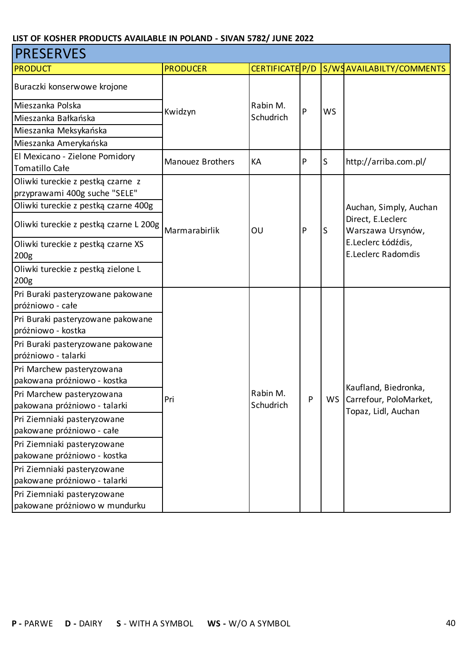| <b>PRESERVES</b>                                                   |                         |                 |           |           |                                                 |  |  |  |
|--------------------------------------------------------------------|-------------------------|-----------------|-----------|-----------|-------------------------------------------------|--|--|--|
| <b>PRODUCT</b>                                                     | <b>PRODUCER</b>         | CERTIFICATE P/D |           |           | S/WSAVAILABILTY/COMMENTS                        |  |  |  |
| Buraczki konserwowe krojone                                        |                         | Rabin M.        |           |           |                                                 |  |  |  |
| Mieszanka Polska                                                   |                         |                 | P         |           |                                                 |  |  |  |
| Mieszanka Bałkańska                                                | Kwidzyn                 | Schudrich       |           | <b>WS</b> |                                                 |  |  |  |
| Mieszanka Meksykańska                                              |                         |                 |           |           |                                                 |  |  |  |
| Mieszanka Amerykańska                                              |                         |                 |           |           |                                                 |  |  |  |
| El Mexicano - Zielone Pomidory<br>Tomatillo Całe                   | <b>Manouez Brothers</b> | KA              | P         | S         | http://arriba.com.pl/                           |  |  |  |
| Oliwki tureckie z pestką czarne z<br>przyprawami 400g suche "SELE" |                         |                 |           | S         |                                                 |  |  |  |
| Oliwki tureckie z pestką czarne 400g                               |                         |                 |           |           | Auchan, Simply, Auchan                          |  |  |  |
| Oliwki tureckie z pestką czarne L 200g                             | Marmarabirlik           | OU              | ${\sf P}$ |           | Direct, E.Leclerc<br>Warszawa Ursynów,          |  |  |  |
| Oliwki tureckie z pestką czarne XS<br>200 <sub>g</sub>             |                         |                 |           |           | E.Leclerc Łódźdis,<br><b>E.Leclerc Radomdis</b> |  |  |  |
| Oliwki tureckie z pestką zielone L                                 |                         |                 |           |           |                                                 |  |  |  |
| 200 <sub>g</sub>                                                   |                         |                 |           |           |                                                 |  |  |  |
| Pri Buraki pasteryzowane pakowane                                  |                         |                 |           |           |                                                 |  |  |  |
| próżniowo - całe                                                   |                         |                 |           |           |                                                 |  |  |  |
| Pri Buraki pasteryzowane pakowane                                  |                         |                 |           |           |                                                 |  |  |  |
| próżniowo - kostka                                                 |                         |                 |           |           |                                                 |  |  |  |
| Pri Buraki pasteryzowane pakowane                                  |                         |                 |           |           |                                                 |  |  |  |
| próżniowo - talarki                                                |                         |                 |           |           |                                                 |  |  |  |
| Pri Marchew pasteryzowana                                          |                         |                 |           |           |                                                 |  |  |  |
| pakowana próżniowo - kostka                                        |                         |                 |           |           | Kaufland, Biedronka,                            |  |  |  |
| Pri Marchew pasteryzowana                                          | Pri                     | Rabin M.        | P         |           | WS Carrefour, PoloMarket,                       |  |  |  |
| pakowana próżniowo - talarki                                       |                         | Schudrich       |           |           | Topaz, Lidl, Auchan                             |  |  |  |
| Pri Ziemniaki pasteryzowane                                        |                         |                 |           |           |                                                 |  |  |  |
| pakowane próżniowo - całe                                          |                         |                 |           |           |                                                 |  |  |  |
| Pri Ziemniaki pasteryzowane                                        |                         |                 |           |           |                                                 |  |  |  |
| pakowane próżniowo - kostka                                        |                         |                 |           |           |                                                 |  |  |  |
| Pri Ziemniaki pasteryzowane                                        |                         |                 |           |           |                                                 |  |  |  |
| pakowane próżniowo - talarki                                       |                         |                 |           |           |                                                 |  |  |  |
| Pri Ziemniaki pasteryzowane                                        |                         |                 |           |           |                                                 |  |  |  |
| pakowane próżniowo w mundurku                                      |                         |                 |           |           |                                                 |  |  |  |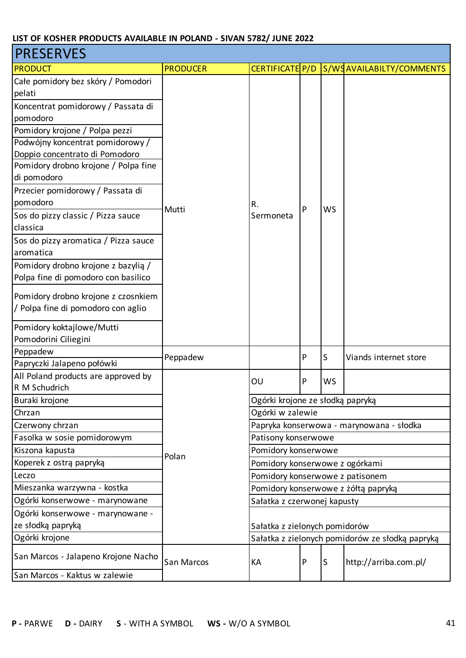| <b>PRESERVES</b>                     |                   |                                  |   |           |                                                 |  |
|--------------------------------------|-------------------|----------------------------------|---|-----------|-------------------------------------------------|--|
| <b>PRODUCT</b>                       | <b>PRODUCER</b>   | CERTIFICATE P/D                  |   |           | S/WSAVAILABILTY/COMMENTS                        |  |
| Całe pomidory bez skóry / Pomodori   |                   |                                  |   |           |                                                 |  |
| pelati                               |                   |                                  |   |           |                                                 |  |
| Koncentrat pomidorowy / Passata di   |                   |                                  |   |           |                                                 |  |
| pomodoro                             |                   |                                  |   |           |                                                 |  |
| Pomidory krojone / Polpa pezzi       |                   |                                  |   |           |                                                 |  |
| Podwójny koncentrat pomidorowy /     |                   |                                  |   |           |                                                 |  |
| Doppio concentrato di Pomodoro       |                   |                                  |   |           |                                                 |  |
| Pomidory drobno krojone / Polpa fine |                   |                                  |   |           |                                                 |  |
| di pomodoro                          |                   |                                  |   |           |                                                 |  |
| Przecier pomidorowy / Passata di     |                   |                                  |   |           |                                                 |  |
| pomodoro                             | Mutti             | R.                               | P | <b>WS</b> |                                                 |  |
| Sos do pizzy classic / Pizza sauce   |                   | Sermoneta                        |   |           |                                                 |  |
| classica                             |                   |                                  |   |           |                                                 |  |
| Sos do pizzy aromatica / Pizza sauce |                   |                                  |   |           |                                                 |  |
| aromatica                            |                   |                                  |   |           |                                                 |  |
| Pomidory drobno krojone z bazylią /  |                   |                                  |   |           |                                                 |  |
| Polpa fine di pomodoro con basilico  |                   |                                  |   |           |                                                 |  |
| Pomidory drobno krojone z czosnkiem  |                   |                                  |   |           |                                                 |  |
| / Polpa fine di pomodoro con aglio   |                   |                                  |   |           |                                                 |  |
|                                      |                   |                                  |   |           |                                                 |  |
| Pomidory koktajlowe/Mutti            |                   |                                  |   |           |                                                 |  |
| Pomodorini Ciliegini                 |                   |                                  |   |           |                                                 |  |
| Peppadew                             | Peppadew          |                                  | P | S         | Viands internet store                           |  |
| Papryczki Jalapeno połówki           |                   |                                  |   |           |                                                 |  |
| All Poland products are approved by  |                   | OU                               | P | WS        |                                                 |  |
| R M Schudrich                        |                   |                                  |   |           |                                                 |  |
| Buraki krojone                       |                   | Ogórki krojone ze słodką papryką |   |           |                                                 |  |
| Chrzan                               |                   | Ogórki w zalewie                 |   |           |                                                 |  |
| Czerwony chrzan                      |                   |                                  |   |           | Papryka konserwowa - marynowana - słodka        |  |
| Fasolka w sosie pomidorowym          |                   | Patisony konserwowe              |   |           |                                                 |  |
| Kiszona kapusta                      | Polan             | Pomidory konserwowe              |   |           |                                                 |  |
| Koperek z ostrą papryką              |                   | Pomidory konserwowe z ogórkami   |   |           |                                                 |  |
| Leczo                                |                   | Pomidory konserwowe z patisonem  |   |           |                                                 |  |
| Mieszanka warzywna - kostka          |                   |                                  |   |           | Pomidory konserwowe z żółtą papryką             |  |
| Ogórki konserwowe - marynowane       |                   | Sałatka z czerwonej kapusty      |   |           |                                                 |  |
| Ogórki konserwowe - marynowane -     |                   |                                  |   |           |                                                 |  |
| ze słodką papryką                    |                   | Sałatka z zielonych pomidorów    |   |           |                                                 |  |
| Ogórki krojone                       |                   |                                  |   |           | Sałatka z zielonych pomidorów ze słodką papryką |  |
| San Marcos - Jalapeno Krojone Nacho  | <b>San Marcos</b> | KA                               | P | S         | http://arriba.com.pl/                           |  |
| San Marcos - Kaktus w zalewie        |                   |                                  |   |           |                                                 |  |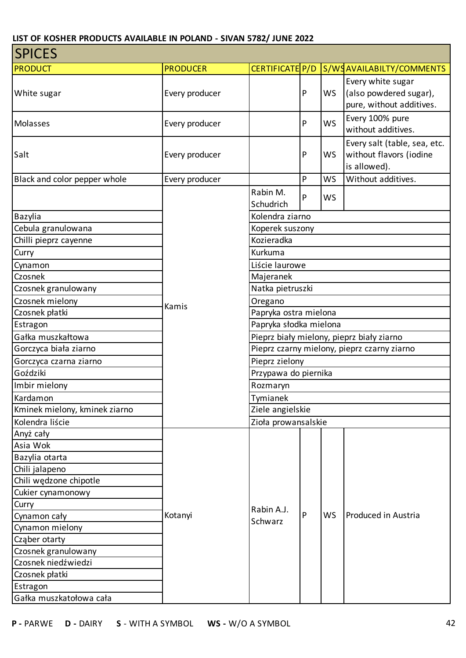| <b>SPICES</b>                 |                 |                                           |                                             |           |                                                                         |  |  |  |
|-------------------------------|-----------------|-------------------------------------------|---------------------------------------------|-----------|-------------------------------------------------------------------------|--|--|--|
| <b>PRODUCT</b>                | <b>PRODUCER</b> | CERTIFICATE P/D                           |                                             |           | S/WSAVAILABILTY/COMMENTS                                                |  |  |  |
| White sugar                   | Every producer  |                                           | $\mathsf{P}$                                | <b>WS</b> | Every white sugar<br>(also powdered sugar),<br>pure, without additives. |  |  |  |
| Molasses                      | Every producer  |                                           | $\mathsf{P}$                                | <b>WS</b> | Every 100% pure<br>without additives.                                   |  |  |  |
| Salt                          | Every producer  |                                           | $\mathsf{P}$                                | WS        | Every salt (table, sea, etc.<br>without flavors (iodine<br>is allowed). |  |  |  |
| Black and color pepper whole  | Every producer  |                                           | P                                           | <b>WS</b> | Without additives.                                                      |  |  |  |
|                               |                 | Rabin M.<br>Schudrich                     | P                                           | WS        |                                                                         |  |  |  |
| Bazylia                       |                 | Kolendra ziarno                           |                                             |           |                                                                         |  |  |  |
| Cebula granulowana            |                 | Koperek suszony                           |                                             |           |                                                                         |  |  |  |
| Chilli pieprz cayenne         |                 | Kozieradka                                |                                             |           |                                                                         |  |  |  |
| Curry                         |                 | Kurkuma                                   |                                             |           |                                                                         |  |  |  |
| Cynamon                       |                 | Liście laurowe                            |                                             |           |                                                                         |  |  |  |
| Czosnek                       |                 | Majeranek                                 |                                             |           |                                                                         |  |  |  |
| Czosnek granulowany           |                 | Natka pietruszki                          |                                             |           |                                                                         |  |  |  |
| Czosnek mielony               | Kamis           | Oregano                                   |                                             |           |                                                                         |  |  |  |
| Czosnek płatki                |                 |                                           |                                             |           |                                                                         |  |  |  |
| Estragon                      |                 | Papryka słodka mielona                    |                                             |           |                                                                         |  |  |  |
| Gałka muszkałtowa             |                 | Pieprz biały mielony, pieprz biały ziarno |                                             |           |                                                                         |  |  |  |
| Gorczyca biała ziarno         |                 |                                           | Pieprz czarny mielony, pieprz czarny ziarno |           |                                                                         |  |  |  |
| Gorczyca czarna ziarno        |                 | Pieprz zielony                            |                                             |           |                                                                         |  |  |  |
| Goździki                      |                 | Przypawa do piernika                      |                                             |           |                                                                         |  |  |  |
| Imbir mielony                 |                 | Rozmaryn                                  |                                             |           |                                                                         |  |  |  |
| Kardamon                      |                 | Tymianek                                  |                                             |           |                                                                         |  |  |  |
| Kminek mielony, kminek ziarno |                 | Ziele angielskie                          |                                             |           |                                                                         |  |  |  |
| Kolendra liście               |                 | Zioła prowansalskie                       |                                             |           |                                                                         |  |  |  |
| Anyż cały                     |                 |                                           |                                             |           |                                                                         |  |  |  |
| Asia Wok                      |                 |                                           |                                             |           |                                                                         |  |  |  |
| Bazylia otarta                |                 |                                           |                                             |           |                                                                         |  |  |  |
| Chili jalapeno                |                 |                                           |                                             |           |                                                                         |  |  |  |
| Chili wędzone chipotle        |                 |                                           |                                             |           |                                                                         |  |  |  |
| Cukier cynamonowy             |                 |                                           |                                             |           |                                                                         |  |  |  |
| Curry                         |                 | Rabin A.J.                                |                                             |           |                                                                         |  |  |  |
| Cynamon cały                  | Kotanyi         | Schwarz                                   | P                                           | <b>WS</b> | Produced in Austria                                                     |  |  |  |
| Cynamon mielony               |                 |                                           |                                             |           |                                                                         |  |  |  |
| Cząber otarty                 |                 |                                           |                                             |           |                                                                         |  |  |  |
| Czosnek granulowany           |                 |                                           |                                             |           |                                                                         |  |  |  |
| Czosnek niedźwiedzi           |                 |                                           |                                             |           |                                                                         |  |  |  |
| Czosnek płatki                |                 |                                           |                                             |           |                                                                         |  |  |  |
| Estragon                      |                 |                                           |                                             |           |                                                                         |  |  |  |
| Gałka muszkatołowa cała       |                 |                                           |                                             |           |                                                                         |  |  |  |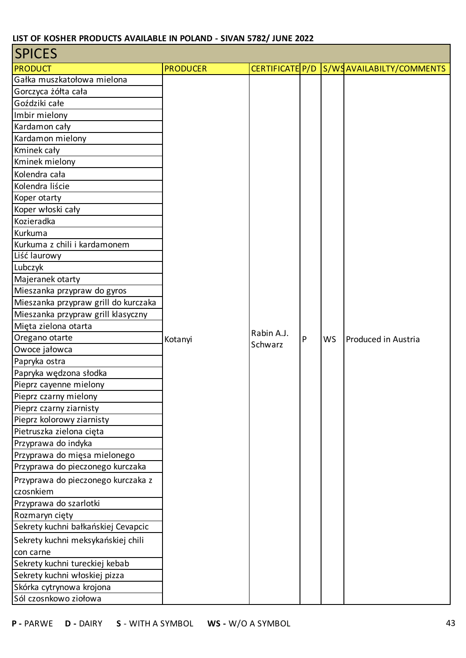| <b>SPICES</b>                        |                 |                       |   |           |                                           |
|--------------------------------------|-----------------|-----------------------|---|-----------|-------------------------------------------|
| <b>PRODUCT</b>                       | <b>PRODUCER</b> |                       |   |           | CERTIFICATE P/D S/WS AVAILABILTY/COMMENTS |
| Gałka muszkatołowa mielona           |                 |                       |   |           |                                           |
| Gorczyca żółta cała                  |                 |                       |   |           |                                           |
| Goździki całe                        |                 |                       |   |           |                                           |
| Imbir mielony                        |                 |                       |   |           |                                           |
| Kardamon cały                        |                 |                       |   |           |                                           |
| Kardamon mielony                     |                 |                       |   |           |                                           |
| Kminek cały                          |                 |                       |   |           |                                           |
| Kminek mielony                       |                 |                       |   |           |                                           |
| Kolendra cała                        |                 |                       |   |           |                                           |
| Kolendra liście                      |                 |                       |   |           |                                           |
| Koper otarty                         |                 |                       |   |           |                                           |
| Koper włoski cały                    |                 |                       |   |           |                                           |
| Kozieradka                           |                 |                       |   |           |                                           |
| Kurkuma                              |                 |                       |   |           |                                           |
| Kurkuma z chili i kardamonem         |                 |                       |   |           |                                           |
| Liść laurowy                         |                 |                       |   |           |                                           |
| Lubczyk                              |                 |                       |   |           |                                           |
| Majeranek otarty                     |                 |                       |   |           |                                           |
| Mieszanka przypraw do gyros          |                 |                       |   |           |                                           |
| Mieszanka przypraw grill do kurczaka |                 |                       |   |           |                                           |
| Mieszanka przypraw grill klasyczny   |                 | Rabin A.J.<br>Schwarz |   |           | Produced in Austria                       |
| Mięta zielona otarta                 |                 |                       |   |           |                                           |
| Oregano otarte                       | Kotanyi         |                       | P | <b>WS</b> |                                           |
| Owoce jałowca<br>Papryka ostra       |                 |                       |   |           |                                           |
| Papryka wędzona słodka               |                 |                       |   |           |                                           |
| Pieprz cayenne mielony               |                 |                       |   |           |                                           |
| Pieprz czarny mielony                |                 |                       |   |           |                                           |
| Pieprz czarny ziarnisty              |                 |                       |   |           |                                           |
| Pieprz kolorowy ziarnisty            |                 |                       |   |           |                                           |
| Pietruszka zielona cięta             |                 |                       |   |           |                                           |
| Przyprawa do indyka                  |                 |                       |   |           |                                           |
| Przyprawa do mięsa mielonego         |                 |                       |   |           |                                           |
| Przyprawa do pieczonego kurczaka     |                 |                       |   |           |                                           |
| Przyprawa do pieczonego kurczaka z   |                 |                       |   |           |                                           |
| czosnkiem                            |                 |                       |   |           |                                           |
| Przyprawa do szarlotki               |                 |                       |   |           |                                           |
| Rozmaryn cięty                       |                 |                       |   |           |                                           |
| Sekrety kuchni bałkańskiej Cevapcic  |                 |                       |   |           |                                           |
| Sekrety kuchni meksykańskiej chili   |                 |                       |   |           |                                           |
| con carne                            |                 |                       |   |           |                                           |
| Sekrety kuchni tureckiej kebab       |                 |                       |   |           |                                           |
| Sekrety kuchni włoskiej pizza        |                 |                       |   |           |                                           |
| Skórka cytrynowa krojona             |                 |                       |   |           |                                           |
| Sól czosnkowo ziołowa                |                 |                       |   |           |                                           |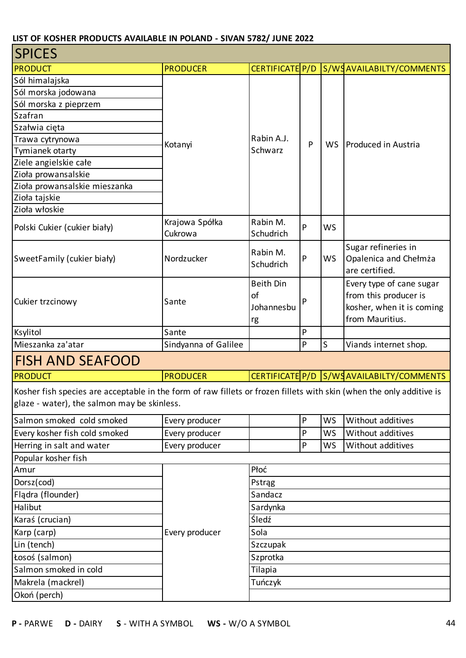| <b>SPICES</b>                                                                                                                                                       |                           |                                            |   |           |                                                                                                   |
|---------------------------------------------------------------------------------------------------------------------------------------------------------------------|---------------------------|--------------------------------------------|---|-----------|---------------------------------------------------------------------------------------------------|
| <b>PRODUCT</b>                                                                                                                                                      | <b>PRODUCER</b>           | CERTIFICATE P/D                            |   |           | S/WSAVAILABILTY/COMMENTS                                                                          |
| Sól himalajska                                                                                                                                                      |                           |                                            |   |           |                                                                                                   |
| Sól morska jodowana                                                                                                                                                 |                           |                                            |   |           |                                                                                                   |
| Sól morska z pieprzem                                                                                                                                               |                           |                                            |   |           |                                                                                                   |
| Szafran                                                                                                                                                             |                           |                                            |   |           |                                                                                                   |
| Szałwia cięta                                                                                                                                                       |                           |                                            |   |           |                                                                                                   |
| Trawa cytrynowa                                                                                                                                                     | Kotanyi                   | Rabin A.J.                                 | P | <b>WS</b> | Produced in Austria                                                                               |
| Tymianek otarty                                                                                                                                                     |                           | Schwarz                                    |   |           |                                                                                                   |
| Ziele angielskie całe                                                                                                                                               |                           |                                            |   |           |                                                                                                   |
| Zioła prowansalskie                                                                                                                                                 |                           |                                            |   |           |                                                                                                   |
| Zioła prowansalskie mieszanka                                                                                                                                       |                           |                                            |   |           |                                                                                                   |
| Zioła tajskie                                                                                                                                                       |                           |                                            |   |           |                                                                                                   |
| Zioła włoskie                                                                                                                                                       |                           |                                            |   |           |                                                                                                   |
| Polski Cukier (cukier biały)                                                                                                                                        | Krajowa Spółka<br>Cukrowa | Rabin M.<br>Schudrich                      | P | <b>WS</b> |                                                                                                   |
| SweetFamily (cukier biały)                                                                                                                                          | Nordzucker                | Rabin M.<br>Schudrich                      | P | <b>WS</b> | Sugar refineries in<br>Opalenica and Chełmża<br>are certified.                                    |
| Cukier trzcinowy                                                                                                                                                    | Sante                     | <b>Beith Din</b><br>of<br>Johannesbu<br>rg | P |           | Every type of cane sugar<br>from this producer is<br>kosher, when it is coming<br>from Mauritius. |
| Ksylitol                                                                                                                                                            | Sante                     |                                            | P |           |                                                                                                   |
| Mieszanka za'atar                                                                                                                                                   | Sindyanna of Galilee      |                                            | P | S         | Viands internet shop.                                                                             |
| <b>FISH AND SEAFOOD</b>                                                                                                                                             |                           |                                            |   |           |                                                                                                   |
| <b>PRODUCT</b>                                                                                                                                                      | <b>PRODUCER</b>           |                                            |   |           | CERTIFICATE P/D S/WSAVAILABILTY/COMMENTS                                                          |
| Kosher fish species are acceptable in the form of raw fillets or frozen fillets with skin (when the only additive is<br>glaze - water), the salmon may be skinless. |                           |                                            |   |           |                                                                                                   |
| Salmon smoked cold smoked                                                                                                                                           | Every producer            |                                            | P | <b>WS</b> | Without additives                                                                                 |
| Every kosher fish cold smoked                                                                                                                                       | Every producer            |                                            | P | WS        | Without additives                                                                                 |
| Herring in salt and water                                                                                                                                           | Every producer            |                                            | P | <b>WS</b> | Without additives                                                                                 |
| Popular kosher fish                                                                                                                                                 |                           |                                            |   |           |                                                                                                   |
| Amur                                                                                                                                                                |                           | Płoć                                       |   |           |                                                                                                   |
| Dorsz(cod)                                                                                                                                                          |                           | Pstrąg                                     |   |           |                                                                                                   |
| Flądra (flounder)                                                                                                                                                   |                           | Sandacz                                    |   |           |                                                                                                   |
| Halibut                                                                                                                                                             |                           | Sardynka                                   |   |           |                                                                                                   |
| Karaś (crucian)                                                                                                                                                     |                           | Śledź                                      |   |           |                                                                                                   |
| Karp (carp)                                                                                                                                                         | Every producer            | Sola                                       |   |           |                                                                                                   |
| Lin (tench)                                                                                                                                                         |                           | Szczupak                                   |   |           |                                                                                                   |
| Łosoś (salmon)                                                                                                                                                      |                           | Szprotka                                   |   |           |                                                                                                   |
| Salmon smoked in cold                                                                                                                                               |                           | Tilapia                                    |   |           |                                                                                                   |
| Makrela (mackrel)                                                                                                                                                   |                           | Tuńczyk                                    |   |           |                                                                                                   |
| Okoń (perch)                                                                                                                                                        |                           |                                            |   |           |                                                                                                   |
|                                                                                                                                                                     |                           |                                            |   |           |                                                                                                   |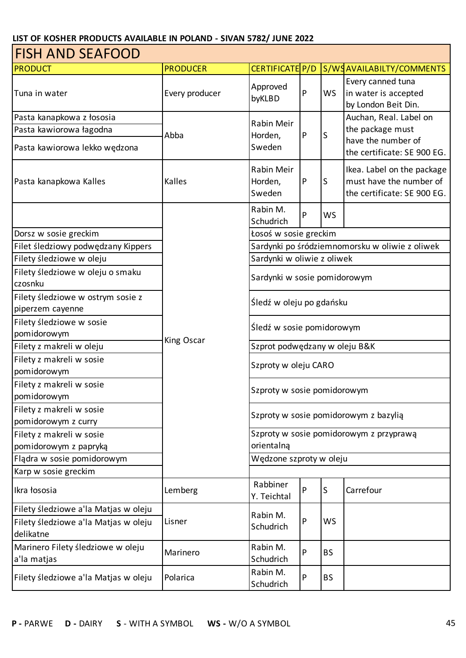| <b>FISH AND SEAFOOD</b>                         |                              |                                 |              |           |                                                                                      |  |  |
|-------------------------------------------------|------------------------------|---------------------------------|--------------|-----------|--------------------------------------------------------------------------------------|--|--|
| <b>PRODUCT</b>                                  | <b>PRODUCER</b>              | CERTIFICATE P/D                 |              |           | S/WSAVAILABILTY/COMMENTS                                                             |  |  |
| Tuna in water                                   | Every producer               | Approved<br>byKLBD              | P            | WS        | Every canned tuna<br>in water is accepted<br>by London Beit Din.                     |  |  |
| Pasta kanapkowa z łososia                       |                              | Rabin Meir                      |              |           | Auchan, Real. Label on                                                               |  |  |
| Pasta kawiorowa łagodna                         | Abba                         | Horden,                         | $\mathsf{P}$ | S         | the package must                                                                     |  |  |
| Pasta kawiorowa lekko wędzona                   | Sweden                       |                                 |              |           | have the number of<br>the certificate: SE 900 EG.                                    |  |  |
| Pasta kanapkowa Kalles                          | Kalles                       | Rabin Meir<br>Horden,<br>Sweden | $\mathsf{P}$ | ls        | Ikea. Label on the package<br>must have the number of<br>the certificate: SE 900 EG. |  |  |
|                                                 |                              | Rabin M.<br>Schudrich           | P            | WS        |                                                                                      |  |  |
| Dorsz w sosie greckim                           |                              | Łosoś w sosie greckim           |              |           |                                                                                      |  |  |
| Filet śledziowy podwędzany Kippers              |                              |                                 |              |           | Sardynki po śródziemnomorsku w oliwie z oliwek                                       |  |  |
| Filety śledziowe w oleju                        |                              | Sardynki w oliwie z oliwek      |              |           |                                                                                      |  |  |
| Filety śledziowe w oleju o smaku                | Sardynki w sosie pomidorowym |                                 |              |           |                                                                                      |  |  |
| czosnku                                         |                              |                                 |              |           |                                                                                      |  |  |
| Filety śledziowe w ostrym sosie z               |                              | Śledź w oleju po gdańsku        |              |           |                                                                                      |  |  |
| piperzem cayenne                                |                              |                                 |              |           |                                                                                      |  |  |
| Filety śledziowe w sosie                        |                              | Śledź w sosie pomidorowym       |              |           |                                                                                      |  |  |
| pomidorowym                                     | King Oscar                   |                                 |              |           |                                                                                      |  |  |
| Filety z makreli w oleju                        |                              | Szprot podwędzany w oleju B&K   |              |           |                                                                                      |  |  |
| Filety z makreli w sosie                        |                              | Szproty w oleju CARO            |              |           |                                                                                      |  |  |
| pomidorowym                                     |                              |                                 |              |           |                                                                                      |  |  |
| Filety z makreli w sosie                        |                              | Szproty w sosie pomidorowym     |              |           |                                                                                      |  |  |
| pomidorowym                                     |                              |                                 |              |           |                                                                                      |  |  |
| Filety z makreli w sosie<br>pomidorowym z curry |                              |                                 |              |           | Szproty w sosie pomidorowym z bazylią                                                |  |  |
| Filety z makreli w sosie                        |                              |                                 |              |           | Szproty w sosie pomidorowym z przyprawą                                              |  |  |
| pomidorowym z papryką                           |                              | orientalną                      |              |           |                                                                                      |  |  |
| Flądra w sosie pomidorowym                      |                              | Wędzone szproty w oleju         |              |           |                                                                                      |  |  |
| Karp w sosie greckim                            |                              |                                 |              |           |                                                                                      |  |  |
| Ikra łososia                                    | Lemberg                      | Rabbiner<br>Y. Teichtal         | P            | S         | Carrefour                                                                            |  |  |
| Filety śledziowe a'la Matjas w oleju            |                              |                                 |              |           |                                                                                      |  |  |
| Filety śledziowe a'la Matjas w oleju            | Lisner                       | Rabin M.<br>Schudrich           | P            | WS        |                                                                                      |  |  |
| delikatne                                       |                              |                                 |              |           |                                                                                      |  |  |
| Marinero Filety śledziowe w oleju               |                              | Rabin M.                        | P            |           |                                                                                      |  |  |
| a'la matjas                                     | Marinero                     | Schudrich                       |              | <b>BS</b> |                                                                                      |  |  |
| Filety śledziowe a'la Matjas w oleju            | Polarica                     | Rabin M.<br>Schudrich           | P            | <b>BS</b> |                                                                                      |  |  |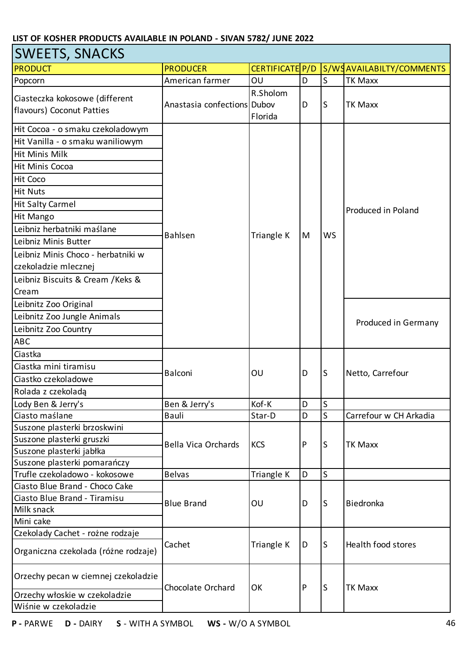| <b>SWEETS, SNACKS</b>                                       |                             |                     |   |             |                          |  |  |
|-------------------------------------------------------------|-----------------------------|---------------------|---|-------------|--------------------------|--|--|
| <b>PRODUCT</b>                                              | <b>PRODUCER</b>             | CERTIFICATE P/D     |   |             | S/WSAVAILABILTY/COMMENTS |  |  |
| Popcorn                                                     | American farmer             | OU                  | D | S           | <b>TK Maxx</b>           |  |  |
| Ciasteczka kokosowe (different<br>flavours) Coconut Patties | Anastasia confections Dubov | R.Sholom<br>Florida | D | S           | <b>TK Maxx</b>           |  |  |
| Hit Cocoa - o smaku czekoladowym                            |                             |                     |   |             |                          |  |  |
| Hit Vanilla - o smaku waniliowym                            |                             |                     |   |             |                          |  |  |
| Hit Minis Milk                                              |                             |                     |   |             |                          |  |  |
| Hit Minis Cocoa                                             |                             |                     |   |             |                          |  |  |
| Hit Coco                                                    |                             |                     |   |             |                          |  |  |
| <b>Hit Nuts</b>                                             |                             |                     |   |             |                          |  |  |
| <b>Hit Salty Carmel</b>                                     |                             |                     |   |             |                          |  |  |
| Hit Mango                                                   |                             |                     |   |             | Produced in Poland       |  |  |
| Leibniz herbatniki maślane                                  |                             |                     |   |             |                          |  |  |
| Leibniz Minis Butter                                        | Bahlsen                     | Triangle K          | M | <b>WS</b>   |                          |  |  |
| Leibniz Minis Choco - herbatniki w                          |                             |                     |   |             |                          |  |  |
| czekoladzie mlecznej                                        |                             |                     |   |             |                          |  |  |
| Leibniz Biscuits & Cream / Keks &                           |                             |                     |   |             |                          |  |  |
| Cream                                                       |                             |                     |   |             |                          |  |  |
| Leibnitz Zoo Original                                       |                             |                     |   |             |                          |  |  |
| Leibnitz Zoo Jungle Animals                                 |                             |                     |   |             |                          |  |  |
| Leibnitz Zoo Country                                        |                             |                     |   |             | Produced in Germany      |  |  |
| <b>ABC</b>                                                  |                             |                     |   |             |                          |  |  |
| Ciastka                                                     |                             | OU                  | D |             |                          |  |  |
| Ciastka mini tiramisu                                       |                             |                     |   |             | Netto, Carrefour         |  |  |
| Ciastko czekoladowe                                         | Balconi                     |                     |   | S           |                          |  |  |
| Rolada z czekoladą                                          |                             |                     |   |             |                          |  |  |
| Lody Ben & Jerry's                                          | Ben & Jerry's               | Kof-K               | D | $\sf S$     |                          |  |  |
| Ciasto maślane                                              | Bauli                       | Star-D              | D | S           | Carrefour w CH Arkadia   |  |  |
| Suszone plasterki brzoskwini                                |                             |                     |   |             |                          |  |  |
| Suszone plasterki gruszki                                   |                             |                     |   |             |                          |  |  |
| Suszone plasterki jabłka                                    | <b>Bella Vica Orchards</b>  | <b>KCS</b>          | P | S           | <b>TK Maxx</b>           |  |  |
| Suszone plasterki pomarańczy                                |                             |                     |   |             |                          |  |  |
| Trufle czekoladowo - kokosowe                               | <b>Belvas</b>               | Triangle K          | D | $\mathsf S$ |                          |  |  |
| Ciasto Blue Brand - Choco Cake                              |                             |                     |   |             |                          |  |  |
| Ciasto Blue Brand - Tiramisu                                | <b>Blue Brand</b>           | OU                  | D | S           | Biedronka                |  |  |
| Milk snack                                                  |                             |                     |   |             |                          |  |  |
| Mini cake                                                   |                             |                     |   |             |                          |  |  |
| Czekolady Cachet - rożne rodzaje                            |                             |                     |   |             |                          |  |  |
| Organiczna czekolada (różne rodzaje)                        | Cachet                      | Triangle K          | D | S           | Health food stores       |  |  |
| Orzechy pecan w ciemnej czekoladzie                         | Chocolate Orchard           | OK                  | P | S           | <b>TK Maxx</b>           |  |  |
| Orzechy włoskie w czekoladzie                               |                             |                     |   |             |                          |  |  |
| Wiśnie w czekoladzie                                        |                             |                     |   |             |                          |  |  |

٦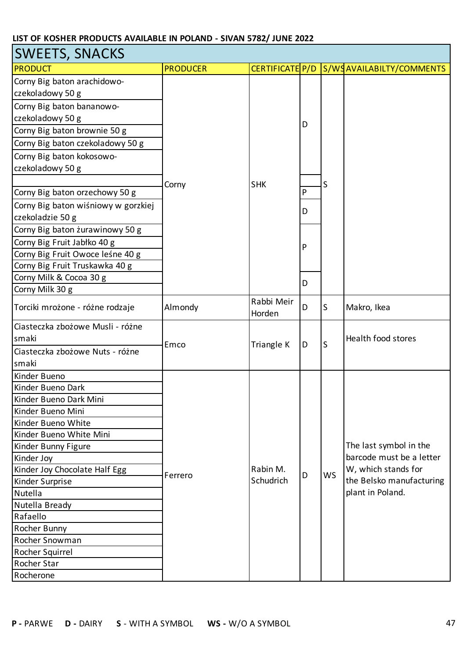| <b>SWEETS, SNACKS</b>               |                 |                      |           |           |                                          |  |  |
|-------------------------------------|-----------------|----------------------|-----------|-----------|------------------------------------------|--|--|
| PRODUCT                             | <b>PRODUCER</b> |                      |           |           | CERTIFICATE P/D S/WSAVAILABILTY/COMMENTS |  |  |
| Corny Big baton arachidowo-         |                 |                      |           |           |                                          |  |  |
| czekoladowy 50 g                    |                 |                      |           |           |                                          |  |  |
| Corny Big baton bananowo-           |                 |                      |           |           |                                          |  |  |
| czekoladowy 50 g                    |                 |                      |           |           |                                          |  |  |
| Corny Big baton brownie 50 g        |                 |                      | D         |           |                                          |  |  |
| Corny Big baton czekoladowy 50 g    |                 |                      |           |           |                                          |  |  |
| Corny Big baton kokosowo-           |                 |                      |           |           |                                          |  |  |
| czekoladowy 50 g                    |                 |                      |           |           |                                          |  |  |
|                                     | Corny           | <b>SHK</b>           |           | S         |                                          |  |  |
| Corny Big baton orzechowy 50 g      |                 |                      | ${\sf P}$ |           |                                          |  |  |
| Corny Big baton wiśniowy w gorzkiej |                 |                      |           |           |                                          |  |  |
| czekoladzie 50 g                    |                 |                      | D         |           |                                          |  |  |
| Corny Big baton żurawinowy 50 g     |                 |                      |           |           |                                          |  |  |
| Corny Big Fruit Jabłko 40 g         |                 |                      |           |           |                                          |  |  |
| Corny Big Fruit Owoce leśne 40 g    |                 |                      | P         |           |                                          |  |  |
| Corny Big Fruit Truskawka 40 g      |                 |                      |           |           |                                          |  |  |
| Corny Milk & Cocoa 30 g             |                 |                      | D         |           |                                          |  |  |
| Corny Milk 30 g                     |                 |                      |           |           |                                          |  |  |
| Torciki mrożone - różne rodzaje     | Almondy         | Rabbi Meir<br>Horden | D         | ls        | Makro, Ikea                              |  |  |
| Ciasteczka zbożowe Musli - różne    |                 | Triangle K           |           |           |                                          |  |  |
| smaki                               |                 |                      |           |           | Health food stores                       |  |  |
| Ciasteczka zbożowe Nuts - różne     | Emco            |                      | D         | S         |                                          |  |  |
| smaki                               |                 |                      |           |           |                                          |  |  |
| Kinder Bueno                        |                 |                      |           |           |                                          |  |  |
| Kinder Bueno Dark                   |                 |                      |           |           |                                          |  |  |
| Kinder Bueno Dark Mini              |                 |                      |           |           |                                          |  |  |
| Kinder Bueno Mini                   |                 |                      |           |           |                                          |  |  |
| Kinder Bueno White                  |                 |                      |           |           |                                          |  |  |
| Kinder Bueno White Mini             |                 |                      |           |           |                                          |  |  |
| Kinder Bunny Figure                 |                 |                      |           |           | The last symbol in the                   |  |  |
| Kinder Joy                          |                 |                      |           |           | barcode must be a letter                 |  |  |
| Kinder Joy Chocolate Half Egg       | Ferrero         | Rabin M.             | D         | <b>WS</b> | W, which stands for                      |  |  |
| Kinder Surprise                     |                 | Schudrich            |           |           | the Belsko manufacturing                 |  |  |
| Nutella                             |                 |                      |           |           | plant in Poland.                         |  |  |
| Nutella Bready                      |                 |                      |           |           |                                          |  |  |
| Rafaello                            |                 |                      |           |           |                                          |  |  |
| Rocher Bunny                        |                 |                      |           |           |                                          |  |  |
| Rocher Snowman                      |                 |                      |           |           |                                          |  |  |
| Rocher Squirrel                     |                 |                      |           |           |                                          |  |  |
| Rocher Star                         |                 |                      |           |           |                                          |  |  |
| Rocherone                           |                 |                      |           |           |                                          |  |  |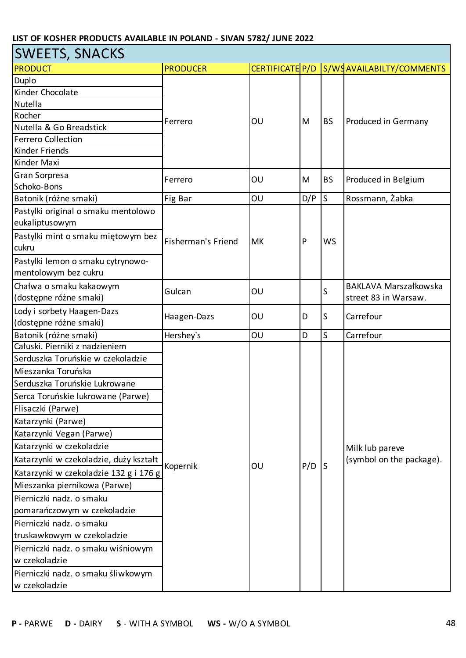| <b>SWEETS, SNACKS</b>                  |                           |                 |     |           |                              |  |  |
|----------------------------------------|---------------------------|-----------------|-----|-----------|------------------------------|--|--|
| <b>PRODUCT</b>                         | <b>PRODUCER</b>           | CERTIFICATE P/D |     |           | S/WSAVAILABILTY/COMMENTS     |  |  |
| Duplo                                  |                           |                 |     |           |                              |  |  |
| Kinder Chocolate                       | Ferrero                   |                 |     |           |                              |  |  |
| Nutella                                |                           |                 |     |           |                              |  |  |
| Rocher                                 |                           | OU              | M   | <b>BS</b> | Produced in Germany          |  |  |
| Nutella & Go Breadstick                |                           |                 |     |           |                              |  |  |
| <b>Ferrero Collection</b>              |                           |                 |     |           |                              |  |  |
| Kinder Friends                         |                           |                 |     |           |                              |  |  |
| Kinder Maxi                            |                           |                 |     |           |                              |  |  |
| Gran Sorpresa                          | Ferrero                   | OU              | M   | <b>BS</b> | Produced in Belgium          |  |  |
| Schoko-Bons                            |                           |                 |     |           |                              |  |  |
| Batonik (różne smaki)                  | Fig Bar                   | OU              | D/P | ls        | Rossmann, Żabka              |  |  |
| Pastylki original o smaku mentolowo    |                           |                 |     |           |                              |  |  |
| eukaliptusowym                         |                           |                 |     |           |                              |  |  |
| Pastylki mint o smaku miętowym bez     | <b>Fisherman's Friend</b> | <b>MK</b>       | P   | <b>WS</b> |                              |  |  |
| cukru                                  |                           |                 |     |           |                              |  |  |
| Pastylki lemon o smaku cytrynowo-      |                           |                 |     |           |                              |  |  |
| mentolowym bez cukru                   |                           |                 |     |           |                              |  |  |
| Chałwa o smaku kakaowym                |                           |                 |     |           | <b>BAKLAVA Marszałkowska</b> |  |  |
| (dostępne różne smaki)                 | Gulcan                    | OU              |     | S         | street 83 in Warsaw.         |  |  |
| Lody i sorbety Haagen-Dazs             |                           |                 |     |           |                              |  |  |
| (dostępne różne smaki)                 | Haagen-Dazs               | OU              | D   | S         | Carrefour                    |  |  |
| Batonik (różne smaki)                  | Hershey's                 | OU              | D   | S         | Carrefour                    |  |  |
| Całuski. Pierniki z nadzieniem         |                           |                 |     |           |                              |  |  |
| Serduszka Toruńskie w czekoladzie      |                           |                 |     |           |                              |  |  |
| Mieszanka Toruńska                     |                           |                 |     |           |                              |  |  |
| Serduszka Toruńskie Lukrowane          |                           |                 |     |           |                              |  |  |
| Serca Toruńskie lukrowane (Parwe)      |                           |                 |     |           |                              |  |  |
| Flisaczki (Parwe)                      |                           |                 |     |           |                              |  |  |
| Katarzynki (Parwe)                     |                           |                 |     |           |                              |  |  |
| Katarzynki Vegan (Parwe)               |                           |                 |     |           |                              |  |  |
| Katarzynki w czekoladzie               |                           |                 |     |           | Milk lub pareve              |  |  |
| Katarzynki w czekoladzie, duży kształt |                           |                 |     |           | (symbol on the package).     |  |  |
| Katarzynki w czekoladzie 132 g i 176 g | Kopernik                  | OU              | P/D | S         |                              |  |  |
| Mieszanka piernikowa (Parwe)           |                           |                 |     |           |                              |  |  |
| Pierniczki nadz. o smaku               |                           |                 |     |           |                              |  |  |
| pomarańczowym w czekoladzie            |                           |                 |     |           |                              |  |  |
| Pierniczki nadz. o smaku               |                           |                 |     |           |                              |  |  |
| truskawkowym w czekoladzie             |                           |                 |     |           |                              |  |  |
| Pierniczki nadz. o smaku wiśniowym     |                           |                 |     |           |                              |  |  |
| w czekoladzie                          |                           |                 |     |           |                              |  |  |
| Pierniczki nadz. o smaku śliwkowym     |                           |                 |     |           |                              |  |  |
| w czekoladzie                          |                           |                 |     |           |                              |  |  |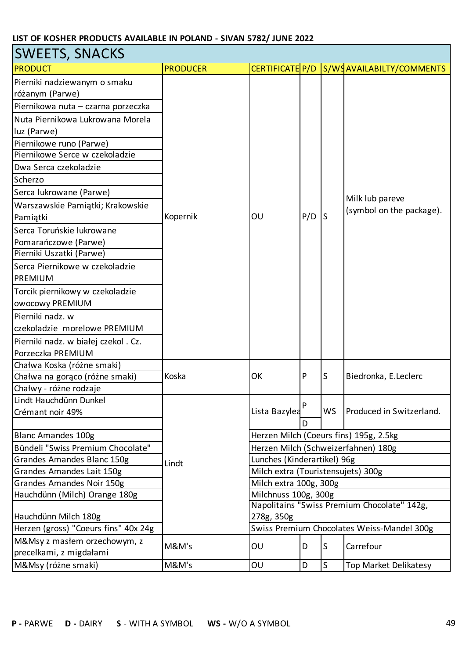| SWEETS, SNACKS                                                 |                 |                                    |             |              |                                                                               |  |  |
|----------------------------------------------------------------|-----------------|------------------------------------|-------------|--------------|-------------------------------------------------------------------------------|--|--|
| <b>PRODUCT</b>                                                 | <b>PRODUCER</b> |                                    |             |              | CERTIFICATE P/D S/WSAVAILABILTY/COMMENTS                                      |  |  |
| Pierniki nadziewanym o smaku                                   |                 |                                    |             |              |                                                                               |  |  |
| różanym (Parwe)                                                |                 |                                    |             |              |                                                                               |  |  |
| Piernikowa nuta - czarna porzeczka                             |                 |                                    |             |              |                                                                               |  |  |
| Nuta Piernikowa Lukrowana Morela                               |                 |                                    |             |              |                                                                               |  |  |
| luz (Parwe)                                                    |                 |                                    |             |              |                                                                               |  |  |
| Piernikowe runo (Parwe)                                        |                 |                                    |             |              |                                                                               |  |  |
| Piernikowe Serce w czekoladzie                                 |                 |                                    |             |              |                                                                               |  |  |
| Dwa Serca czekoladzie                                          |                 |                                    |             |              |                                                                               |  |  |
| Scherzo                                                        |                 |                                    |             |              |                                                                               |  |  |
| Serca lukrowane (Parwe)                                        |                 |                                    |             |              |                                                                               |  |  |
| Warszawskie Pamiątki; Krakowskie                               |                 |                                    |             |              | Milk lub pareve                                                               |  |  |
| Pamiątki                                                       | Kopernik        | OU                                 | P/D         | S            | (symbol on the package).                                                      |  |  |
| Serca Toruńskie lukrowane                                      |                 |                                    |             |              |                                                                               |  |  |
| Pomarańczowe (Parwe)                                           |                 |                                    |             |              |                                                                               |  |  |
| Pierniki Uszatki (Parwe)                                       |                 |                                    |             |              |                                                                               |  |  |
| Serca Piernikowe w czekoladzie                                 |                 |                                    |             |              |                                                                               |  |  |
| PREMIUM                                                        |                 |                                    |             |              |                                                                               |  |  |
| Torcik piernikowy w czekoladzie                                |                 |                                    |             |              |                                                                               |  |  |
| owocowy PREMIUM                                                |                 |                                    |             |              |                                                                               |  |  |
| Pierniki nadz. w                                               |                 |                                    |             |              |                                                                               |  |  |
| czekoladzie morelowe PREMIUM                                   |                 |                                    |             |              |                                                                               |  |  |
| Pierniki nadz. w białej czekol . Cz.                           |                 |                                    |             |              |                                                                               |  |  |
| Porzeczka PREMIUM                                              |                 |                                    |             |              |                                                                               |  |  |
| Chałwa Koska (różne smaki)                                     |                 |                                    |             |              |                                                                               |  |  |
| Chałwa na gorąco (różne smaki)                                 | Koska           | OK                                 | P           | S            | Biedronka, E.Leclerc                                                          |  |  |
| Chałwy - różne rodzaje                                         |                 |                                    |             |              |                                                                               |  |  |
| Lindt Hauchdünn Dunkel                                         |                 |                                    | P           |              |                                                                               |  |  |
| Crémant noir 49%                                               |                 | Lista Bazylea                      |             | <b>WS</b>    | Produced in Switzerland.                                                      |  |  |
|                                                                |                 |                                    |             |              |                                                                               |  |  |
| <b>Blanc Amandes 100g</b><br>Bündeli "Swiss Premium Chocolate" |                 |                                    |             |              | Herzen Milch (Coeurs fins) 195g, 2.5kg<br>Herzen Milch (Schweizerfahnen) 180g |  |  |
| Grandes Amandes Blanc 150g                                     |                 | Lunches (Kinderartikel) 96g        |             |              |                                                                               |  |  |
| Grandes Amandes Lait 150g                                      | Lindt           | Milch extra (Touristensujets) 300g |             |              |                                                                               |  |  |
| Grandes Amandes Noir 150g                                      |                 | Milch extra 100g, 300g             |             |              |                                                                               |  |  |
| Hauchdünn (Milch) Orange 180g                                  |                 | Milchnuss 100g, 300g               |             |              |                                                                               |  |  |
|                                                                |                 |                                    |             |              | Napolitains "Swiss Premium Chocolate" 142g,                                   |  |  |
| Hauchdünn Milch 180g                                           |                 | 278g, 350g                         |             |              |                                                                               |  |  |
| Herzen (gross) "Coeurs fins" 40x 24g                           |                 |                                    |             |              | Swiss Premium Chocolates Weiss-Mandel 300g                                    |  |  |
| M&Msy z masłem orzechowym, z                                   | M&M's           | OU                                 | D           | S            | Carrefour                                                                     |  |  |
| precelkami, z migdałami                                        |                 |                                    |             |              |                                                                               |  |  |
| M&Msy (różne smaki)                                            | M&M's           | OU                                 | $\mathsf D$ | $\mathsf{S}$ | Top Market Delikatesy                                                         |  |  |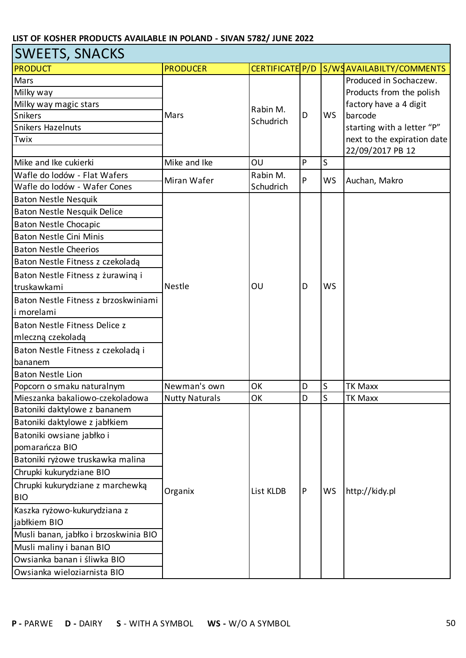| <b>SWEETS, SNACKS</b>                 |                       |                 |           |           |                             |  |  |
|---------------------------------------|-----------------------|-----------------|-----------|-----------|-----------------------------|--|--|
| <b>PRODUCT</b>                        | <b>PRODUCER</b>       | CERTIFICATE P/D |           |           | S/WSAVAILABILTY/COMMENTS    |  |  |
| Mars                                  |                       |                 |           |           | Produced in Sochaczew.      |  |  |
| Milky way                             |                       |                 |           |           | Products from the polish    |  |  |
| Milky way magic stars                 |                       | Rabin M.        |           |           | factory have a 4 digit      |  |  |
| Snikers                               | Mars                  | Schudrich       | D         | <b>WS</b> | barcode                     |  |  |
| <b>Snikers Hazelnuts</b>              |                       |                 |           |           | starting with a letter "P"  |  |  |
| Twix                                  |                       |                 |           |           | next to the expiration date |  |  |
|                                       |                       |                 |           |           | 22/09/2017 PB 12            |  |  |
| Mike and Ike cukierki                 | Mike and Ike          | OU              | P         | S         |                             |  |  |
| Wafle do lodów - Flat Wafers          | Miran Wafer           | Rabin M.        | P         | <b>WS</b> | Auchan, Makro               |  |  |
| Wafle do lodów - Wafer Cones          |                       | Schudrich       |           |           |                             |  |  |
| <b>Baton Nestle Nesquik</b>           |                       |                 |           |           |                             |  |  |
| Baton Nestle Nesquik Delice           |                       |                 |           |           |                             |  |  |
| <b>Baton Nestle Chocapic</b>          |                       |                 |           |           |                             |  |  |
| <b>Baton Nestle Cini Minis</b>        |                       |                 |           |           |                             |  |  |
| <b>Baton Nestle Cheerios</b>          |                       |                 |           |           |                             |  |  |
| Baton Nestle Fitness z czekoladą      |                       |                 |           |           |                             |  |  |
| Baton Nestle Fitness z żurawiną i     | Nestle                |                 |           |           |                             |  |  |
| truskawkami                           |                       | OU              | D         | <b>WS</b> |                             |  |  |
| Baton Nestle Fitness z brzoskwiniami  |                       |                 |           |           |                             |  |  |
| li morelami                           |                       |                 |           |           |                             |  |  |
| Baton Nestle Fitness Delice z         |                       |                 |           |           |                             |  |  |
| mleczną czekoladą                     |                       |                 |           |           |                             |  |  |
| Baton Nestle Fitness z czekoladą i    |                       |                 |           |           |                             |  |  |
| bananem                               |                       |                 |           |           |                             |  |  |
| <b>Baton Nestle Lion</b>              |                       |                 |           |           |                             |  |  |
| Popcorn o smaku naturalnym            | Newman's own          | OK              | D         | S         | TK Maxx                     |  |  |
| Mieszanka bakaliowo-czekoladowa       | <b>Nutty Naturals</b> | OK              | D         | S         | <b>TK Maxx</b>              |  |  |
| Batoniki daktylowe z bananem          |                       |                 |           |           |                             |  |  |
| Batoniki daktylowe z jabłkiem         |                       |                 |           |           |                             |  |  |
| Batoniki owsiane jabłko i             |                       |                 |           |           |                             |  |  |
| pomarańcza BIO                        |                       |                 |           |           |                             |  |  |
| Batoniki ryżowe truskawka malina      |                       |                 |           |           |                             |  |  |
| Chrupki kukurydziane BIO              |                       |                 |           |           |                             |  |  |
| Chrupki kukurydziane z marchewką      | Organix               | List KLDB       | ${\sf P}$ | <b>WS</b> | http://kidy.pl              |  |  |
| <b>BIO</b>                            |                       |                 |           |           |                             |  |  |
| Kaszka ryżowo-kukurydziana z          |                       |                 |           |           |                             |  |  |
| jabłkiem BIO                          |                       |                 |           |           |                             |  |  |
| Musli banan, jabłko i brzoskwinia BIO |                       |                 |           |           |                             |  |  |
| Musli maliny i banan BIO              |                       |                 |           |           |                             |  |  |
| Owsianka banan i śliwka BIO           |                       |                 |           |           |                             |  |  |
| Owsianka wieloziarnista BIO           |                       |                 |           |           |                             |  |  |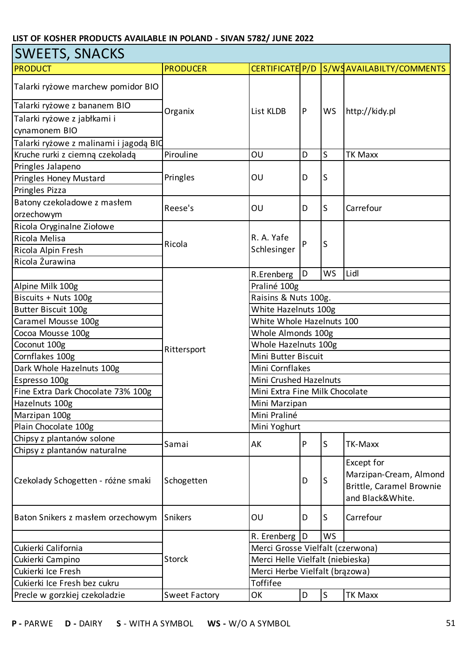| <b>SWEETS, SNACKS</b>                  |                      |                                  |   |             |                                                                                      |  |  |
|----------------------------------------|----------------------|----------------------------------|---|-------------|--------------------------------------------------------------------------------------|--|--|
| <b>PRODUCT</b>                         | <b>PRODUCER</b>      | CERTIFICATE P/D                  |   |             | S/WSAVAILABILTY/COMMENTS                                                             |  |  |
| Talarki ryżowe marchew pomidor BIO     |                      | List KLDB                        |   |             |                                                                                      |  |  |
| Talarki ryżowe z bananem BIO           | Organix              |                                  | P | <b>WS</b>   | http://kidy.pl                                                                       |  |  |
| Talarki ryżowe z jabłkami i            |                      |                                  |   |             |                                                                                      |  |  |
| cynamonem BIO                          |                      |                                  |   |             |                                                                                      |  |  |
| Talarki ryżowe z malinami i jagodą BIO |                      |                                  |   |             |                                                                                      |  |  |
| Kruche rurki z ciemną czekoladą        | Pirouline            | OU                               | D | S           | <b>TK Maxx</b>                                                                       |  |  |
| Pringles Jalapeno                      |                      |                                  |   |             |                                                                                      |  |  |
| Pringles Honey Mustard                 | Pringles             | OU                               | D | S           |                                                                                      |  |  |
| Pringles Pizza                         |                      |                                  |   |             |                                                                                      |  |  |
| Batony czekoladowe z masłem            |                      |                                  |   |             |                                                                                      |  |  |
| orzechowym                             | Reese's              | OU                               | D | S           | Carrefour                                                                            |  |  |
| Ricola Oryginalne Ziołowe              |                      |                                  |   |             |                                                                                      |  |  |
| Ricola Melisa                          |                      | R. A. Yafe                       |   |             |                                                                                      |  |  |
| Ricola Alpin Fresh                     | Ricola               | Schlesinger                      | P | S           |                                                                                      |  |  |
| Ricola Żurawina                        |                      |                                  |   |             |                                                                                      |  |  |
|                                        |                      | R.Erenberg                       | D | WS          | Lidl                                                                                 |  |  |
| Alpine Milk 100g                       |                      | Praliné 100g                     |   |             |                                                                                      |  |  |
| Biscuits + Nuts 100g                   |                      | Raisins & Nuts 100g.             |   |             |                                                                                      |  |  |
| Butter Biscuit 100g                    |                      | White Hazelnuts 100g             |   |             |                                                                                      |  |  |
| Caramel Mousse 100g                    |                      | White Whole Hazelnuts 100        |   |             |                                                                                      |  |  |
| Cocoa Mousse 100g                      |                      | Whole Almonds 100g               |   |             |                                                                                      |  |  |
| Coconut 100g                           |                      | Whole Hazelnuts 100g             |   |             |                                                                                      |  |  |
| Cornflakes 100g                        | Rittersport          | Mini Butter Biscuit              |   |             |                                                                                      |  |  |
| Dark Whole Hazelnuts 100g              |                      | Mini Cornflakes                  |   |             |                                                                                      |  |  |
| Espresso 100g                          |                      | <b>Mini Crushed Hazelnuts</b>    |   |             |                                                                                      |  |  |
| Fine Extra Dark Chocolate 73% 100g     |                      | Mini Extra Fine Milk Chocolate   |   |             |                                                                                      |  |  |
| Hazelnuts 100g                         |                      | Mini Marzipan                    |   |             |                                                                                      |  |  |
| Marzipan 100g                          |                      | Mini Praliné                     |   |             |                                                                                      |  |  |
| Plain Chocolate 100g                   |                      | Mini Yoghurt                     |   |             |                                                                                      |  |  |
| Chipsy z plantanów solone              |                      |                                  |   |             |                                                                                      |  |  |
| Chipsy z plantanów naturalne           | Samai                | AK                               | P | S           | TK-Maxx                                                                              |  |  |
| Czekolady Schogetten - różne smaki     | Schogetten           |                                  | D | S           | Except for<br>Marzipan-Cream, Almond<br>Brittle, Caramel Brownie<br>and Black&White. |  |  |
| Baton Snikers z masłem orzechowym      | Snikers              | OU                               | D | S           | Carrefour                                                                            |  |  |
|                                        |                      | R. Erenberg                      | D | WS          |                                                                                      |  |  |
| Cukierki California                    |                      | Merci Grosse Vielfalt (czerwona) |   |             |                                                                                      |  |  |
| Cukierki Campino                       | <b>Storck</b>        | Merci Helle Vielfalt (niebieska) |   |             |                                                                                      |  |  |
| Cukierki Ice Fresh                     |                      | Merci Herbe Vielfalt (brązowa)   |   |             |                                                                                      |  |  |
| Cukierki Ice Fresh bez cukru           |                      | <b>Toffifee</b>                  |   |             |                                                                                      |  |  |
| Precle w gorzkiej czekoladzie          | <b>Sweet Factory</b> | OK                               | D | $\mathsf S$ | <b>TK Maxx</b>                                                                       |  |  |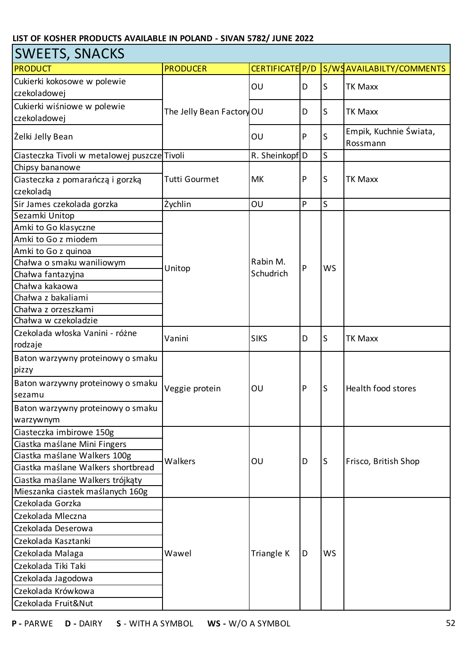| <b>SWEETS, SNACKS</b>                        |                           |                 |   |           |                                    |
|----------------------------------------------|---------------------------|-----------------|---|-----------|------------------------------------|
| <b>PRODUCT</b>                               | <b>PRODUCER</b>           | CERTIFICATE P/D |   |           | S/WSAVAILABILTY/COMMENTS           |
| Cukierki kokosowe w polewie                  |                           | OU              | D | lS        | <b>TK Maxx</b>                     |
| czekoladowej                                 |                           |                 |   |           |                                    |
| Cukierki wiśniowe w polewie                  | The Jelly Bean Factory OU |                 | D | S         | <b>TK Maxx</b>                     |
| czekoladowej                                 |                           |                 |   |           |                                    |
| Želki Jelly Bean                             |                           | OU              | P | S         | Empik, Kuchnie Świata,<br>Rossmann |
| Ciasteczka Tivoli w metalowej puszcze Tivoli |                           | R. Sheinkopf D  |   | S         |                                    |
| Chipsy bananowe                              |                           |                 |   |           |                                    |
| Ciasteczka z pomarańczą i gorzką             | <b>Tutti Gourmet</b>      | МK              | P | S         | <b>TK Maxx</b>                     |
| czekoladą                                    |                           |                 |   |           |                                    |
| Sir James czekolada gorzka                   | Żychlin                   | OU              | P | S         |                                    |
| Sezamki Unitop                               |                           |                 |   |           |                                    |
| Amki to Go klasyczne                         |                           |                 | P | <b>WS</b> |                                    |
| Amki to Go z miodem                          |                           |                 |   |           |                                    |
| Amki to Go z quinoa                          |                           |                 |   |           |                                    |
| Chałwa o smaku waniliowym                    | Unitop                    | Rabin M.        |   |           |                                    |
| Chałwa fantazyjna                            |                           | Schudrich       |   |           |                                    |
| Chałwa kakaowa                               |                           |                 |   |           |                                    |
| Chałwa z bakaliami                           |                           |                 |   |           |                                    |
| Chałwa z orzeszkami                          |                           |                 |   |           |                                    |
| Chałwa w czekoladzie                         |                           |                 |   |           |                                    |
| Czekolada włoska Vanini - różne              | Vanini                    | <b>SIKS</b>     | D | ls        | <b>TK Maxx</b>                     |
| rodzaje                                      |                           |                 |   |           |                                    |
| Baton warzywny proteinowy o smaku            |                           | OU              | P | lS        | Health food stores                 |
| pizzy                                        |                           |                 |   |           |                                    |
| Baton warzywny proteinowy o smaku            | Veggie protein            |                 |   |           |                                    |
| sezamu                                       |                           |                 |   |           |                                    |
| Baton warzywny proteinowy o smaku            |                           |                 |   |           |                                    |
| warzywnym                                    |                           |                 |   |           |                                    |
| Ciasteczka imbirowe 150g                     |                           |                 |   |           |                                    |
| Ciastka maślane Mini Fingers                 |                           | OU              | D | lS        | Frisco, British Shop               |
| Ciastka maślane Walkers 100g                 | Walkers                   |                 |   |           |                                    |
| Ciastka maślane Walkers shortbread           |                           |                 |   |           |                                    |
| Ciastka maślane Walkers trójkąty             |                           |                 |   |           |                                    |
| Mieszanka ciastek maślanych 160g             |                           |                 |   |           |                                    |
| Czekolada Gorzka                             |                           |                 |   |           |                                    |
| Czekolada Mleczna                            |                           |                 | D | <b>WS</b> |                                    |
| Czekolada Deserowa                           |                           |                 |   |           |                                    |
| Czekolada Kasztanki                          |                           | Triangle K      |   |           |                                    |
| Czekolada Malaga                             | Wawel                     |                 |   |           |                                    |
| Czekolada Tiki Taki                          |                           |                 |   |           |                                    |
| Czekolada Jagodowa                           |                           |                 |   |           |                                    |
| Czekolada Krówkowa                           |                           |                 |   |           |                                    |
| Czekolada Fruit&Nut                          |                           |                 |   |           |                                    |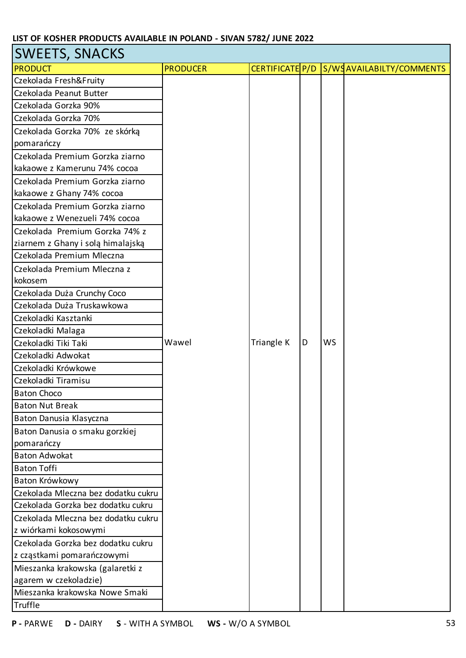| <b>SWEETS, SNACKS</b>                                                                                                                                                                                                                                                                                                                                                                                                                                                                                                                                                                                                                                                                                                                                                                      |                 |                 |   |           |                          |
|--------------------------------------------------------------------------------------------------------------------------------------------------------------------------------------------------------------------------------------------------------------------------------------------------------------------------------------------------------------------------------------------------------------------------------------------------------------------------------------------------------------------------------------------------------------------------------------------------------------------------------------------------------------------------------------------------------------------------------------------------------------------------------------------|-----------------|-----------------|---|-----------|--------------------------|
| <b>PRODUCT</b>                                                                                                                                                                                                                                                                                                                                                                                                                                                                                                                                                                                                                                                                                                                                                                             | <b>PRODUCER</b> | CERTIFICATE P/D |   |           | S/WSAVAILABILTY/COMMENTS |
| Czekolada Fresh&Fruity                                                                                                                                                                                                                                                                                                                                                                                                                                                                                                                                                                                                                                                                                                                                                                     |                 |                 |   |           |                          |
| Czekolada Peanut Butter                                                                                                                                                                                                                                                                                                                                                                                                                                                                                                                                                                                                                                                                                                                                                                    |                 |                 |   |           |                          |
| Czekolada Gorzka 90%                                                                                                                                                                                                                                                                                                                                                                                                                                                                                                                                                                                                                                                                                                                                                                       |                 |                 |   |           |                          |
| Czekolada Gorzka 70%                                                                                                                                                                                                                                                                                                                                                                                                                                                                                                                                                                                                                                                                                                                                                                       |                 |                 |   |           |                          |
| Czekolada Gorzka 70% ze skórką                                                                                                                                                                                                                                                                                                                                                                                                                                                                                                                                                                                                                                                                                                                                                             |                 |                 |   |           |                          |
| pomarańczy                                                                                                                                                                                                                                                                                                                                                                                                                                                                                                                                                                                                                                                                                                                                                                                 |                 |                 |   |           |                          |
| Czekolada Premium Gorzka ziarno                                                                                                                                                                                                                                                                                                                                                                                                                                                                                                                                                                                                                                                                                                                                                            |                 |                 |   |           |                          |
| kakaowe z Kamerunu 74% cocoa                                                                                                                                                                                                                                                                                                                                                                                                                                                                                                                                                                                                                                                                                                                                                               |                 |                 |   |           |                          |
| Czekolada Premium Gorzka ziarno                                                                                                                                                                                                                                                                                                                                                                                                                                                                                                                                                                                                                                                                                                                                                            |                 |                 |   |           |                          |
| kakaowe z Ghany 74% cocoa                                                                                                                                                                                                                                                                                                                                                                                                                                                                                                                                                                                                                                                                                                                                                                  |                 |                 |   |           |                          |
| Czekolada Premium Gorzka ziarno                                                                                                                                                                                                                                                                                                                                                                                                                                                                                                                                                                                                                                                                                                                                                            |                 |                 |   |           |                          |
| kakaowe z Wenezueli 74% cocoa                                                                                                                                                                                                                                                                                                                                                                                                                                                                                                                                                                                                                                                                                                                                                              |                 |                 |   |           |                          |
| Czekolada Premium Gorzka 74% z                                                                                                                                                                                                                                                                                                                                                                                                                                                                                                                                                                                                                                                                                                                                                             |                 |                 |   |           |                          |
|                                                                                                                                                                                                                                                                                                                                                                                                                                                                                                                                                                                                                                                                                                                                                                                            |                 |                 |   |           |                          |
|                                                                                                                                                                                                                                                                                                                                                                                                                                                                                                                                                                                                                                                                                                                                                                                            |                 |                 |   |           |                          |
| Czekolada Premium Mleczna z                                                                                                                                                                                                                                                                                                                                                                                                                                                                                                                                                                                                                                                                                                                                                                |                 |                 |   |           |                          |
| kokosem                                                                                                                                                                                                                                                                                                                                                                                                                                                                                                                                                                                                                                                                                                                                                                                    |                 |                 |   |           |                          |
|                                                                                                                                                                                                                                                                                                                                                                                                                                                                                                                                                                                                                                                                                                                                                                                            |                 |                 |   |           |                          |
|                                                                                                                                                                                                                                                                                                                                                                                                                                                                                                                                                                                                                                                                                                                                                                                            |                 |                 |   |           |                          |
|                                                                                                                                                                                                                                                                                                                                                                                                                                                                                                                                                                                                                                                                                                                                                                                            |                 |                 |   |           |                          |
|                                                                                                                                                                                                                                                                                                                                                                                                                                                                                                                                                                                                                                                                                                                                                                                            |                 |                 |   |           |                          |
|                                                                                                                                                                                                                                                                                                                                                                                                                                                                                                                                                                                                                                                                                                                                                                                            |                 |                 |   |           |                          |
|                                                                                                                                                                                                                                                                                                                                                                                                                                                                                                                                                                                                                                                                                                                                                                                            |                 |                 |   |           |                          |
|                                                                                                                                                                                                                                                                                                                                                                                                                                                                                                                                                                                                                                                                                                                                                                                            |                 |                 |   |           |                          |
|                                                                                                                                                                                                                                                                                                                                                                                                                                                                                                                                                                                                                                                                                                                                                                                            |                 |                 |   |           |                          |
|                                                                                                                                                                                                                                                                                                                                                                                                                                                                                                                                                                                                                                                                                                                                                                                            |                 |                 |   |           |                          |
|                                                                                                                                                                                                                                                                                                                                                                                                                                                                                                                                                                                                                                                                                                                                                                                            |                 |                 |   |           |                          |
|                                                                                                                                                                                                                                                                                                                                                                                                                                                                                                                                                                                                                                                                                                                                                                                            |                 |                 |   |           |                          |
|                                                                                                                                                                                                                                                                                                                                                                                                                                                                                                                                                                                                                                                                                                                                                                                            |                 |                 |   |           |                          |
|                                                                                                                                                                                                                                                                                                                                                                                                                                                                                                                                                                                                                                                                                                                                                                                            |                 |                 |   |           |                          |
|                                                                                                                                                                                                                                                                                                                                                                                                                                                                                                                                                                                                                                                                                                                                                                                            |                 |                 |   |           |                          |
|                                                                                                                                                                                                                                                                                                                                                                                                                                                                                                                                                                                                                                                                                                                                                                                            |                 |                 |   |           |                          |
|                                                                                                                                                                                                                                                                                                                                                                                                                                                                                                                                                                                                                                                                                                                                                                                            |                 |                 |   |           |                          |
|                                                                                                                                                                                                                                                                                                                                                                                                                                                                                                                                                                                                                                                                                                                                                                                            |                 |                 |   |           |                          |
|                                                                                                                                                                                                                                                                                                                                                                                                                                                                                                                                                                                                                                                                                                                                                                                            |                 |                 |   |           |                          |
|                                                                                                                                                                                                                                                                                                                                                                                                                                                                                                                                                                                                                                                                                                                                                                                            |                 |                 |   |           |                          |
|                                                                                                                                                                                                                                                                                                                                                                                                                                                                                                                                                                                                                                                                                                                                                                                            |                 |                 |   |           |                          |
|                                                                                                                                                                                                                                                                                                                                                                                                                                                                                                                                                                                                                                                                                                                                                                                            |                 |                 |   |           |                          |
|                                                                                                                                                                                                                                                                                                                                                                                                                                                                                                                                                                                                                                                                                                                                                                                            |                 |                 |   |           |                          |
|                                                                                                                                                                                                                                                                                                                                                                                                                                                                                                                                                                                                                                                                                                                                                                                            |                 |                 |   |           |                          |
|                                                                                                                                                                                                                                                                                                                                                                                                                                                                                                                                                                                                                                                                                                                                                                                            |                 |                 |   |           |                          |
|                                                                                                                                                                                                                                                                                                                                                                                                                                                                                                                                                                                                                                                                                                                                                                                            |                 |                 |   |           |                          |
| ziarnem z Ghany i solą himalajską<br>Czekolada Premium Mleczna<br>Czekolada Duża Crunchy Coco<br>Czekolada Duża Truskawkowa<br>Czekoladki Kasztanki<br>Czekoladki Malaga<br>Czekoladki Tiki Taki<br>Czekoladki Adwokat<br>Czekoladki Krówkowe<br>Czekoladki Tiramisu<br><b>Baton Choco</b><br><b>Baton Nut Break</b><br>Baton Danusia Klasyczna<br>Baton Danusia o smaku gorzkiej<br>pomarańczy<br><b>Baton Adwokat</b><br><b>Baton Toffi</b><br>Baton Krówkowy<br>Czekolada Mleczna bez dodatku cukru<br>Czekolada Gorzka bez dodatku cukru<br>Czekolada Mleczna bez dodatku cukru<br>z wiórkami kokosowymi<br>Czekolada Gorzka bez dodatku cukru<br>z cząstkami pomarańczowymi<br>Mieszanka krakowska (galaretki z<br>agarem w czekoladzie)<br>Mieszanka krakowska Nowe Smaki<br>Truffle | Wawel           | Triangle K      | D | <b>WS</b> |                          |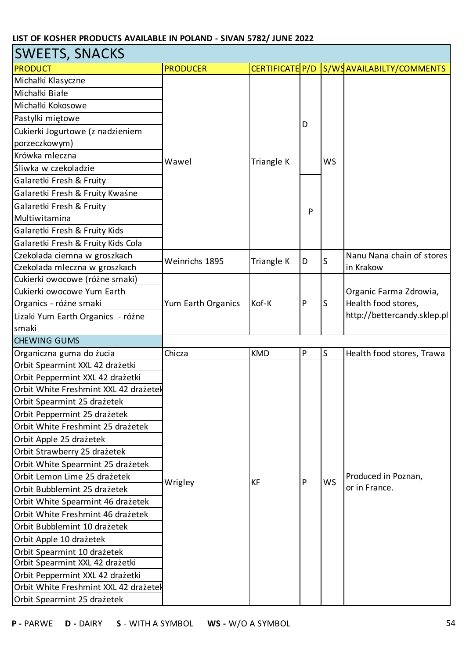| <b>SWEETS, SNACKS</b>                 |                    |                 |           |           |                                      |
|---------------------------------------|--------------------|-----------------|-----------|-----------|--------------------------------------|
| <b>PRODUCT</b>                        | <b>PRODUCER</b>    | CERTIFICATE P/D |           |           | S/WSAVAILABILTY/COMMENTS             |
| Michałki Klasyczne                    |                    |                 |           |           |                                      |
| Michałki Białe                        |                    | Triangle K      |           | <b>WS</b> |                                      |
| Michałki Kokosowe                     |                    |                 | D<br>P    |           |                                      |
| Pastylki miętowe                      |                    |                 |           |           |                                      |
| Cukierki Jogurtowe (z nadzieniem      |                    |                 |           |           |                                      |
| porzeczkowym)                         |                    |                 |           |           |                                      |
| Krówka mleczna                        |                    |                 |           |           |                                      |
| Śliwka w czekoladzie                  | Wawel              |                 |           |           |                                      |
| Galaretki Fresh & Fruity              |                    |                 |           |           |                                      |
| Galaretki Fresh & Fruity Kwaśne       |                    |                 |           |           |                                      |
| Galaretki Fresh & Fruity              |                    |                 |           |           |                                      |
| Multiwitamina                         |                    |                 |           |           |                                      |
| Galaretki Fresh & Fruity Kids         |                    |                 |           |           |                                      |
| Galaretki Fresh & Fruity Kids Cola    |                    |                 |           |           |                                      |
| Czekolada ciemna w groszkach          | Weinrichs 1895     | Triangle K      | D         | S         | Nanu Nana chain of stores            |
| Czekolada mleczna w groszkach         |                    |                 |           |           | in Krakow                            |
| Cukierki owocowe (różne smaki)        |                    |                 |           | S         |                                      |
| Cukierki owocowe Yum Earth            |                    |                 | P         |           | Organic Farma Zdrowia,               |
| Organics - różne smaki                | Yum Earth Organics | Kof-K           |           |           | Health food stores,                  |
| Lizaki Yum Earth Organics - różne     |                    |                 |           |           | http://bettercandy.sklep.pl          |
| smaki                                 |                    |                 |           |           |                                      |
| <b>CHEWING GUMS</b>                   |                    |                 |           |           |                                      |
| Organiczna guma do żucia              | Chicza             | <b>KMD</b>      | ${\sf P}$ | S         | Health food stores, Trawa            |
| Orbit Spearmint XXL 42 drażetki       |                    |                 |           |           |                                      |
| Orbit Peppermint XXL 42 drażetki      |                    |                 | P         | <b>WS</b> |                                      |
| Orbit White Freshmint XXL 42 drazetel |                    |                 |           |           |                                      |
| Orbit Spearmint 25 drażetek           |                    |                 |           |           |                                      |
| Orbit Peppermint 25 drażetek          |                    |                 |           |           |                                      |
| Orbit White Freshmint 25 drażetek     |                    |                 |           |           |                                      |
| Orbit Apple 25 drażetek               |                    |                 |           |           |                                      |
| Orbit Strawberry 25 drażetek          |                    |                 |           |           |                                      |
| Orbit White Spearmint 25 drażetek     |                    |                 |           |           | Produced in Poznan,<br>or in France. |
| Orbit Lemon Lime 25 drażetek          | Wrigley            | <b>KF</b>       |           |           |                                      |
| Orbit Bubblemint 25 drażetek          |                    |                 |           |           |                                      |
| Orbit White Spearmint 46 drażetek     |                    |                 |           |           |                                      |
| Orbit White Freshmint 46 drażetek     |                    |                 |           |           |                                      |
| Orbit Bubblemint 10 drażetek          |                    |                 |           |           |                                      |
| Orbit Apple 10 drażetek               |                    |                 |           |           |                                      |
| Orbit Spearmint 10 drażetek           |                    |                 |           |           |                                      |
| Orbit Spearmint XXL 42 drażetki       |                    |                 |           |           |                                      |
| Orbit Peppermint XXL 42 drażetki      |                    |                 |           |           |                                      |
| Orbit White Freshmint XXL 42 drazetel |                    |                 |           |           |                                      |
| Orbit Spearmint 25 drażetek           |                    |                 |           |           |                                      |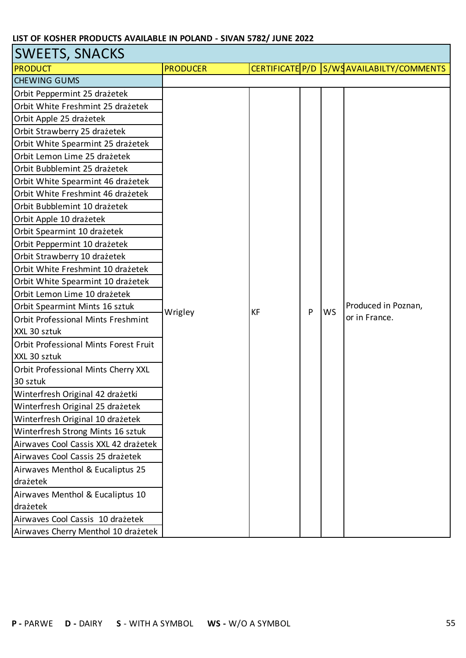| <b>SWEETS, SNACKS</b>                     |                 |    |   |           |                                          |
|-------------------------------------------|-----------------|----|---|-----------|------------------------------------------|
| <b>PRODUCT</b>                            | <b>PRODUCER</b> |    |   |           | CERTIFICATE P/D S/WSAVAILABILTY/COMMENTS |
| <b>CHEWING GUMS</b>                       |                 |    |   |           |                                          |
| Orbit Peppermint 25 drażetek              |                 |    |   |           |                                          |
| Orbit White Freshmint 25 drażetek         |                 |    |   |           |                                          |
| Orbit Apple 25 drażetek                   |                 |    |   |           |                                          |
| Orbit Strawberry 25 drażetek              |                 |    |   |           |                                          |
| Orbit White Spearmint 25 drażetek         |                 |    |   |           |                                          |
| Orbit Lemon Lime 25 drażetek              |                 |    |   |           |                                          |
| Orbit Bubblemint 25 drażetek              |                 |    |   |           |                                          |
| Orbit White Spearmint 46 drażetek         |                 |    |   |           |                                          |
| Orbit White Freshmint 46 drażetek         |                 |    |   |           |                                          |
| Orbit Bubblemint 10 drażetek              |                 |    |   |           |                                          |
| Orbit Apple 10 drażetek                   |                 |    |   |           |                                          |
| Orbit Spearmint 10 drażetek               |                 |    |   |           |                                          |
| Orbit Peppermint 10 drażetek              |                 |    |   |           |                                          |
| Orbit Strawberry 10 drażetek              |                 |    |   |           |                                          |
| Orbit White Freshmint 10 drażetek         |                 |    |   |           |                                          |
| Orbit White Spearmint 10 drażetek         |                 |    |   |           |                                          |
| Orbit Lemon Lime 10 drażetek              |                 |    |   |           |                                          |
| Orbit Spearmint Mints 16 sztuk            | Wrigley         | KF | P | <b>WS</b> | Produced in Poznan,                      |
| <b>Orbit Professional Mints Freshmint</b> |                 |    |   |           | or in France.                            |
| XXL 30 sztuk                              |                 |    |   |           |                                          |
| Orbit Professional Mints Forest Fruit     |                 |    |   |           |                                          |
| XXL 30 sztuk                              |                 |    |   |           |                                          |
| Orbit Professional Mints Cherry XXL       |                 |    |   |           |                                          |
| 30 sztuk                                  |                 |    |   |           |                                          |
| Winterfresh Original 42 drażetki          |                 |    |   |           |                                          |
| Winterfresh Original 25 drażetek          |                 |    |   |           |                                          |
| Winterfresh Original 10 drażetek          |                 |    |   |           |                                          |
| Winterfresh Strong Mints 16 sztuk         |                 |    |   |           |                                          |
| Airwaves Cool Cassis XXL 42 drażetek      |                 |    |   |           |                                          |
| Airwaves Cool Cassis 25 drażetek          |                 |    |   |           |                                          |
| Airwaves Menthol & Eucaliptus 25          |                 |    |   |           |                                          |
| drażetek                                  |                 |    |   |           |                                          |
| Airwaves Menthol & Eucaliptus 10          |                 |    |   |           |                                          |
| drażetek                                  |                 |    |   |           |                                          |
| Airwaves Cool Cassis 10 drażetek          |                 |    |   |           |                                          |
| Airwaves Cherry Menthol 10 drażetek       |                 |    |   |           |                                          |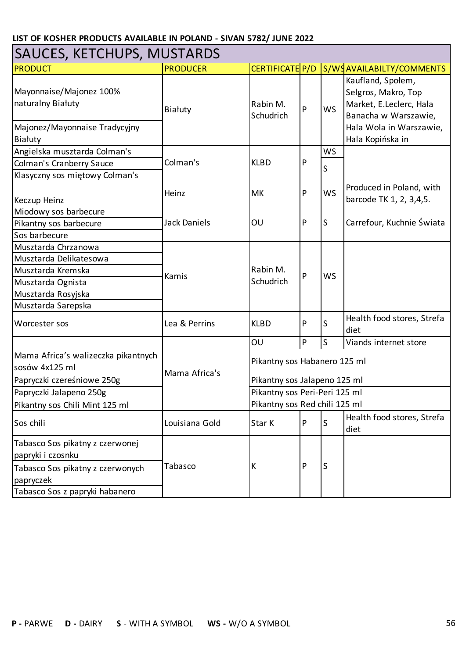| <b>SAUCES, KETCHUPS, MUSTARDS</b>                                                        |                     |                               |   |           |                                                                                                                                            |  |
|------------------------------------------------------------------------------------------|---------------------|-------------------------------|---|-----------|--------------------------------------------------------------------------------------------------------------------------------------------|--|
| <b>PRODUCT</b>                                                                           | <b>PRODUCER</b>     | CERTIFICATE P/D               |   |           | S/WSAVAILABILTY/COMMENTS                                                                                                                   |  |
| Mayonnaise/Majonez 100%<br>naturalny Białuty<br>Majonez/Mayonnaise Tradycyjny<br>Białuty | Białuty             | Rabin M.<br>Schudrich         | P | <b>WS</b> | Kaufland, Społem,<br>Selgros, Makro, Top<br>Market, E.Leclerc, Hala<br>Banacha w Warszawie,<br>Hala Wola in Warszawie,<br>Hala Kopińska in |  |
| Angielska musztarda Colman's                                                             |                     | <b>KLBD</b>                   | P | WS        |                                                                                                                                            |  |
| <b>Colman's Cranberry Sauce</b>                                                          | Colman's            |                               |   | S         |                                                                                                                                            |  |
| Klasyczny sos miętowy Colman's                                                           |                     |                               |   |           |                                                                                                                                            |  |
| Keczup Heinz                                                                             | Heinz               | MK                            | P | <b>WS</b> | Produced in Poland, with<br>barcode TK 1, 2, 3,4,5.                                                                                        |  |
| Miodowy sos barbecure                                                                    |                     | OU                            | P | S         | Carrefour, Kuchnie Świata                                                                                                                  |  |
| Pikantny sos barbecure                                                                   | <b>Jack Daniels</b> |                               |   |           |                                                                                                                                            |  |
| Sos barbecure                                                                            |                     |                               |   |           |                                                                                                                                            |  |
| Musztarda Chrzanowa                                                                      |                     | Rabin M.<br>Schudrich         | P | <b>WS</b> |                                                                                                                                            |  |
| Musztarda Delikatesowa                                                                   |                     |                               |   |           |                                                                                                                                            |  |
| Musztarda Kremska                                                                        | Kamis               |                               |   |           |                                                                                                                                            |  |
| Musztarda Ognista                                                                        |                     |                               |   |           |                                                                                                                                            |  |
| Musztarda Rosyjska                                                                       |                     |                               |   |           |                                                                                                                                            |  |
| Musztarda Sarepska                                                                       |                     |                               |   |           |                                                                                                                                            |  |
| Worcester sos                                                                            | Lea & Perrins       | <b>KLBD</b>                   | P | S         | Health food stores, Strefa<br>diet                                                                                                         |  |
|                                                                                          |                     | OU                            | P | S         | Viands internet store                                                                                                                      |  |
| Mama Africa's walizeczka pikantnych<br>sosów 4x125 ml                                    | Mama Africa's       | Pikantny sos Habanero 125 ml  |   |           |                                                                                                                                            |  |
| Papryczki czereśniowe 250g                                                               |                     | Pikantny sos Jalapeno 125 ml  |   |           |                                                                                                                                            |  |
| Papryczki Jalapeno 250g                                                                  |                     | Pikantny sos Peri-Peri 125 ml |   |           |                                                                                                                                            |  |
| Pikantny sos Chili Mint 125 ml                                                           |                     | Pikantny sos Red chili 125 ml |   |           |                                                                                                                                            |  |
| Sos chili                                                                                | Louisiana Gold      | Star K                        | P | S         | Health food stores, Strefa<br>diet                                                                                                         |  |
| Tabasco Sos pikatny z czerwonej<br>papryki i czosnku                                     |                     | K                             |   | S         |                                                                                                                                            |  |
| Tabasco Sos pikatny z czerwonych<br>papryczek                                            | Tabasco             |                               | P |           |                                                                                                                                            |  |
| Tabasco Sos z papryki habanero                                                           |                     |                               |   |           |                                                                                                                                            |  |

┓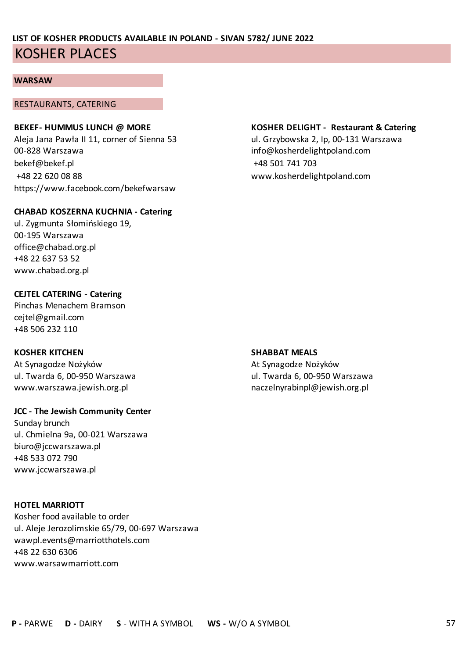#### **WARSAW**

#### RESTAURANTS, CATERING

00-828 Warszawa info@kosherdelightpoland.com bekef@bekef.pl +48 501 741 703 +48 22 620 08 88 www.kosherdelightpoland.com https://www.facebook.com/bekefwarsaw

#### **CHABAD KOSZERNA KUCHNIA - Catering**

ul. Zygmunta Słomińskiego 19, 00-195 Warszawa office@chabad.org.pl +48 22 637 53 52 www.chabad.org.pl

#### **CEJTEL CATERING - Catering**

Pinchas Menachem Bramson cejtel@gmail.com +48 506 232 110

#### **KOSHER KITCHEN SHABBAT MEALS**

At Synagodze Nożyków At Synagodze Nożyków www.warszawa.jewish.org.pl naczelnyrabinpl@jewish.org.pl naczelnyrabinpl@jewish.org.pl

#### **JCC - The Jewish Community Center**

Sunday brunch ul. Chmielna 9a, 00-021 Warszawa biuro@jccwarszawa.pl +48 533 072 790 www.jccwarszawa.pl

#### **HOTEL MARRIOTT**

Kosher food available to order ul. Aleje Jerozolimskie 65/79, 00-697 Warszawa wawpl.events@marriotthotels.com +48 22 630 6306 www.warsawmarriott.com

#### **BEKEF- HUMMUS LUNCH @ MORE KOSHER DELIGHT - Restaurant & Catering**

Aleja Jana Pawła II 11, corner of Sienna 53 ul. Grzybowska 2, Ip, 00-131 Warszawa

ul. Twarda 6, 00-950 Warszawa ul. Twarda 6, 00-950 Warszawa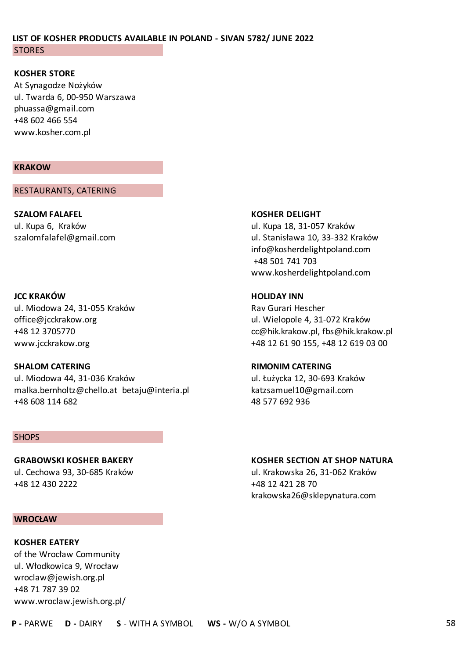#### **KOSHER STORE**

At Synagodze Nożyków ul. Twarda 6, 00-950 Warszawa phuassa@gmail.com +48 602 466 554 www.kosher.com.pl

#### **KRAKOW**

RESTAURANTS, CATERING

**SZALOM FALAFEL KOSHER DELIGHT**

#### **JCC KRAKÓW HOLIDAY INN**

ul. Miodowa 24, 31-055 Kraków **Raw Gurari Hescher** Rav Gurari Hescher office@jcckrakow.org ul. Wielopole 4, 31-072 Kraków

#### **SHALOM CATERING RIMONIM CATERING**

ul. Miodowa 44, 31-036 Kraków ul. Łużycka 12, 30-693 Kraków malka.bernholtz@chello.at betaju@interia.pl katzsamuel10@gmail.com +48 608 114 682 48 577 692 936

#### **SHOPS**

+48 12 430 2222 +48 12 421 28 70

#### **WROCŁAW**

### **KOSHER EATERY** of the Wrocław Community ul. Włodkowica 9, Wrocław wroclaw@jewish.org.pl +48 71 787 39 02 www.wroclaw.jewish.org.pl/

ul. Kupa 6, Kraków ul. Kupa 18, 31-057 Kraków szalomfalafel@gmail.com ul. Stanisława 10, 33-332 Kraków info@kosherdelightpoland.com +48 501 741 703 www.kosherdelightpoland.com

+48 12 3705770 cc@hik.krakow.pl, fbs@hik.krakow.pl www.jcckrakow.org +48 12 61 90 155, +48 12 619 03 00

#### **GRABOWSKI KOSHER BAKERY KOSHER SECTION AT SHOP NATURA**

ul. Cechowa 93, 30-685 Kraków ul. Krakowska 26, 31-062 Kraków krakowska26@sklepynatura.com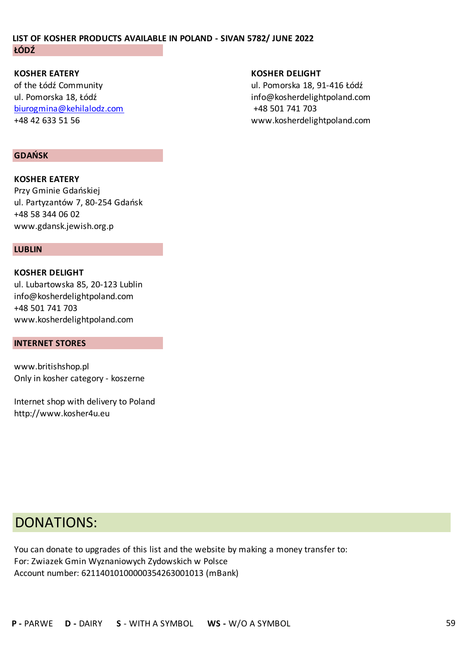**KOSHER EATERY KOSHER DELIGHT** of the Łódź Community ul. Pomorska 18, 91-416 Łódź biurogmina@kehilalodz.com +48 501 741 703

#### **GDAŃSK**

**KOSHER EATERY** Przy Gminie Gdańskiej ul. Partyzantów 7, 80-254 Gdańsk +48 58 344 06 02 www.gdansk.jewish.org.p

#### **LUBLIN**

**KOSHER DELIGHT** ul. Lubartowska 85, 20-123 Lublin info@kosherdelightpoland.com +48 501 741 703 www.kosherdelightpoland.com

#### **INTERNET STORES**

www.britishshop.pl Only in kosher category - koszerne

Internet shop with delivery to Poland http://www.kosher4u.eu

ul. Pomorska 18, Łódź info@kosherdelightpoland.com +48 42 633 51 56 www.kosherdelightpoland.com

### DONATIONS:

You can donate to upgrades of this list and the website by making a money transfer to: For: Zwiazek Gmin Wyznaniowych Zydowskich w Polsce Account number: 62114010100000354263001013 (mBank)